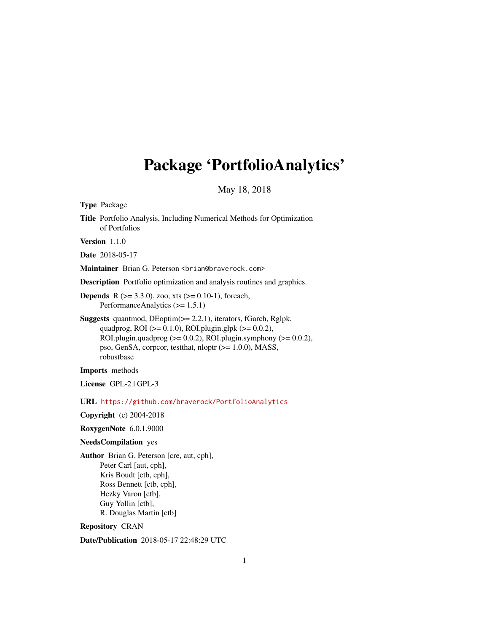# <span id="page-0-0"></span>Package 'PortfolioAnalytics'

May 18, 2018

| <b>Type Package</b>                                                                                                                                                                                                                                                                               |
|---------------------------------------------------------------------------------------------------------------------------------------------------------------------------------------------------------------------------------------------------------------------------------------------------|
| Title Portfolio Analysis, Including Numerical Methods for Optimization<br>of Portfolios                                                                                                                                                                                                           |
| Version 1.1.0                                                                                                                                                                                                                                                                                     |
| <b>Date</b> 2018-05-17                                                                                                                                                                                                                                                                            |
| Maintainer Brian G. Peterson <brian@braverock.com></brian@braverock.com>                                                                                                                                                                                                                          |
| <b>Description</b> Portfolio optimization and analysis routines and graphics.                                                                                                                                                                                                                     |
| <b>Depends</b> R ( $>= 3.3.0$ ), zoo, xts ( $>= 0.10-1$ ), foreach,<br>Performance Analytics $(>= 1.5.1)$                                                                                                                                                                                         |
| <b>Suggests</b> quantmod, $DEoptim(\geq 2.2.1)$ , iterators, fGarch, Rglpk,<br>quadprog, ROI ( $> = 0.1.0$ ), ROI.plugin.glpk ( $> = 0.0.2$ ),<br>ROI.plugin.quadprog $(>= 0.0.2)$ , ROI.plugin.symphony $(>= 0.0.2)$ ,<br>pso, GenSA, corpcor, test that, nloptr (>= 1.0.0), MASS,<br>robustbase |
| Imports methods                                                                                                                                                                                                                                                                                   |
| License GPL-2   GPL-3                                                                                                                                                                                                                                                                             |
| $URL \hbox{ https://github.com/braverock/PortfolioAnalytics}$                                                                                                                                                                                                                                     |
| Copyright (c) 2004-2018                                                                                                                                                                                                                                                                           |
| RoxygenNote 6.0.1.9000                                                                                                                                                                                                                                                                            |
| <b>NeedsCompilation</b> yes                                                                                                                                                                                                                                                                       |
| Author Brian G. Peterson [cre, aut, cph],<br>Peter Carl [aut, cph],<br>Kris Boudt [ctb, cph],<br>Ross Bennett [ctb, cph],<br>Hezky Varon [ctb],<br>Guy Yollin [ctb],<br>R. Douglas Martin [ctb]<br><b>Repository CRAN</b>                                                                         |
|                                                                                                                                                                                                                                                                                                   |

Date/Publication 2018-05-17 22:48:29 UTC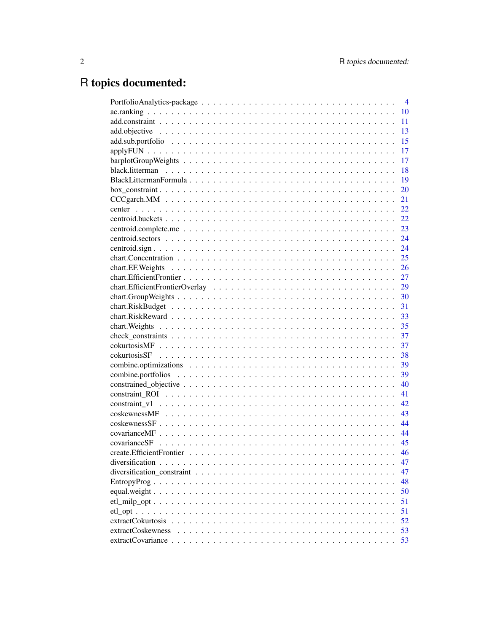# R topics documented:

|                                                                                                                     | $\overline{4}$ |
|---------------------------------------------------------------------------------------------------------------------|----------------|
|                                                                                                                     | 10             |
|                                                                                                                     | 11             |
|                                                                                                                     | 13             |
|                                                                                                                     | 15             |
|                                                                                                                     | 17             |
|                                                                                                                     | 17             |
|                                                                                                                     | 18             |
|                                                                                                                     | 19             |
|                                                                                                                     | 20             |
|                                                                                                                     | 21             |
|                                                                                                                     | 22             |
|                                                                                                                     | 22             |
|                                                                                                                     | 23             |
|                                                                                                                     | 24             |
|                                                                                                                     | 24             |
|                                                                                                                     | 25             |
| $chart.EE. Weights \dots \dots \dots \dots \dots \dots \dots \dots \dots \dots \dots \dots \dots \dots \dots \dots$ | 26             |
|                                                                                                                     | 27             |
|                                                                                                                     | 29             |
|                                                                                                                     | 30             |
|                                                                                                                     | 31             |
|                                                                                                                     | 33             |
|                                                                                                                     | 35             |
|                                                                                                                     | 37             |
|                                                                                                                     | 37             |
|                                                                                                                     | 38             |
|                                                                                                                     | 39             |
|                                                                                                                     | 39             |
|                                                                                                                     | 40             |
|                                                                                                                     | 41             |
|                                                                                                                     | 42             |
|                                                                                                                     | 43             |
|                                                                                                                     | 44             |
|                                                                                                                     | 44             |
|                                                                                                                     | 45             |
|                                                                                                                     | 46             |
|                                                                                                                     | 47             |
|                                                                                                                     | 47             |
|                                                                                                                     | 48             |
|                                                                                                                     | 50             |
|                                                                                                                     | 51             |
|                                                                                                                     | 51             |
|                                                                                                                     | 52             |
| extractCoskewness                                                                                                   | 53             |
|                                                                                                                     | 53             |
|                                                                                                                     |                |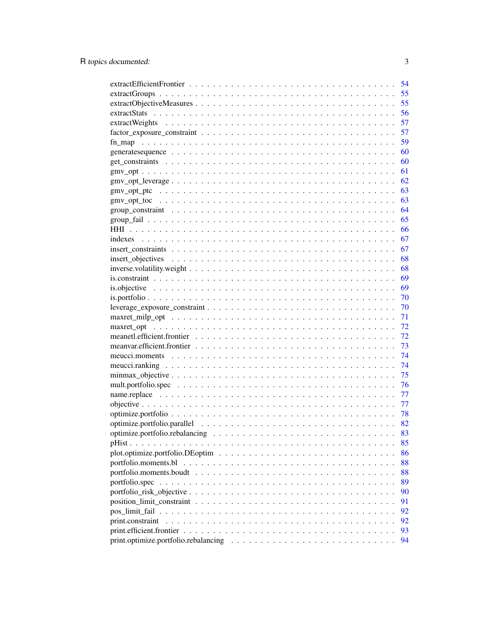| 54 |
|----|
| 55 |
| 55 |
| 56 |
| 57 |
| 57 |
| 59 |
| 60 |
| 60 |
| 61 |
| 62 |
| 63 |
| 63 |
| 64 |
| 65 |
| 66 |
| 67 |
| 67 |
| 68 |
| 68 |
| 69 |
| 69 |
| 70 |
| 70 |
| 71 |
| 72 |
| 72 |
| 73 |
| 74 |
| 74 |
| 75 |
| 76 |
| 77 |
| 77 |
| 78 |
|    |
|    |
| 85 |
| 86 |
| 88 |
| 88 |
| 89 |
| 90 |
| 91 |
| 92 |
| 92 |
| 93 |
| 94 |
|    |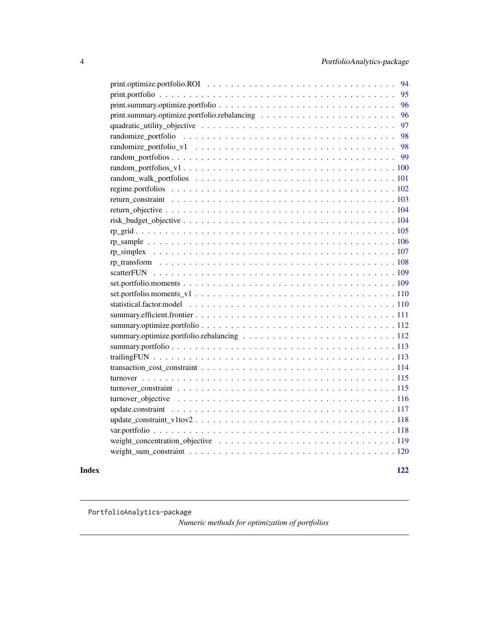<span id="page-3-0"></span>

| 94 |
|----|
| 95 |
| 96 |
| 96 |
| 97 |
| 98 |
| 98 |
| 99 |
|    |
|    |
|    |
|    |
|    |
|    |
|    |
|    |
|    |
|    |
|    |
|    |
|    |
|    |
|    |
|    |
|    |
|    |
|    |
|    |
|    |
|    |
|    |
|    |
|    |
|    |
|    |
|    |
|    |

#### **Index** 2008 **Index**

PortfolioAnalytics-package

*Numeric methods for optimization of portfolios*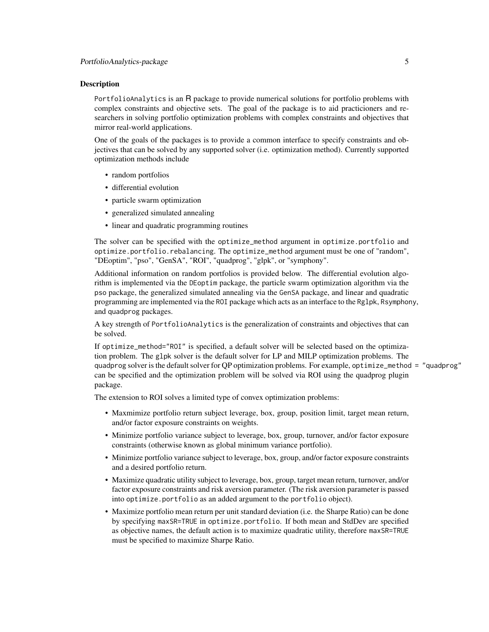#### Description

PortfolioAnalytics is an R package to provide numerical solutions for portfolio problems with complex constraints and objective sets. The goal of the package is to aid practicioners and researchers in solving portfolio optimization problems with complex constraints and objectives that mirror real-world applications.

One of the goals of the packages is to provide a common interface to specify constraints and objectives that can be solved by any supported solver (i.e. optimization method). Currently supported optimization methods include

- random portfolios
- differential evolution
- particle swarm optimization
- generalized simulated annealing
- linear and quadratic programming routines

The solver can be specified with the optimize\_method argument in optimize.portfolio and optimize.portfolio.rebalancing. The optimize\_method argument must be one of "random", "DEoptim", "pso", "GenSA", "ROI", "quadprog", "glpk", or "symphony".

Additional information on random portfolios is provided below. The differential evolution algorithm is implemented via the DEoptim package, the particle swarm optimization algorithm via the pso package, the generalized simulated annealing via the GenSA package, and linear and quadratic programming are implemented via the ROI package which acts as an interface to the Rglpk, Rsymphony, and quadprog packages.

A key strength of PortfolioAnalytics is the generalization of constraints and objectives that can be solved.

If optimize\_method="ROI" is specified, a default solver will be selected based on the optimization problem. The glpk solver is the default solver for LP and MILP optimization problems. The quadprog solver is the default solver for QP optimization problems. For example, optimize\_method = "quadprog" can be specified and the optimization problem will be solved via ROI using the quadprog plugin package.

The extension to ROI solves a limited type of convex optimization problems:

- Maxmimize portfolio return subject leverage, box, group, position limit, target mean return, and/or factor exposure constraints on weights.
- Minimize portfolio variance subject to leverage, box, group, turnover, and/or factor exposure constraints (otherwise known as global minimum variance portfolio).
- Minimize portfolio variance subject to leverage, box, group, and/or factor exposure constraints and a desired portfolio return.
- Maximize quadratic utility subject to leverage, box, group, target mean return, turnover, and/or factor exposure constraints and risk aversion parameter. (The risk aversion parameter is passed into optimize.portfolio as an added argument to the portfolio object).
- Maximize portfolio mean return per unit standard deviation (i.e. the Sharpe Ratio) can be done by specifying maxSR=TRUE in optimize.portfolio. If both mean and StdDev are specified as objective names, the default action is to maximize quadratic utility, therefore maxSR=TRUE must be specified to maximize Sharpe Ratio.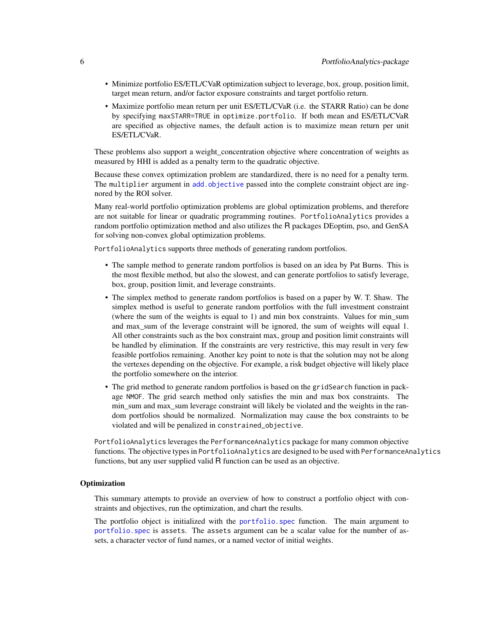- Minimize portfolio ES/ETL/CVaR optimization subject to leverage, box, group, position limit, target mean return, and/or factor exposure constraints and target portfolio return.
- Maximize portfolio mean return per unit ES/ETL/CVaR (i.e. the STARR Ratio) can be done by specifying maxSTARR=TRUE in optimize.portfolio. If both mean and ES/ETL/CVaR are specified as objective names, the default action is to maximize mean return per unit ES/ETL/CVaR.

These problems also support a weight concentration objective where concentration of weights as measured by HHI is added as a penalty term to the quadratic objective.

Because these convex optimization problem are standardized, there is no need for a penalty term. The multiplier argument in [add.objective](#page-12-1) passed into the complete constraint object are ingnored by the ROI solver.

Many real-world portfolio optimization problems are global optimization problems, and therefore are not suitable for linear or quadratic programming routines. PortfolioAnalytics provides a random portfolio optimization method and also utilizes the R packages DEoptim, pso, and GenSA for solving non-convex global optimization problems.

PortfolioAnalytics supports three methods of generating random portfolios.

- The sample method to generate random portfolios is based on an idea by Pat Burns. This is the most flexible method, but also the slowest, and can generate portfolios to satisfy leverage, box, group, position limit, and leverage constraints.
- The simplex method to generate random portfolios is based on a paper by W. T. Shaw. The simplex method is useful to generate random portfolios with the full investment constraint (where the sum of the weights is equal to 1) and min box constraints. Values for min\_sum and max sum of the leverage constraint will be ignored, the sum of weights will equal 1. All other constraints such as the box constraint max, group and position limit constraints will be handled by elimination. If the constraints are very restrictive, this may result in very few feasible portfolios remaining. Another key point to note is that the solution may not be along the vertexes depending on the objective. For example, a risk budget objective will likely place the portfolio somewhere on the interior.
- The grid method to generate random portfolios is based on the gridSearch function in package NMOF. The grid search method only satisfies the min and max box constraints. The min\_sum and max\_sum leverage constraint will likely be violated and the weights in the random portfolios should be normalized. Normalization may cause the box constraints to be violated and will be penalized in constrained\_objective.

PortfolioAnalytics leverages the PerformanceAnalytics package for many common objective functions. The objective types in PortfolioAnalytics are designed to be used with PerformanceAnalytics functions, but any user supplied valid R function can be used as an objective.

#### **Optimization**

This summary attempts to provide an overview of how to construct a portfolio object with constraints and objectives, run the optimization, and chart the results.

The portfolio object is initialized with the [portfolio.spec](#page-88-1) function. The main argument to [portfolio.spec](#page-88-1) is assets. The assets argument can be a scalar value for the number of assets, a character vector of fund names, or a named vector of initial weights.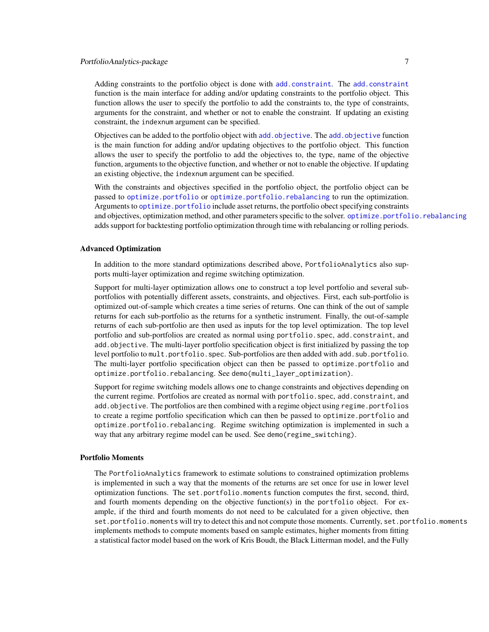# PortfolioAnalytics-package 7

Adding constraints to the portfolio object is done with [add.constraint](#page-10-1). The [add.constraint](#page-10-1) function is the main interface for adding and/or updating constraints to the portfolio object. This function allows the user to specify the portfolio to add the constraints to, the type of constraints, arguments for the constraint, and whether or not to enable the constraint. If updating an existing constraint, the indexnum argument can be specified.

Objectives can be added to the portfolio object with [add.objective](#page-12-1). The [add.objective](#page-12-1) function is the main function for adding and/or updating objectives to the portfolio object. This function allows the user to specify the portfolio to add the objectives to, the type, name of the objective function, arguments to the objective function, and whether or not to enable the objective. If updating an existing objective, the indexnum argument can be specified.

With the constraints and objectives specified in the portfolio object, the portfolio object can be passed to [optimize.portfolio](#page-77-1) or [optimize.portfolio.rebalancing](#page-82-1) to run the optimization. Arguments to [optimize.portfolio](#page-77-1) include asset returns, the portfolio obect specifying constraints and objectives, optimization method, and other parameters specific to the solver. [optimize.portfolio.rebalancing](#page-82-1) adds support for backtesting portfolio optimization through time with rebalancing or rolling periods.

#### Advanced Optimization

In addition to the more standard optimizations described above, PortfolioAnalytics also supports multi-layer optimization and regime switching optimization.

Support for multi-layer optimization allows one to construct a top level portfolio and several subportfolios with potentially different assets, constraints, and objectives. First, each sub-portfolio is optimized out-of-sample which creates a time series of returns. One can think of the out of sample returns for each sub-portfolio as the returns for a synthetic instrument. Finally, the out-of-sample returns of each sub-portfolio are then used as inputs for the top level optimization. The top level portfolio and sub-portfolios are created as normal using portfolio.spec, add.constraint, and add.objective. The multi-layer portfolio specification object is first initialized by passing the top level portfolio to mult.portfolio.spec. Sub-portfolios are then added with add.sub.portfolio. The multi-layer portfolio specification object can then be passed to optimize.portfolio and optimize.portfolio.rebalancing. See demo(multi\_layer\_optimization).

Support for regime switching models allows one to change constraints and objectives depending on the current regime. Portfolios are created as normal with portfolio.spec, add.constraint, and add.objective. The portfolios are then combined with a regime object using regime.portfolios to create a regime portfolio specification which can then be passed to optimize.portfolio and optimize.portfolio.rebalancing. Regime switching optimization is implemented in such a way that any arbitrary regime model can be used. See demo(regime\_switching).

#### Portfolio Moments

The PortfolioAnalytics framework to estimate solutions to constrained optimization problems is implemented in such a way that the moments of the returns are set once for use in lower level optimization functions. The set.portfolio.moments function computes the first, second, third, and fourth moments depending on the objective function(s) in the portfolio object. For example, if the third and fourth moments do not need to be calculated for a given objective, then set.portfolio.moments will try to detect this and not compute those moments. Currently, set.portfolio.moments implements methods to compute moments based on sample estimates, higher moments from fitting a statistical factor model based on the work of Kris Boudt, the Black Litterman model, and the Fully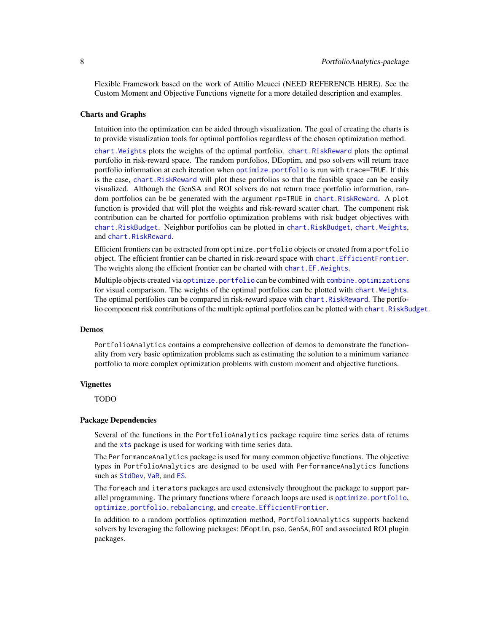Flexible Framework based on the work of Attilio Meucci (NEED REFERENCE HERE). See the Custom Moment and Objective Functions vignette for a more detailed description and examples.

### Charts and Graphs

Intuition into the optimization can be aided through visualization. The goal of creating the charts is to provide visualization tools for optimal portfolios regardless of the chosen optimization method.

[chart.Weights](#page-34-1) plots the weights of the optimal portfolio. [chart.RiskReward](#page-32-1) plots the optimal portfolio in risk-reward space. The random portfolios, DEoptim, and pso solvers will return trace portfolio information at each iteration when [optimize.portfolio](#page-77-1) is run with trace=TRUE. If this is the case, [chart.RiskReward](#page-32-1) will plot these portfolios so that the feasible space can be easily visualized. Although the GenSA and ROI solvers do not return trace portfolio information, random portfolios can be be generated with the argument rp=TRUE in [chart.RiskReward](#page-32-1). A plot function is provided that will plot the weights and risk-reward scatter chart. The component risk contribution can be charted for portfolio optimization problems with risk budget objectives with [chart.RiskBudget](#page-30-1). Neighbor portfolios can be plotted in chart.RiskBudget, [chart.Weights](#page-34-1), and [chart.RiskReward](#page-32-1).

Efficient frontiers can be extracted from optimize.portfolio objects or created from a portfolio object. The efficient frontier can be charted in risk-reward space with [chart.EfficientFrontier](#page-26-1). The weights along the efficient frontier can be charted with chart. EF. Weights.

Multiple objects created via [optimize.portfolio](#page-77-1) can be combined with [combine.optimizations](#page-38-1) for visual comparison. The weights of the optimal portfolios can be plotted with chart. Weights. The optimal portfolios can be compared in risk-reward space with chart. RiskReward. The portfolio component risk contributions of the multiple optimal portfolios can be plotted with [chart.RiskBudget](#page-30-1).

#### Demos

PortfolioAnalytics contains a comprehensive collection of demos to demonstrate the functionality from very basic optimization problems such as estimating the solution to a minimum variance portfolio to more complex optimization problems with custom moment and objective functions.

#### Vignettes

TODO

#### Package Dependencies

Several of the functions in the PortfolioAnalytics package require time series data of returns and the [xts](#page-0-0) package is used for working with time series data.

The PerformanceAnalytics package is used for many common objective functions. The objective types in PortfolioAnalytics are designed to be used with PerformanceAnalytics functions such as [StdDev](#page-0-0), [VaR](#page-0-0), and [ES](#page-0-0).

The foreach and iterators packages are used extensively throughout the package to support parallel programming. The primary functions where foreach loops are used is [optimize.portfolio](#page-77-1), [optimize.portfolio.rebalancing](#page-82-1), and [create.EfficientFrontier](#page-45-1).

In addition to a random portfolios optimzation method, PortfolioAnalytics supports backend solvers by leveraging the following packages: DEoptim, pso, GenSA, ROI and associated ROI plugin packages.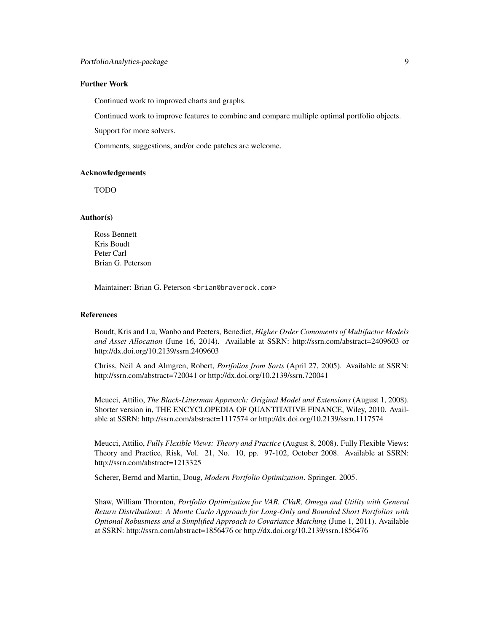#### Further Work

Continued work to improved charts and graphs.

Continued work to improve features to combine and compare multiple optimal portfolio objects.

Support for more solvers.

Comments, suggestions, and/or code patches are welcome.

#### Acknowledgements

TODO

#### Author(s)

Ross Bennett Kris Boudt Peter Carl Brian G. Peterson

Maintainer: Brian G. Peterson <br i an@braverock.com>

#### References

Boudt, Kris and Lu, Wanbo and Peeters, Benedict, *Higher Order Comoments of Multifactor Models and Asset Allocation* (June 16, 2014). Available at SSRN: http://ssrn.com/abstract=2409603 or http://dx.doi.org/10.2139/ssrn.2409603

Chriss, Neil A and Almgren, Robert, *Portfolios from Sorts* (April 27, 2005). Available at SSRN: http://ssrn.com/abstract=720041 or http://dx.doi.org/10.2139/ssrn.720041

Meucci, Attilio, *The Black-Litterman Approach: Original Model and Extensions* (August 1, 2008). Shorter version in, THE ENCYCLOPEDIA OF QUANTITATIVE FINANCE, Wiley, 2010. Available at SSRN: http://ssrn.com/abstract=1117574 or http://dx.doi.org/10.2139/ssrn.1117574

Meucci, Attilio, *Fully Flexible Views: Theory and Practice* (August 8, 2008). Fully Flexible Views: Theory and Practice, Risk, Vol. 21, No. 10, pp. 97-102, October 2008. Available at SSRN: http://ssrn.com/abstract=1213325

Scherer, Bernd and Martin, Doug, *Modern Portfolio Optimization*. Springer. 2005.

Shaw, William Thornton, *Portfolio Optimization for VAR, CVaR, Omega and Utility with General Return Distributions: A Monte Carlo Approach for Long-Only and Bounded Short Portfolios with Optional Robustness and a Simplified Approach to Covariance Matching* (June 1, 2011). Available at SSRN: http://ssrn.com/abstract=1856476 or http://dx.doi.org/10.2139/ssrn.1856476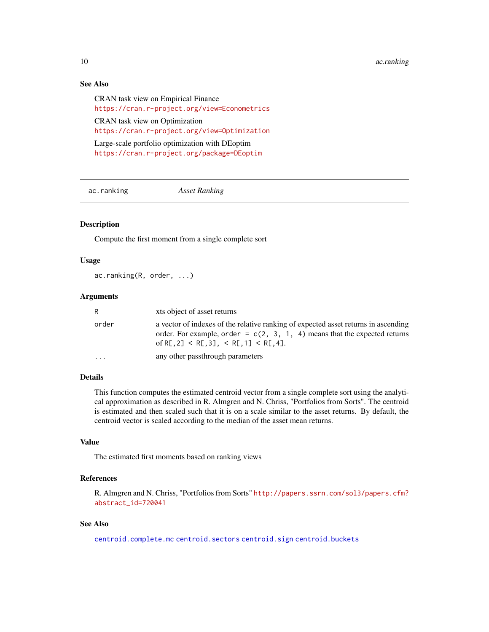#### <span id="page-9-0"></span>10 action 2012 and 2013 and 2013 and 2013 and 2013 and 2013 and 2013 and 2013 and 2013 and 2013 and 2013 and 2013 and 2013 and 2013 and 2013 and 2013 and 2013 and 2013 and 2013 and 2013 and 2013 and 2013 and 2013 and 2013

# See Also

CRAN task view on Empirical Finance <https://cran.r-project.org/view=Econometrics> CRAN task view on Optimization <https://cran.r-project.org/view=Optimization> Large-scale portfolio optimization with DEoptim <https://cran.r-project.org/package=DEoptim>

ac.ranking *Asset Ranking*

# Description

Compute the first moment from a single complete sort

# Usage

ac.ranking(R, order, ...)

#### Arguments

| R.        | xts object of asset returns                                                                                                                                                                                            |
|-----------|------------------------------------------------------------------------------------------------------------------------------------------------------------------------------------------------------------------------|
| order     | a vector of indexes of the relative ranking of expected asset returns in ascending<br>order. For example, order = $c(2, 3, 1, 4)$ means that the expected returns<br>of R[.2] $\leq R[.3]$ , $\leq R[.1] \leq R[.4]$ . |
| $\ddotsc$ | any other passthrough parameters                                                                                                                                                                                       |

# Details

This function computes the estimated centroid vector from a single complete sort using the analytical approximation as described in R. Almgren and N. Chriss, "Portfolios from Sorts". The centroid is estimated and then scaled such that it is on a scale similar to the asset returns. By default, the centroid vector is scaled according to the median of the asset mean returns.

#### Value

The estimated first moments based on ranking views

# References

R. Almgren and N. Chriss, "Portfolios from Sorts" [http://papers.ssrn.com/sol3/papers.cfm?](http://papers.ssrn.com/sol3/papers.cfm?abstract_id=720041) [abstract\\_id=720041](http://papers.ssrn.com/sol3/papers.cfm?abstract_id=720041)

#### See Also

[centroid.complete.mc](#page-22-1) [centroid.sectors](#page-23-1) [centroid.sign](#page-23-2) [centroid.buckets](#page-21-1)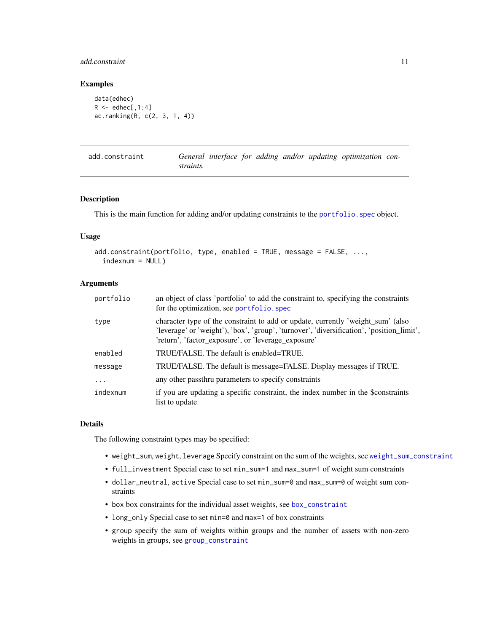# <span id="page-10-0"></span>add.constraint 11

# Examples

```
data(edhec)
R \leq - edhec[,1:4]
ac.ranking(R, c(2, 3, 1, 4))
```
<span id="page-10-1"></span>

| add.constraint |           |  |  | General interface for adding and/or updating optimization con- |  |
|----------------|-----------|--|--|----------------------------------------------------------------|--|
|                | straints. |  |  |                                                                |  |

# Description

This is the main function for adding and/or updating constraints to the [portfolio.spec](#page-88-1) object.

#### Usage

```
add.constraint(portfolio, type, enabled = TRUE, message = FALSE, ...,
  indexnum = NULL)
```
#### Arguments

| portfolio | an object of class 'portfolio' to add the constraint to, specifying the constraints<br>for the optimization, see portfolio. spec                                                                                                    |
|-----------|-------------------------------------------------------------------------------------------------------------------------------------------------------------------------------------------------------------------------------------|
| type      | character type of the constraint to add or update, currently 'weight_sum' (also<br>'leverage' or 'weight'), 'box', 'group', 'turnover', 'diversification', 'position_limit',<br>'return', 'factor_exposure', or 'leverage_exposure' |
| enabled   | TRUE/FALSE. The default is enabled=TRUE.                                                                                                                                                                                            |
| message   | TRUE/FALSE. The default is message=FALSE. Display messages if TRUE.                                                                                                                                                                 |
| $\cdot$   | any other passthru parameters to specify constraints                                                                                                                                                                                |
| indexnum  | if you are updating a specific constraint, the index number in the \$constraints<br>list to update                                                                                                                                  |

#### Details

The following constraint types may be specified:

- weight\_sum, weight, leverage Specify constraint on the sum of the weights, see [weight\\_sum\\_constraint](#page-119-1)
- full\_investment Special case to set min\_sum=1 and max\_sum=1 of weight sum constraints
- dollar\_neutral, active Special case to set min\_sum=0 and max\_sum=0 of weight sum constraints
- box box constraints for the individual asset weights, see [box\\_constraint](#page-19-1)
- long\_only Special case to set min=0 and max=1 of box constraints
- group specify the sum of weights within groups and the number of assets with non-zero weights in groups, see [group\\_constraint](#page-63-1)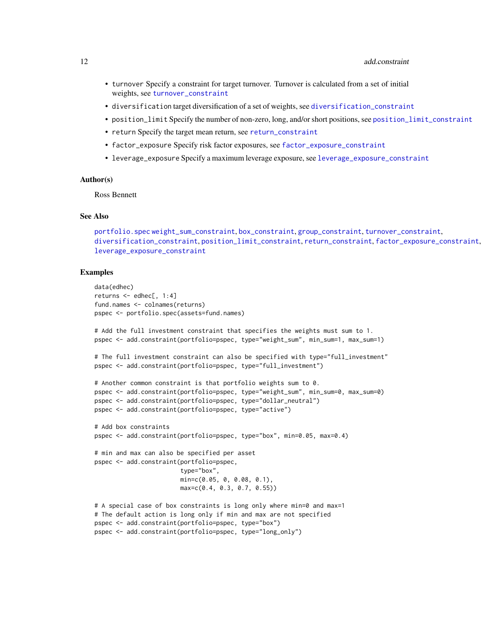- turnover Specify a constraint for target turnover. Turnover is calculated from a set of initial weights, see [turnover\\_constraint](#page-114-1)
- diversification target diversification of a set of weights, see [diversification\\_constraint](#page-46-1)
- position\_limit Specify the number of non-zero, long, and/or short positions, see [position\\_limit\\_constraint](#page-90-1)
- return Specify the target mean return, see [return\\_constraint](#page-102-1)
- factor\_exposure Specify risk factor exposures, see [factor\\_exposure\\_constraint](#page-56-1)
- leverage\_exposure Specify a maximum leverage exposure, see [leverage\\_exposure\\_constraint](#page-69-1)

#### Author(s)

Ross Bennett

#### See Also

```
portfolio.spec weight_sum_constraint, box_constraint, group_constraint, turnover_constraint,
diversification_constraint, position_limit_constraint, return_constraint, factor_exposure_constraint,
leverage_exposure_constraint
```
#### Examples

```
data(edhec)
returns <- edhec[, 1:4]
fund.names <- colnames(returns)
pspec <- portfolio.spec(assets=fund.names)
# Add the full investment constraint that specifies the weights must sum to 1.
pspec <- add.constraint(portfolio=pspec, type="weight_sum", min_sum=1, max_sum=1)
# The full investment constraint can also be specified with type="full_investment"
pspec <- add.constraint(portfolio=pspec, type="full_investment")
# Another common constraint is that portfolio weights sum to 0.
pspec <- add.constraint(portfolio=pspec, type="weight_sum", min_sum=0, max_sum=0)
pspec <- add.constraint(portfolio=pspec, type="dollar_neutral")
pspec <- add.constraint(portfolio=pspec, type="active")
# Add box constraints
pspec <- add.constraint(portfolio=pspec, type="box", min=0.05, max=0.4)
# min and max can also be specified per asset
pspec <- add.constraint(portfolio=pspec,
                        type="box",
                        min=c(0.05, 0, 0.08, 0.1),
                        max=c(0.4, 0.3, 0.7, 0.55))
# A special case of box constraints is long only where min=0 and max=1
# The default action is long only if min and max are not specified
pspec <- add.constraint(portfolio=pspec, type="box")
pspec <- add.constraint(portfolio=pspec, type="long_only")
```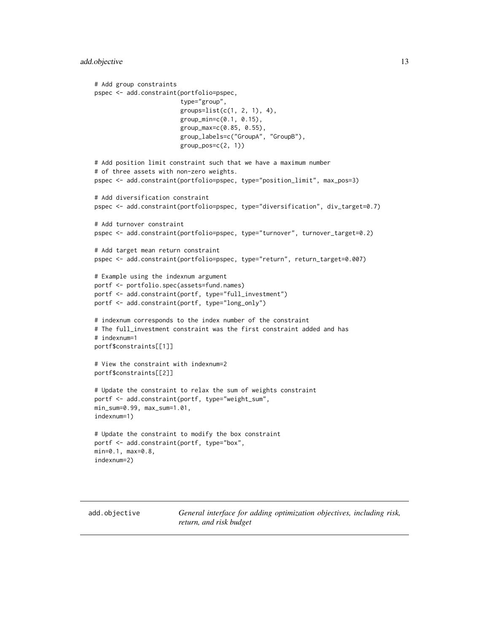```
# Add group constraints
pspec <- add.constraint(portfolio=pspec,
                        type="group",
                        groups=list(c(1, 2, 1), 4),
                        group_min=c(0.1, 0.15),
                        group_max=c(0.85, 0.55),
                        group_labels=c("GroupA", "GroupB"),
                        group_pos=c(2, 1))
# Add position limit constraint such that we have a maximum number
# of three assets with non-zero weights.
pspec <- add.constraint(portfolio=pspec, type="position_limit", max_pos=3)
# Add diversification constraint
pspec <- add.constraint(portfolio=pspec, type="diversification", div_target=0.7)
# Add turnover constraint
pspec <- add.constraint(portfolio=pspec, type="turnover", turnover_target=0.2)
# Add target mean return constraint
pspec <- add.constraint(portfolio=pspec, type="return", return_target=0.007)
# Example using the indexnum argument
portf <- portfolio.spec(assets=fund.names)
portf <- add.constraint(portf, type="full_investment")
portf <- add.constraint(portf, type="long_only")
# indexnum corresponds to the index number of the constraint
# The full_investment constraint was the first constraint added and has
# indexnum=1
portf$constraints[[1]]
# View the constraint with indexnum=2
portf$constraints[[2]]
# Update the constraint to relax the sum of weights constraint
portf <- add.constraint(portf, type="weight_sum",
min_sum=0.99, max_sum=1.01,
indexnum=1)
# Update the constraint to modify the box constraint
portf <- add.constraint(portf, type="box",
min=0.1, max=0.8,
indexnum=2)
```
<span id="page-12-1"></span>add.objective *General interface for adding optimization objectives, including risk, return, and risk budget*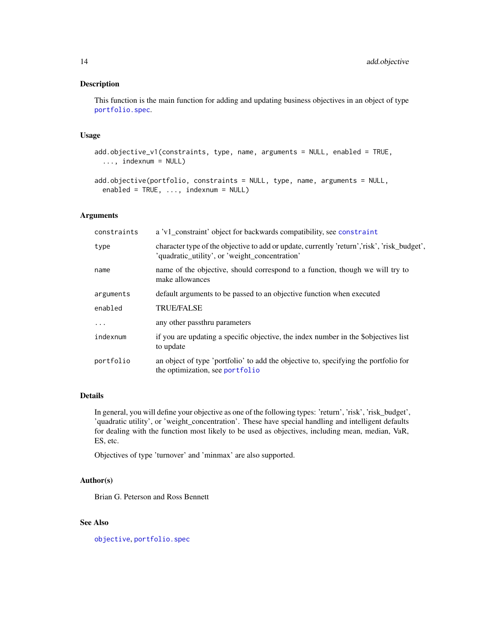# Description

This function is the main function for adding and updating business objectives in an object of type [portfolio.spec](#page-88-1).

#### Usage

```
add.objective_v1(constraints, type, name, arguments = NULL, enabled = TRUE,
  ..., indexnum = NULL)
```

```
add.objective(portfolio, constraints = NULL, type, name, arguments = NULL,
  enabled = TRUE, ..., indexnum = NULL)
```
# Arguments

| constraints | a 'v1_constraint' object for backwards compatibility, see constraint                                                                          |
|-------------|-----------------------------------------------------------------------------------------------------------------------------------------------|
| type        | character type of the objective to add or update, currently 'return','risk', 'risk_budget',<br>'quadratic utility', or 'weight concentration' |
| name        | name of the objective, should correspond to a function, though we will try to<br>make allowances                                              |
| arguments   | default arguments to be passed to an objective function when executed                                                                         |
| enabled     | <b>TRUE/FALSE</b>                                                                                                                             |
| $\cdot$     | any other passthru parameters                                                                                                                 |
| indexnum    | if you are updating a specific objective, the index number in the \$objectives list<br>to update                                              |
| portfolio   | an object of type 'portfolio' to add the objective to, specifying the portfolio for<br>the optimization, see portfolio                        |

# Details

In general, you will define your objective as one of the following types: 'return', 'risk', 'risk\_budget', 'quadratic utility', or 'weight\_concentration'. These have special handling and intelligent defaults for dealing with the function most likely to be used as objectives, including mean, median, VaR, ES, etc.

Objectives of type 'turnover' and 'minmax' are also supported.

#### Author(s)

Brian G. Peterson and Ross Bennett

# See Also

[objective](#page-76-1), [portfolio.spec](#page-88-1)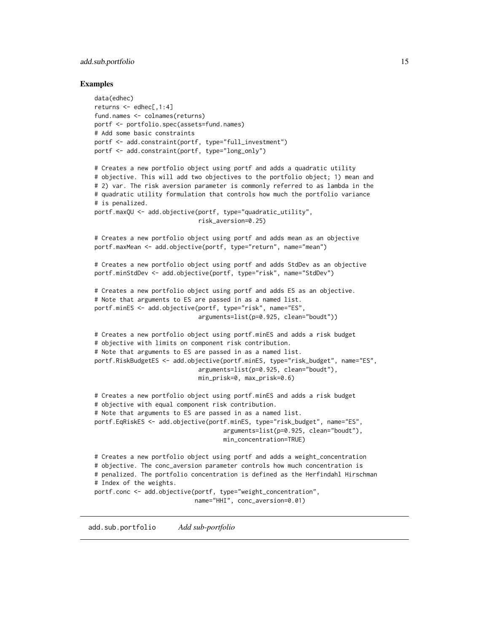#### <span id="page-14-0"></span>add.sub.portfolio 15

#### Examples

```
data(edhec)
returns \leq edhec[,1:4]
fund.names <- colnames(returns)
portf <- portfolio.spec(assets=fund.names)
# Add some basic constraints
portf <- add.constraint(portf, type="full_investment")
portf <- add.constraint(portf, type="long_only")
# Creates a new portfolio object using portf and adds a quadratic utility
# objective. This will add two objectives to the portfolio object; 1) mean and
# 2) var. The risk aversion parameter is commonly referred to as lambda in the
# quadratic utility formulation that controls how much the portfolio variance
# is penalized.
portf.maxQU <- add.objective(portf, type="quadratic_utility",
                             risk_aversion=0.25)
# Creates a new portfolio object using portf and adds mean as an objective
portf.maxMean <- add.objective(portf, type="return", name="mean")
# Creates a new portfolio object using portf and adds StdDev as an objective
portf.minStdDev <- add.objective(portf, type="risk", name="StdDev")
# Creates a new portfolio object using portf and adds ES as an objective.
# Note that arguments to ES are passed in as a named list.
portf.minES <- add.objective(portf, type="risk", name="ES",
                             arguments=list(p=0.925, clean="boudt"))
# Creates a new portfolio object using portf.minES and adds a risk budget
# objective with limits on component risk contribution.
# Note that arguments to ES are passed in as a named list.
portf.RiskBudgetES <- add.objective(portf.minES, type="risk_budget", name="ES",
                             arguments=list(p=0.925, clean="boudt"),
                             min_prisk=0, max_prisk=0.6)
# Creates a new portfolio object using portf.minES and adds a risk budget
# objective with equal component risk contribution.
# Note that arguments to ES are passed in as a named list.
portf.EqRiskES <- add.objective(portf.minES, type="risk_budget", name="ES",
                                    arguments=list(p=0.925, clean="boudt"),
                                    min_concentration=TRUE)
# Creates a new portfolio object using portf and adds a weight_concentration
# objective. The conc_aversion parameter controls how much concentration is
# penalized. The portfolio concentration is defined as the Herfindahl Hirschman
# Index of the weights.
portf.conc <- add.objective(portf, type="weight_concentration",
                            name="HHI", conc_aversion=0.01)
```
add.sub.portfolio *Add sub-portfolio*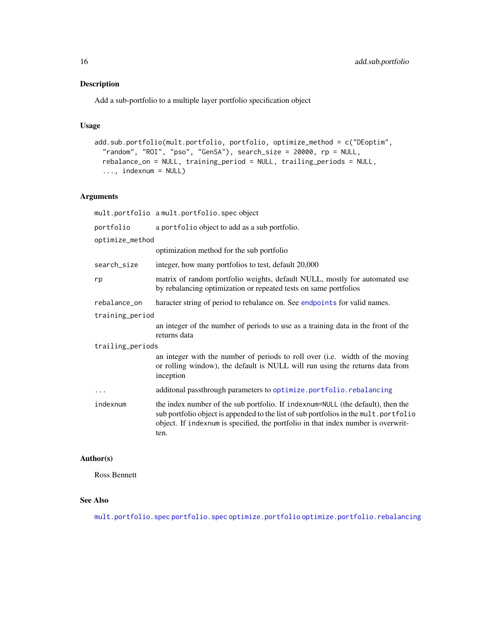# Description

Add a sub-portfolio to a multiple layer portfolio specification object

#### Usage

```
add.sub.portfolio(mult.portfolio, portfolio, optimize_method = c("DEoptim",
  "random", "ROI", "pso", "GenSA"), search_size = 20000, rp = NULL,
  rebalance_on = NULL, training_period = NULL, trailing_periods = NULL,
  ..., indexnum = NULL)
```
# Arguments

|                  | mult.portfolio a mult.portfolio.spec object                                                                                                                                                                                                                          |  |  |
|------------------|----------------------------------------------------------------------------------------------------------------------------------------------------------------------------------------------------------------------------------------------------------------------|--|--|
| portfolio        | a portfolio object to add as a sub portfolio.                                                                                                                                                                                                                        |  |  |
| optimize_method  |                                                                                                                                                                                                                                                                      |  |  |
|                  | optimization method for the sub portfolio                                                                                                                                                                                                                            |  |  |
| search_size      | integer, how many portfolios to test, default 20,000                                                                                                                                                                                                                 |  |  |
| rp               | matrix of random portfolio weights, default NULL, mostly for automated use<br>by rebalancing optimization or repeated tests on same portfolios                                                                                                                       |  |  |
| rebalance_on     | haracter string of period to rebalance on. See endpoints for valid names.                                                                                                                                                                                            |  |  |
| training_period  |                                                                                                                                                                                                                                                                      |  |  |
|                  | an integer of the number of periods to use as a training data in the front of the<br>returns data                                                                                                                                                                    |  |  |
| trailing_periods |                                                                                                                                                                                                                                                                      |  |  |
|                  | an integer with the number of periods to roll over (i.e. width of the moving<br>or rolling window), the default is NULL will run using the returns data from<br>inception                                                                                            |  |  |
| $\ddotsc$        | additonal passthrough parameters to optimize.portfolio.rebalancing                                                                                                                                                                                                   |  |  |
| indexnum         | the index number of the sub portfolio. If indexnum=NULL (the default), then the<br>sub portfolio object is appended to the list of sub portfolios in the mult.portfolio<br>object. If indexnum is specified, the portfolio in that index number is overwrit-<br>ten. |  |  |

#### Author(s)

Ross Bennett

# See Also

[mult.portfolio.spec](#page-75-1) [portfolio.spec](#page-88-1) [optimize.portfolio](#page-77-1) [optimize.portfolio.rebalancing](#page-82-1)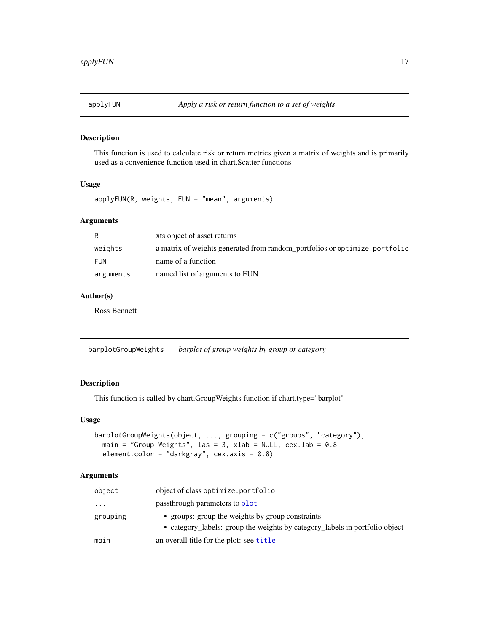<span id="page-16-0"></span>

# Description

This function is used to calculate risk or return metrics given a matrix of weights and is primarily used as a convenience function used in chart.Scatter functions

# Usage

applyFUN(R, weights, FUN = "mean", arguments)

# Arguments

| R          | xts object of asset returns                                                 |
|------------|-----------------------------------------------------------------------------|
| weights    | a matrix of weights generated from random portfolios or optimize. portfolio |
| <b>FUN</b> | name of a function                                                          |
| arguments  | named list of arguments to FUN                                              |

# Author(s)

Ross Bennett

barplotGroupWeights *barplot of group weights by group or category*

# Description

This function is called by chart.GroupWeights function if chart.type="barplot"

### Usage

```
barplotGroupWeights(object, ..., grouping = c("groups", "category"),
 main = "Group Weights", las = 3, xlab = NULL, cex.lab = 0.8,
 element.color = "darkgray", cex.axis = 0.8)
```
#### Arguments

| object    | object of class optimize.portfolio                                                                                              |
|-----------|---------------------------------------------------------------------------------------------------------------------------------|
| $\ddotsc$ | passthrough parameters to plot                                                                                                  |
| grouping  | • groups: group the weights by group constraints<br>• category_labels: group the weights by category_labels in portfolio object |
| main      | an overall title for the plot: see title                                                                                        |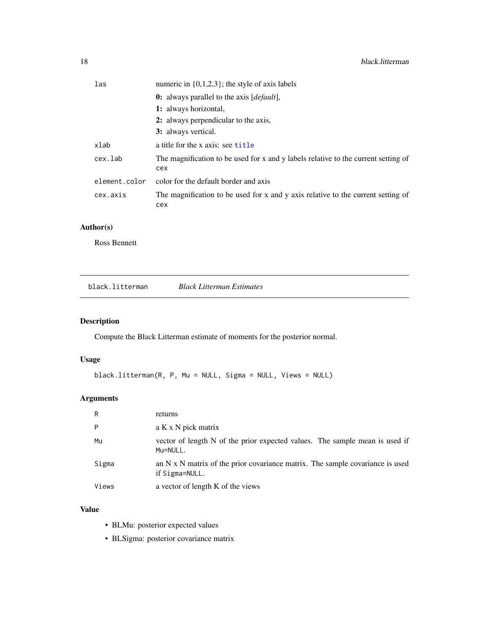<span id="page-17-0"></span>

| las           | numeric in $\{0,1,2,3\}$ ; the style of axis labels                                       |  |  |  |
|---------------|-------------------------------------------------------------------------------------------|--|--|--|
|               | <b>0:</b> always parallel to the axis [ <i>default</i> ],                                 |  |  |  |
|               | 1: always horizontal,                                                                     |  |  |  |
|               | 2: always perpendicular to the axis,                                                      |  |  |  |
|               | 3: always vertical.                                                                       |  |  |  |
| xlab          | a title for the x axis: see title                                                         |  |  |  |
| cex.lab       | The magnification to be used for x and y labels relative to the current setting of<br>cex |  |  |  |
| element.color | color for the default border and axis                                                     |  |  |  |
| cex.axis      | The magnification to be used for x and y axis relative to the current setting of<br>cex   |  |  |  |

# Author(s)

Ross Bennett

black.litterman *Black Litterman Estimates*

# Description

Compute the Black Litterman estimate of moments for the posterior normal.

# Usage

```
black.litterman(R, P, Mu = NULL, Sigma = NULL, Views = NULL)
```
# Arguments

| R     | returns                                                                                                |
|-------|--------------------------------------------------------------------------------------------------------|
| P     | a K x N pick matrix                                                                                    |
| Mu    | vector of length N of the prior expected values. The sample mean is used if<br>Mu=NULL.                |
| Sigma | an $N \times N$ matrix of the prior covariance matrix. The sample covariance is used<br>if Sigma=NULL. |
| Views | a vector of length K of the views                                                                      |

# Value

- BLMu: posterior expected values
- BLSigma: posterior covariance matrix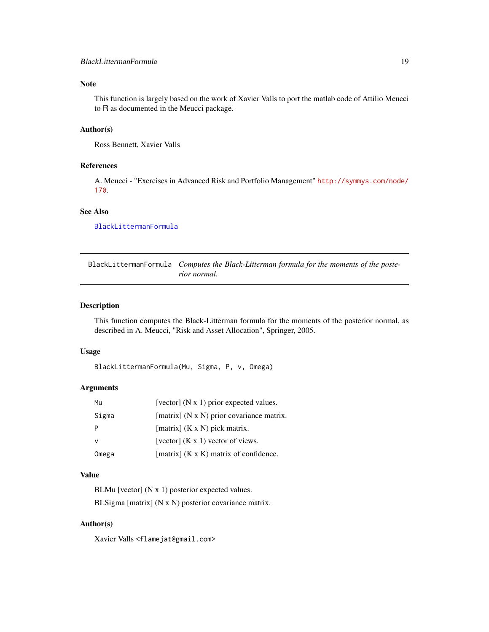# <span id="page-18-0"></span>Note

This function is largely based on the work of Xavier Valls to port the matlab code of Attilio Meucci to R as documented in the Meucci package.

#### Author(s)

Ross Bennett, Xavier Valls

# References

A. Meucci - "Exercises in Advanced Risk and Portfolio Management" [http://symmys.com/node/](http://symmys.com/node/170) [170](http://symmys.com/node/170).

# See Also

[BlackLittermanFormula](#page-18-1)

<span id="page-18-1"></span>BlackLittermanFormula *Computes the Black-Litterman formula for the moments of the posterior normal.*

#### Description

This function computes the Black-Litterman formula for the moments of the posterior normal, as described in A. Meucci, "Risk and Asset Allocation", Springer, 2005.

#### Usage

BlackLittermanFormula(Mu, Sigma, P, v, Omega)

#### Arguments

| Mu    | [vector] $(N x 1)$ prior expected values.     |
|-------|-----------------------------------------------|
| Sigma | [matrix] (N x N) prior covariance matrix.     |
|       | [matrix] $(K \times N)$ pick matrix.          |
| ν     | [vector] $(K x 1)$ vector of views.           |
| Omega | [matrix] $(K \times K)$ matrix of confidence. |

# Value

BLMu [vector] (N x 1) posterior expected values. BLSigma [matrix] (N x N) posterior covariance matrix.

#### Author(s)

Xavier Valls <flamejat@gmail.com>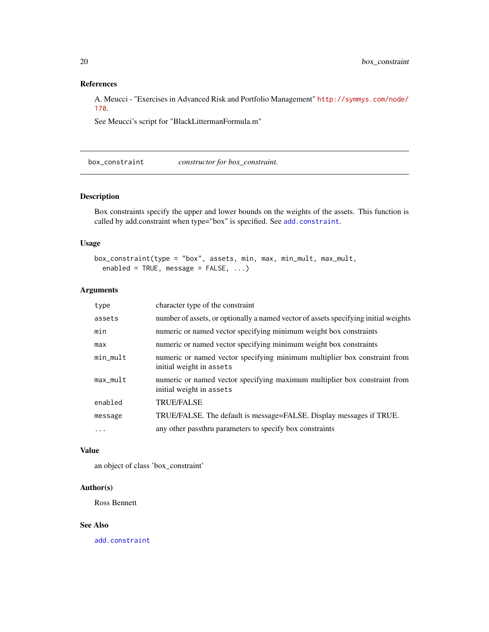# <span id="page-19-0"></span>References

A. Meucci - "Exercises in Advanced Risk and Portfolio Management" [http://symmys.com/node/](http://symmys.com/node/170) [170](http://symmys.com/node/170).

See Meucci's script for "BlackLittermanFormula.m"

<span id="page-19-1"></span>box\_constraint *constructor for box\_constraint.*

# Description

Box constraints specify the upper and lower bounds on the weights of the assets. This function is called by add.constraint when type="box" is specified. See [add.constraint](#page-10-1).

# Usage

```
box_constraint(type = "box", assets, min, max, min_mult, max_mult,
  enabled = TRUE, message = FALSE, ...)
```
# Arguments

| type       | character type of the constraint                                                                      |
|------------|-------------------------------------------------------------------------------------------------------|
| assets     | number of assets, or optionally a named vector of assets specifying initial weights                   |
| min        | numeric or named vector specifying minimum weight box constraints                                     |
| max        | numeric or named vector specifying minimum weight box constraints                                     |
| $min_mull$ | numeric or named vector specifying minimum multiplier box constraint from<br>initial weight in assets |
| $max_mult$ | numeric or named vector specifying maximum multiplier box constraint from<br>initial weight in assets |
| enabled    | <b>TRUE/FALSE</b>                                                                                     |
| message    | TRUE/FALSE. The default is message=FALSE. Display messages if TRUE.                                   |
| .          | any other passthru parameters to specify box constraints                                              |

#### Value

an object of class 'box\_constraint'

#### Author(s)

Ross Bennett

# See Also

[add.constraint](#page-10-1)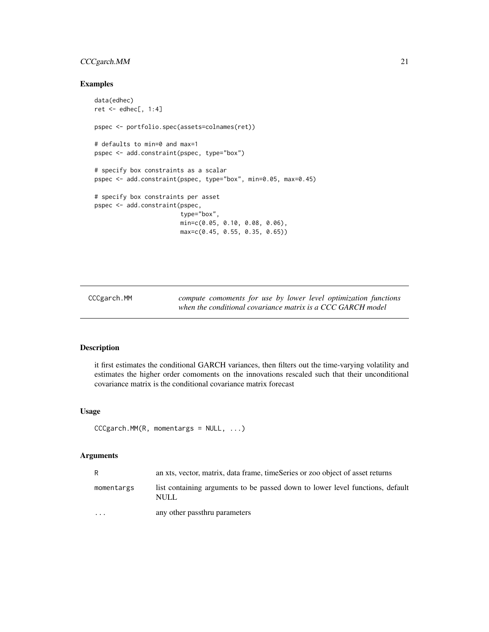# <span id="page-20-0"></span>CCCgarch.MM 21

# Examples

```
data(edhec)
ret <- edhec[, 1:4]
pspec <- portfolio.spec(assets=colnames(ret))
# defaults to min=0 and max=1
pspec <- add.constraint(pspec, type="box")
# specify box constraints as a scalar
pspec <- add.constraint(pspec, type="box", min=0.05, max=0.45)
# specify box constraints per asset
pspec <- add.constraint(pspec,
                        type="box",
                        min=c(0.05, 0.10, 0.08, 0.06),
                        max=c(0.45, 0.55, 0.35, 0.65))
```
CCCgarch.MM *compute comoments for use by lower level optimization functions when the conditional covariance matrix is a CCC GARCH model*

#### Description

it first estimates the conditional GARCH variances, then filters out the time-varying volatility and estimates the higher order comoments on the innovations rescaled such that their unconditional covariance matrix is the conditional covariance matrix forecast

# Usage

```
CCCgarch.MM(R, momentargs = NULL, ...)
```
#### Arguments

| R                       | an xts, vector, matrix, data frame, timeSeries or zoo object of asset returns          |
|-------------------------|----------------------------------------------------------------------------------------|
| momentargs              | list containing arguments to be passed down to lower level functions, default<br>NULL. |
| $\cdot$ $\cdot$ $\cdot$ | any other passthru parameters                                                          |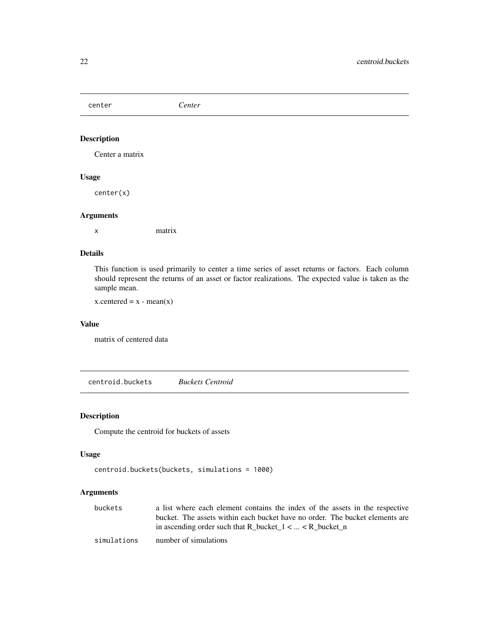<span id="page-21-0"></span>center *Center*

# Description

Center a matrix

#### Usage

center(x)

#### Arguments

x matrix

# Details

This function is used primarily to center a time series of asset returns or factors. Each column should represent the returns of an asset or factor realizations. The expected value is taken as the sample mean.

 $x$ .centered =  $x$  - mean( $x$ )

#### Value

matrix of centered data

<span id="page-21-1"></span>centroid.buckets *Buckets Centroid*

# Description

Compute the centroid for buckets of assets

#### Usage

```
centroid.buckets(buckets, simulations = 1000)
```
# Arguments

| buckets     | a list where each element contains the index of the assets in the respective |
|-------------|------------------------------------------------------------------------------|
|             | bucket. The assets within each bucket have no order. The bucket elements are |
|             | in ascending order such that R_bucket_1 <  < R_bucket_n                      |
| simulations | number of simulations                                                        |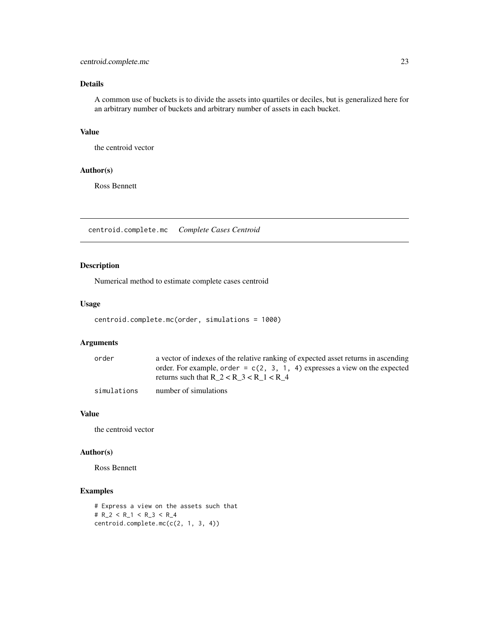# <span id="page-22-0"></span>centroid.complete.mc 23

# Details

A common use of buckets is to divide the assets into quartiles or deciles, but is generalized here for an arbitrary number of buckets and arbitrary number of assets in each bucket.

# Value

the centroid vector

#### Author(s)

Ross Bennett

<span id="page-22-1"></span>centroid.complete.mc *Complete Cases Centroid*

# Description

Numerical method to estimate complete cases centroid

# Usage

```
centroid.complete.mc(order, simulations = 1000)
```
# Arguments

| order       | a vector of indexes of the relative ranking of expected asset returns in ascending |
|-------------|------------------------------------------------------------------------------------|
|             | order. For example, order = $c(2, 3, 1, 4)$ expresses a view on the expected       |
|             | returns such that R $2 < R$ 3 $< R$ 1 $< R$ 4                                      |
| simulations | number of simulations                                                              |

# Value

the centroid vector

# Author(s)

Ross Bennett

# Examples

```
# Express a view on the assets such that
# R_2 < R_1 < R_3 < R_4
centroid.complete.mc(c(2, 1, 3, 4))
```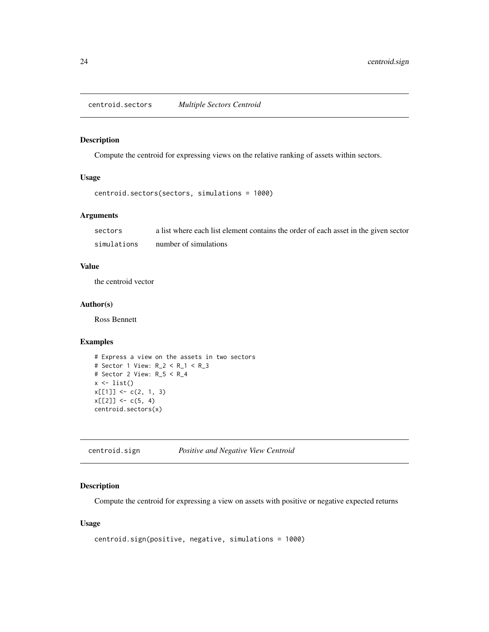<span id="page-23-1"></span><span id="page-23-0"></span>centroid.sectors *Multiple Sectors Centroid*

# Description

Compute the centroid for expressing views on the relative ranking of assets within sectors.

# Usage

```
centroid.sectors(sectors, simulations = 1000)
```
# Arguments

| sectors     | a list where each list element contains the order of each asset in the given sector |
|-------------|-------------------------------------------------------------------------------------|
| simulations | number of simulations                                                               |

# Value

the centroid vector

#### Author(s)

Ross Bennett

# Examples

```
# Express a view on the assets in two sectors
# Sector 1 View: R_2 < R_1 < R_3
# Sector 2 View: R_5 < R_4
x \leftarrow list()
x[[1]] \leftarrow c(2, 1, 3)x[[2]] \leftarrow c(5, 4)centroid.sectors(x)
```
<span id="page-23-2"></span>centroid.sign *Positive and Negative View Centroid*

# Description

Compute the centroid for expressing a view on assets with positive or negative expected returns

# Usage

```
centroid.sign(positive, negative, simulations = 1000)
```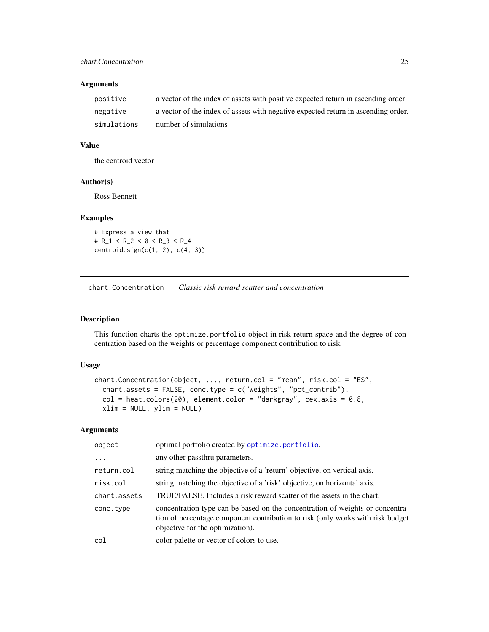#### <span id="page-24-0"></span>Arguments

| positive    | a vector of the index of assets with positive expected return in ascending order  |
|-------------|-----------------------------------------------------------------------------------|
| negative    | a vector of the index of assets with negative expected return in ascending order. |
| simulations | number of simulations                                                             |

# Value

the centroid vector

# Author(s)

Ross Bennett

### Examples

# Express a view that # R\_1 < R\_2 < 0 < R\_3 < R\_4 centroid.sign(c(1, 2), c(4, 3))

chart.Concentration *Classic risk reward scatter and concentration*

#### Description

This function charts the optimize.portfolio object in risk-return space and the degree of concentration based on the weights or percentage component contribution to risk.

# Usage

```
chart.Concentration(object, ..., return.col = "mean", risk.col = "ES",
 chart.assets = FALSE, conc.type = c("weights", "pct_contrib"),
 col = heatcolor(20), element.color = "darkgray", cex.axis = 0.8,
 xlim = NULL, ylim = NULL)
```
#### Arguments

| object       | optimal portfolio created by optimize.portfolio.                                                                                                                                                    |
|--------------|-----------------------------------------------------------------------------------------------------------------------------------------------------------------------------------------------------|
| .            | any other passthru parameters.                                                                                                                                                                      |
| return.col   | string matching the objective of a 'return' objective, on vertical axis.                                                                                                                            |
| risk.col     | string matching the objective of a 'risk' objective, on horizontal axis.                                                                                                                            |
| chart.assets | TRUE/FALSE. Includes a risk reward scatter of the assets in the chart.                                                                                                                              |
| conc.type    | concentration type can be based on the concentration of weights or concentra-<br>tion of percentage component contribution to risk (only works with risk budget<br>objective for the optimization). |
| col          | color palette or vector of colors to use.                                                                                                                                                           |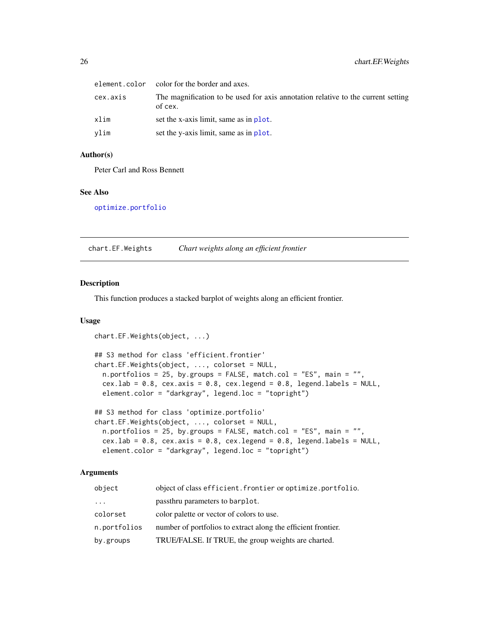<span id="page-25-0"></span>

|          | element.color color for the border and axes.                                                |
|----------|---------------------------------------------------------------------------------------------|
| cex.axis | The magnification to be used for axis annotation relative to the current setting<br>of cex. |
| xlim     | set the x-axis limit, same as in plot.                                                      |
| vlim     | set the y-axis limit, same as in plot.                                                      |

#### Author(s)

Peter Carl and Ross Bennett

#### See Also

[optimize.portfolio](#page-77-1)

<span id="page-25-1"></span>chart.EF.Weights *Chart weights along an efficient frontier*

#### Description

This function produces a stacked barplot of weights along an efficient frontier.

# Usage

```
chart.EF.Weights(object, ...)
## S3 method for class 'efficient.frontier'
chart.EF.Weights(object, ..., colorset = NULL,
  n. portfolios = 25, by.groups = FALSE, match.col = "ES", main = "",
  cex.lab = 0.8, cex.axis = 0.8, cex.legend = 0.8, legend.labels = NULL,
  element.color = "darkgray", legend.loc = "topright")
## S3 method for class 'optimize.portfolio'
chart.EF.Weights(object, ..., colorset = NULL,
  n.portfolios = 25, by.groups = FALSE, match.col = "ES", main = "",
 cex.lab = 0.8, cex.axis = 0.8, cex.legend = 0.8, legend.labels = NULL,
```
# Arguments

| object                  | object of class efficient. frontier or optimize. portfolio.   |
|-------------------------|---------------------------------------------------------------|
| $\cdot$ $\cdot$ $\cdot$ | passthru parameters to barplot.                               |
| colorset                | color palette or vector of colors to use.                     |
| n.portfolios            | number of portfolios to extract along the efficient frontier. |
| by.groups               | TRUE/FALSE. If TRUE, the group weights are charted.           |

element.color = "darkgray", legend.loc = "topright")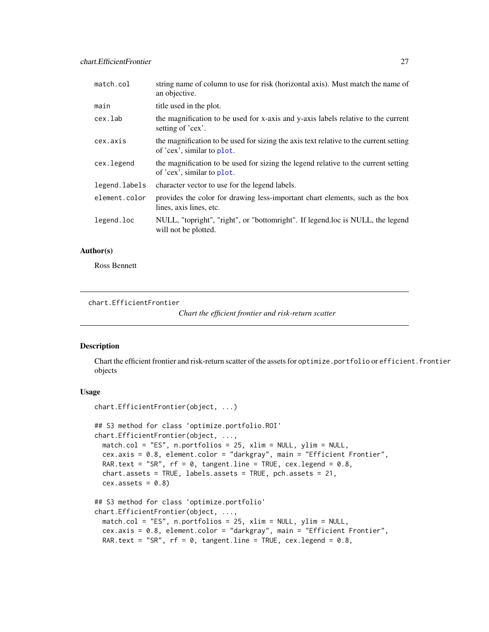<span id="page-26-0"></span>

| match.col     | string name of column to use for risk (horizontal axis). Must match the name of<br>an objective.                    |
|---------------|---------------------------------------------------------------------------------------------------------------------|
| main          | title used in the plot.                                                                                             |
| cex.lab       | the magnification to be used for x-axis and y-axis labels relative to the current<br>setting of 'cex'.              |
| cex.axis      | the magnification to be used for sizing the axis text relative to the current setting<br>of 'cex', similar to plot. |
| cex.legend    | the magnification to be used for sizing the legend relative to the current setting<br>of 'cex', similar to plot.    |
| legend.labels | character vector to use for the legend labels.                                                                      |
| element.color | provides the color for drawing less-important chart elements, such as the box<br>lines, axis lines, etc.            |
| legend.loc    | NULL, "topright", "right", or "bottomright". If legend.loc is NULL, the legend<br>will not be plotted.              |

#### Author(s)

Ross Bennett

<span id="page-26-1"></span>chart.EfficientFrontier

*Chart the efficient frontier and risk-return scatter*

# Description

Chart the efficient frontier and risk-return scatter of the assets for optimize.portfolio or efficient.frontier objects

# Usage

```
chart.EfficientFrontier(object, ...)
## S3 method for class 'optimize.portfolio.ROI'
chart.EfficientFrontier(object, ...,
 match.col = "ES", n.portfolios = 25, xlim = NULL, ylim = NULL,
  cex.axis = 0.8, element.color = "darkgray", main = "Efficient Frontier",
 RAR.text = "SR", rf = 0, tangent.line = TRUE, cex.length = 0.8,
  chart.assets = TRUE, labels.assets = TRUE, pch.assets = 21,
  cex. assets = 0.8)## S3 method for class 'optimize.portfolio'
chart.EfficientFrontier(object, ...,
 match.col = "ES", n.portfolios = 25, xlim = NULL, ylim = NULL,
  cex.axis = 0.8, element.color = "darkgray", main = "Efficient Frontier",
 RAR.text = "SR", rf = 0, tangent.line = TRUE, cex.length = 0.8,
```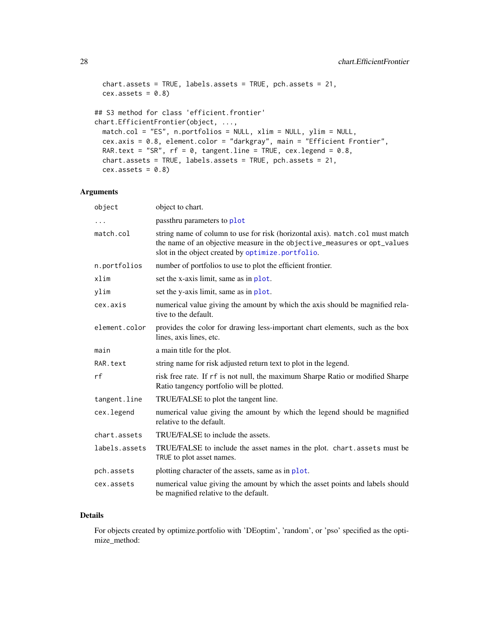```
chart.assets = TRUE, labels.assets = TRUE, pch.assets = 21,
 cex. assets = 0.8## S3 method for class 'efficient.frontier'
chart.EfficientFrontier(object, ...,
 match.col = "ES", n.portfolios = NULL, xlim = NULL, ylim = NULL,
 cex.axis = 0.8, element.color = "darkgray", main = "Efficient Frontier",
 RAR.text = "SR", rf = 0, tangent.line = TRUE, cex.legend = 0.8,
 chart.assets = TRUE, labels.assets = TRUE, pch.assets = 21,
 cex. assets = 0.8
```
# Arguments

| object        | object to chart.                                                                                                                                                                                               |
|---------------|----------------------------------------------------------------------------------------------------------------------------------------------------------------------------------------------------------------|
|               | passthru parameters to plot                                                                                                                                                                                    |
| match.col     | string name of column to use for risk (horizontal axis). match.col must match<br>the name of an objective measure in the objective_measures or opt_values<br>slot in the object created by optimize.portfolio. |
| n.portfolios  | number of portfolios to use to plot the efficient frontier.                                                                                                                                                    |
| xlim          | set the x-axis limit, same as in plot.                                                                                                                                                                         |
| ylim          | set the y-axis limit, same as in plot.                                                                                                                                                                         |
| cex.axis      | numerical value giving the amount by which the axis should be magnified rela-<br>tive to the default.                                                                                                          |
| element.color | provides the color for drawing less-important chart elements, such as the box<br>lines, axis lines, etc.                                                                                                       |
| main          | a main title for the plot.                                                                                                                                                                                     |
| RAR.text      | string name for risk adjusted return text to plot in the legend.                                                                                                                                               |
| rf            | risk free rate. If rf is not null, the maximum Sharpe Ratio or modified Sharpe<br>Ratio tangency portfolio will be plotted.                                                                                    |
| tangent.line  | TRUE/FALSE to plot the tangent line.                                                                                                                                                                           |
| cex.legend    | numerical value giving the amount by which the legend should be magnified<br>relative to the default.                                                                                                          |
| chart.assets  | TRUE/FALSE to include the assets.                                                                                                                                                                              |
| labels.assets | TRUE/FALSE to include the asset names in the plot. chart. assets must be<br>TRUE to plot asset names.                                                                                                          |
| pch.assets    | plotting character of the assets, same as in plot.                                                                                                                                                             |
| cex.assets    | numerical value giving the amount by which the asset points and labels should<br>be magnified relative to the default.                                                                                         |

#### Details

For objects created by optimize.portfolio with 'DEoptim', 'random', or 'pso' specified as the optimize\_method: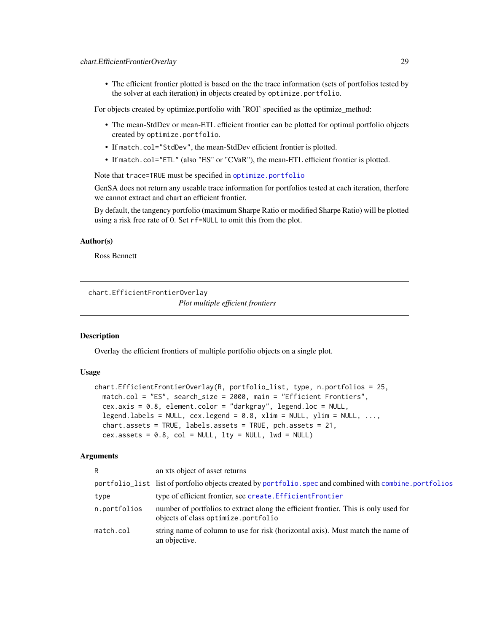<span id="page-28-0"></span>• The efficient frontier plotted is based on the the trace information (sets of portfolios tested by the solver at each iteration) in objects created by optimize.portfolio.

For objects created by optimize.portfolio with 'ROI' specified as the optimize\_method:

- The mean-StdDev or mean-ETL efficient frontier can be plotted for optimal portfolio objects created by optimize.portfolio.
- If match.col="StdDev", the mean-StdDev efficient frontier is plotted.
- If match.col="ETL" (also "ES" or "CVaR"), the mean-ETL efficient frontier is plotted.

Note that trace=TRUE must be specified in [optimize.portfolio](#page-77-1)

GenSA does not return any useable trace information for portfolios tested at each iteration, therfore we cannot extract and chart an efficient frontier.

By default, the tangency portfolio (maximum Sharpe Ratio or modified Sharpe Ratio) will be plotted using a risk free rate of 0. Set rf=NULL to omit this from the plot.

# Author(s)

Ross Bennett

```
chart.EfficientFrontierOverlay
```
*Plot multiple efficient frontiers*

#### Description

Overlay the efficient frontiers of multiple portfolio objects on a single plot.

# Usage

```
chart.EfficientFrontierOverlay(R, portfolio_list, type, n.portfolios = 25,
 match.col = "ES", search_size = 2000, main = "Efficient Frontiers",
 cex.axis = 0.8, element.color = "darkgray", legend.loc = NULL,
  legend.labels = NULL, cex.legend = 0.8, xlim = NULL, ylim = NULL, ...,
  chart.assets = TRUE, labels.assets = TRUE, pch.assets = 21,
  cex. assets = 0.8, col = NULL, lty = NULL, lwd = NULL)
```
#### Arguments

| R            | an xts object of asset returns                                                                                             |
|--------------|----------------------------------------------------------------------------------------------------------------------------|
|              | portfolio_list list of portfolio objects created by portfolio. spec and combined with combine. portfolios                  |
| type         | type of efficient frontier, see create. Efficient Frontier                                                                 |
| n.portfolios | number of portfolios to extract along the efficient frontier. This is only used for<br>objects of class optimize.portfolio |
| match.col    | string name of column to use for risk (horizontal axis). Must match the name of<br>an objective.                           |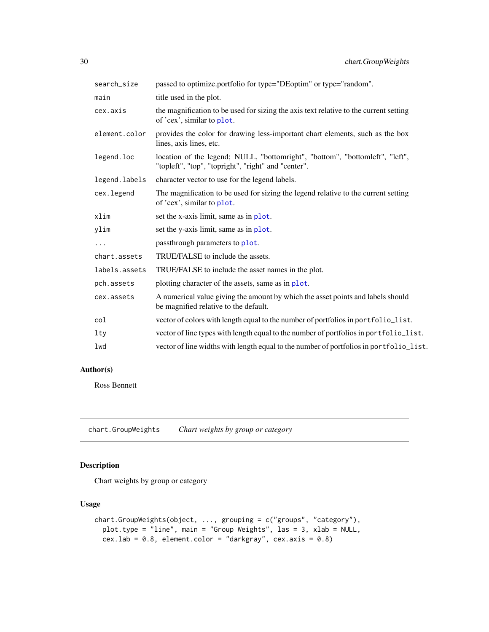<span id="page-29-0"></span>

| search_size   | passed to optimize portfolio for type="DEoptim" or type="random".                                                                   |
|---------------|-------------------------------------------------------------------------------------------------------------------------------------|
| main          | title used in the plot.                                                                                                             |
| cex.axis      | the magnification to be used for sizing the axis text relative to the current setting<br>of 'cex', similar to plot.                 |
| element.color | provides the color for drawing less-important chart elements, such as the box<br>lines, axis lines, etc.                            |
| legend.loc    | location of the legend; NULL, "bottomright", "bottom", "bottomleft", "left",<br>"topleft", "top", "topright", "right" and "center". |
| legend.labels | character vector to use for the legend labels.                                                                                      |
| cex.legend    | The magnification to be used for sizing the legend relative to the current setting<br>of 'cex', similar to plot.                    |
| xlim          | set the x-axis limit, same as in plot.                                                                                              |
| ylim          | set the y-axis limit, same as in plot.                                                                                              |
| $\ddots$      | passthrough parameters to plot.                                                                                                     |
| chart.assets  | TRUE/FALSE to include the assets.                                                                                                   |
| labels.assets | TRUE/FALSE to include the asset names in the plot.                                                                                  |
| pch.assets    | plotting character of the assets, same as in plot.                                                                                  |
| cex.assets    | A numerical value giving the amount by which the asset points and labels should<br>be magnified relative to the default.            |
| col           | vector of colors with length equal to the number of portfolios in portfolio_list.                                                   |
| 1ty           | vector of line types with length equal to the number of portfolios in portfolio_list.                                               |
| lwd           | vector of line widths with length equal to the number of portfolios in portfolio_list.                                              |

# Author(s)

Ross Bennett

chart.GroupWeights *Chart weights by group or category*

# Description

Chart weights by group or category

# Usage

```
chart.GroupWeights(object, ..., grouping = c("groups", "category"),
 plot.type = "line", main = "Group Weights", las = 3, xlab = NULL,
 cex.lab = 0.8, element.color = "darkgray", cex.axis = 0.8)
```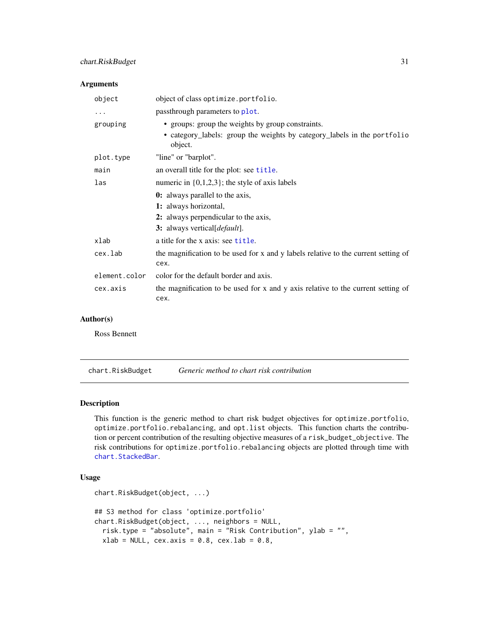# <span id="page-30-0"></span>chart.RiskBudget 31

#### Arguments

| object        | object of class optimize.portfolio.                                                                                                      |
|---------------|------------------------------------------------------------------------------------------------------------------------------------------|
| $\ddots$      | passthrough parameters to plot.                                                                                                          |
| grouping      | • groups: group the weights by group constraints.<br>• category_labels: group the weights by category_labels in the portfolio<br>object. |
| plot.type     | "line" or "barplot".                                                                                                                     |
| main          | an overall title for the plot: see title.                                                                                                |
| las           | numeric in $\{0,1,2,3\}$ ; the style of axis labels                                                                                      |
|               | <b>0:</b> always parallel to the axis,                                                                                                   |
|               | 1: always horizontal,                                                                                                                    |
|               | 2: always perpendicular to the axis,                                                                                                     |
|               | 3: always vertical [ <i>default</i> ].                                                                                                   |
| xlab          | a title for the x axis: see title.                                                                                                       |
| cex.lab       | the magnification to be used for x and y labels relative to the current setting of<br>cex.                                               |
| element.color | color for the default border and axis.                                                                                                   |
| cex.axis      | the magnification to be used for x and y axis relative to the current setting of<br>cex.                                                 |

# Author(s)

Ross Bennett

<span id="page-30-1"></span>chart.RiskBudget *Generic method to chart risk contribution*

# Description

This function is the generic method to chart risk budget objectives for optimize.portfolio, optimize.portfolio.rebalancing, and opt.list objects. This function charts the contribution or percent contribution of the resulting objective measures of a risk\_budget\_objective. The risk contributions for optimize.portfolio.rebalancing objects are plotted through time with [chart.StackedBar](#page-0-0).

#### Usage

```
chart.RiskBudget(object, ...)
## S3 method for class 'optimize.portfolio'
chart.RiskBudget(object, ..., neighbors = NULL,
 risk.type = "absolute", main = "Risk Contribution", ylab = "",
 xlab = NULL, cex.axis = 0.8, cex.lab = 0.8,
```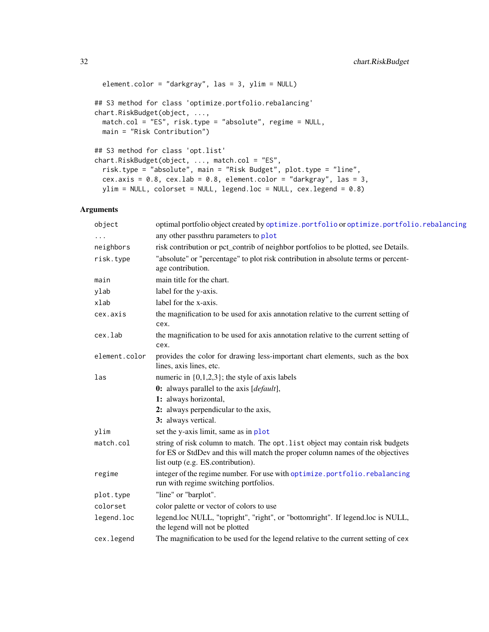```
element.color = "darkgray", las = 3, ylim = NULL)
## S3 method for class 'optimize.portfolio.rebalancing'
chart.RiskBudget(object, ...,
 match.col = "ES", risk.type = "absolute", regime = NULL,
 main = "Risk Contribution")
## S3 method for class 'opt.list'
chart.RiskBudget(object, ..., match.col = "ES",
 risk.type = "absolute", main = "Risk Budget", plot.type = "line",
 cex.axis = 0.8, cex.lab = 0.8, element.color = "darkgray", las = 3,
 ylim = NULL, colorset = NULL, legend.loc = NULL, cex.legend = 0.8)
```
# Arguments

| object        | optimal portfolio object created by optimize.portfolio or optimize.portfolio.rebalancing                                                                                                             |
|---------------|------------------------------------------------------------------------------------------------------------------------------------------------------------------------------------------------------|
|               | any other passthru parameters to plot                                                                                                                                                                |
| neighbors     | risk contribution or pct_contrib of neighbor portfolios to be plotted, see Details.                                                                                                                  |
| risk.type     | "absolute" or "percentage" to plot risk contribution in absolute terms or percent-<br>age contribution.                                                                                              |
| main          | main title for the chart.                                                                                                                                                                            |
| ylab          | label for the y-axis.                                                                                                                                                                                |
| xlab          | label for the x-axis.                                                                                                                                                                                |
| cex.axis      | the magnification to be used for axis annotation relative to the current setting of<br>cex.                                                                                                          |
| cex.lab       | the magnification to be used for axis annotation relative to the current setting of<br>cex.                                                                                                          |
| element.color | provides the color for drawing less-important chart elements, such as the box<br>lines, axis lines, etc.                                                                                             |
| las           | numeric in $\{0,1,2,3\}$ ; the style of axis labels                                                                                                                                                  |
|               | 0: always parallel to the axis [default],                                                                                                                                                            |
|               | 1: always horizontal,                                                                                                                                                                                |
|               | 2: always perpendicular to the axis,                                                                                                                                                                 |
|               | 3: always vertical.                                                                                                                                                                                  |
| ylim          | set the y-axis limit, same as in plot                                                                                                                                                                |
| match.col     | string of risk column to match. The opt. list object may contain risk budgets<br>for ES or StdDev and this will match the proper column names of the objectives<br>list outp (e.g. ES.contribution). |
| regime        | integer of the regime number. For use with optimize.portfolio.rebalancing<br>run with regime switching portfolios.                                                                                   |
| plot.type     | "line" or "barplot".                                                                                                                                                                                 |
| colorset      | color palette or vector of colors to use                                                                                                                                                             |
| legend.loc    | legend.loc NULL, "topright", "right", or "bottomright". If legend.loc is NULL,<br>the legend will not be plotted                                                                                     |
| cex.legend    | The magnification to be used for the legend relative to the current setting of cex                                                                                                                   |
|               |                                                                                                                                                                                                      |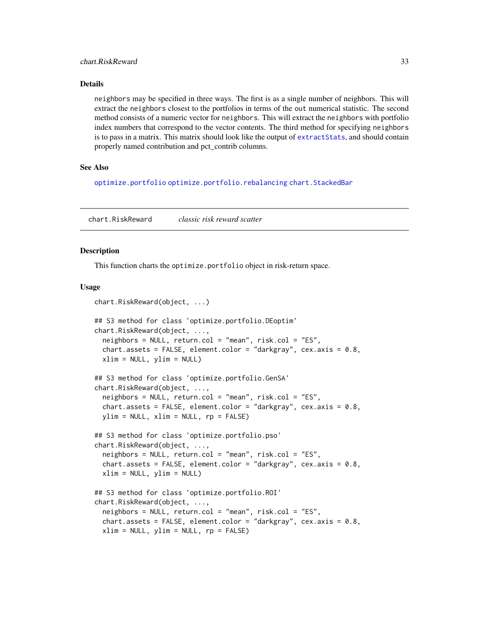#### <span id="page-32-0"></span>Details

neighbors may be specified in three ways. The first is as a single number of neighbors. This will extract the neighbors closest to the portfolios in terms of the out numerical statistic. The second method consists of a numeric vector for neighbors. This will extract the neighbors with portfolio index numbers that correspond to the vector contents. The third method for specifying neighbors is to pass in a matrix. This matrix should look like the output of [extractStats](#page-55-1), and should contain properly named contribution and pct\_contrib columns.

#### See Also

[optimize.portfolio](#page-77-1) [optimize.portfolio.rebalancing](#page-82-1) [chart.StackedBar](#page-0-0)

<span id="page-32-1"></span>chart.RiskReward *classic risk reward scatter*

#### Description

This function charts the optimize.portfolio object in risk-return space.

#### Usage

```
chart.RiskReward(object, ...)
```

```
## S3 method for class 'optimize.portfolio.DEoptim'
chart.RiskReward(object, ...,
 neighbors = NULL, return.col = "mean", risk.col = "ES",
  chart.assets = FALSE, element.color = "darkgray", cex.axis = 0.8,
  xlim = NULL, ylim = NULL)
## S3 method for class 'optimize.portfolio.GenSA'
chart.RiskReward(object, ...,
  neighbors = NULL, return.col = "mean", risk.col = "ES",
  chart.assets = FALSE, element.color = "darkgray", cex.axis = 0.8,
 ylim = NULL, xlim = NULL, rp = FALSE)
## S3 method for class 'optimize.portfolio.pso'
chart.RiskReward(object, ...,
 neighbors = NULL, return.col = "mean", risk.col = "ES",
  chart.assets = FALSE, element.color = "darkgray", cex.axis = 0.8,
 xlim = NULL, ylim = NULL)
## S3 method for class 'optimize.portfolio.ROI'
chart.RiskReward(object, ...,
 neighbors = NULL, return col = "mean", risk,col = "ES",chart.assets = FALSE, element.color = "darkgray", cex.axis = 0.8,
  xlim = NULL, ylim = NULL, rp = FALSE)
```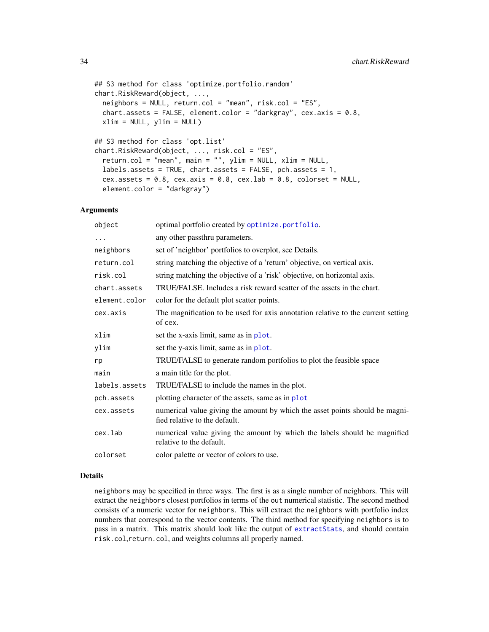```
## S3 method for class 'optimize.portfolio.random'
chart.RiskReward(object, ...,
 neighbors = NULL, return.col = "mean", risk.col = "ES",
 chart.assets = FALSE, element.color = "darkgray", cex.axis = 0.8,
 xlim = NULL, ylim = NULL)
## S3 method for class 'opt.list'
chart.RiskReward(object, ..., risk.col = "ES",
  return.col = "mean", main = "", ylim = NULL, xlim = NULL,
  labels.assets = TRUE, chart.assets = FALSE, pch.assets = 1,
 cex.assets = 0.8, cex.axis = 0.8, cex.lab = 0.8, colorset = NULL,
```
#### Arguments

element.color = "darkgray")

| object        | optimal portfolio created by optimize.portfolio.                                                              |
|---------------|---------------------------------------------------------------------------------------------------------------|
| .             | any other passthru parameters.                                                                                |
| neighbors     | set of 'neighbor' portfolios to overplot, see Details.                                                        |
| return.col    | string matching the objective of a 'return' objective, on vertical axis.                                      |
| risk.col      | string matching the objective of a 'risk' objective, on horizontal axis.                                      |
| chart.assets  | TRUE/FALSE. Includes a risk reward scatter of the assets in the chart.                                        |
| element.color | color for the default plot scatter points.                                                                    |
| cex.axis      | The magnification to be used for axis annotation relative to the current setting<br>of cex.                   |
| xlim          | set the x-axis limit, same as in plot.                                                                        |
| ylim          | set the y-axis limit, same as in plot.                                                                        |
| rp            | TRUE/FALSE to generate random portfolios to plot the feasible space                                           |
| main          | a main title for the plot.                                                                                    |
| labels.assets | TRUE/FALSE to include the names in the plot.                                                                  |
| pch.assets    | plotting character of the assets, same as in plot                                                             |
| cex.assets    | numerical value giving the amount by which the asset points should be magni-<br>fied relative to the default. |
| cex.lab       | numerical value giving the amount by which the labels should be magnified<br>relative to the default.         |
| colorset      | color palette or vector of colors to use.                                                                     |

#### Details

neighbors may be specified in three ways. The first is as a single number of neighbors. This will extract the neighbors closest portfolios in terms of the out numerical statistic. The second method consists of a numeric vector for neighbors. This will extract the neighbors with portfolio index numbers that correspond to the vector contents. The third method for specifying neighbors is to pass in a matrix. This matrix should look like the output of [extractStats](#page-55-1), and should contain risk.col,return.col, and weights columns all properly named.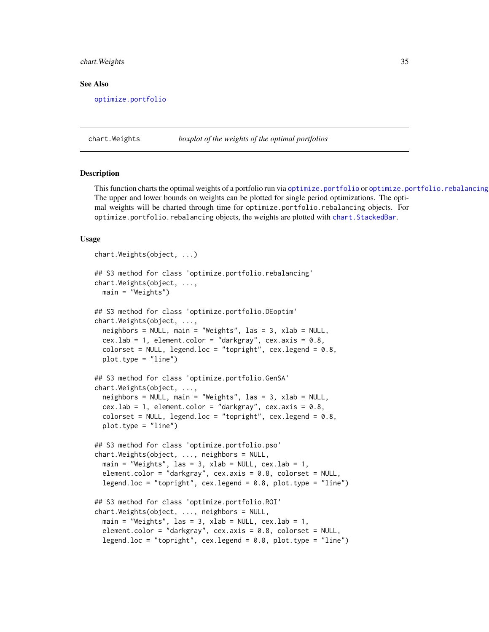#### <span id="page-34-0"></span>chart.Weights 35

#### See Also

[optimize.portfolio](#page-77-1)

<span id="page-34-1"></span>chart.Weights *boxplot of the weights of the optimal portfolios*

#### Description

This function charts the optimal weights of a portfolio run via [optimize.portfolio](#page-77-1) or [optimize.portfolio.rebalancing](#page-82-1) The upper and lower bounds on weights can be plotted for single period optimizations. The optimal weights will be charted through time for optimize.portfolio.rebalancing objects. For optimize.portfolio.rebalancing objects, the weights are plotted with [chart.StackedBar](#page-0-0).

#### Usage

```
chart.Weights(object, ...)
## S3 method for class 'optimize.portfolio.rebalancing'
chart.Weights(object, ...,
 main = "Weights")
## S3 method for class 'optimize.portfolio.DEoptim'
chart.Weights(object, ...,
 neighbors = NULL, main = "Weights", las = 3, xlab = NULL,
 cex.lab = 1, element.color = "darkgray", cex.axis = 0.8,
  colorset = NULL, legend.loc = "topright", cex.legend = 0.8,
 plot.type = "line")
## S3 method for class 'optimize.portfolio.GenSA'
chart.Weights(object, ...,
 neighbors = NULL, main = "Weights", las = 3, xlab = NULL,
  cex.lab = 1, element.color = "darkgray", cex.axis = 0.8,
  colorset = NULL, legend.loc = "topright", cex.length = 0.8,
 plot.type = "line")
## S3 method for class 'optimize.portfolio.pso'
chart.Weights(object, ..., neighbors = NULL,
 main = "Weights", las = 3, xlab = NULL, cex.lab = 1,
  element.color = "darkgray", cex.axis = 0.8, colorset = NULL,
  legend.loc = "topright", cex.legend = 0.8, plot.type = "line")
## S3 method for class 'optimize.portfolio.ROI'
chart.Weights(object, ..., neighbors = NULL,
 main = "Weights", las = 3, xlab = NULL, cex.lab = 1,
  element.color = "darkgray", cex.axis = 0.8, colorset = NULL,
  legend.loc = "topright", cex.legend = 0.8, plot.type = "line")
```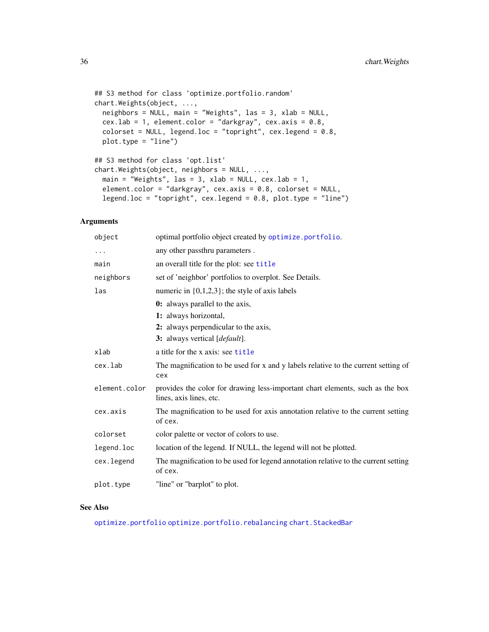```
## S3 method for class 'optimize.portfolio.random'
chart.Weights(object, ...,
 neighbors = NULL, main = "Weights", las = 3, xlab = NULL,
  cex.lab = 1, element.color = "darkgray", cex.axis = 0.8,
  colorset = NULL, legend.loc = "topright", cex.legend = 0.8,
 plot.type = "line")
## S3 method for class 'opt.list'
chart.Weights(object, neighbors = NULL, ...,
 main = "Weights", las = 3, xlab = NULL, cex.lab = 1,
 element.color = "darkgray", cex.axis = 0.8, colorset = NULL,
  legend.loc = "topright", cex.legend = 0.8, plot.type = "line")
```
#### Arguments

| object        | optimal portfolio object created by optimize.portfolio.                                                  |
|---------------|----------------------------------------------------------------------------------------------------------|
| $\ddots$      | any other passthru parameters.                                                                           |
| main          | an overall title for the plot: see title                                                                 |
| neighbors     | set of 'neighbor' portfolios to overplot. See Details.                                                   |
| las           | numeric in $\{0,1,2,3\}$ ; the style of axis labels                                                      |
|               | <b>0:</b> always parallel to the axis,                                                                   |
|               | 1: always horizontal,                                                                                    |
|               | 2: always perpendicular to the axis,                                                                     |
|               | 3: always vertical [default].                                                                            |
| xlab          | a title for the x axis: see title                                                                        |
| cex.lab       | The magnification to be used for x and y labels relative to the current setting of<br>cex                |
| element.color | provides the color for drawing less-important chart elements, such as the box<br>lines, axis lines, etc. |
| cex.axis      | The magnification to be used for axis annotation relative to the current setting<br>of cex.              |
| colorset      | color palette or vector of colors to use.                                                                |
| legend.loc    | location of the legend. If NULL, the legend will not be plotted.                                         |
| cex.legend    | The magnification to be used for legend annotation relative to the current setting<br>of cex.            |
| plot.type     | "line" or "barplot" to plot.                                                                             |

#### See Also

[optimize.portfolio](#page-77-1) [optimize.portfolio.rebalancing](#page-82-1) [chart.StackedBar](#page-0-0)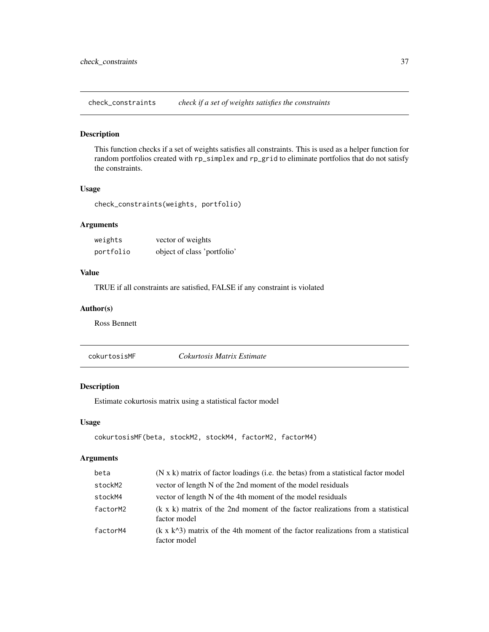check\_constraints *check if a set of weights satisfies the constraints*

#### Description

This function checks if a set of weights satisfies all constraints. This is used as a helper function for random portfolios created with rp\_simplex and rp\_grid to eliminate portfolios that do not satisfy the constraints.

# Usage

check\_constraints(weights, portfolio)

# Arguments

| weights   | vector of weights           |
|-----------|-----------------------------|
| portfolio | object of class 'portfolio' |

# Value

TRUE if all constraints are satisfied, FALSE if any constraint is violated

## Author(s)

Ross Bennett

cokurtosisMF *Cokurtosis Matrix Estimate*

# Description

Estimate cokurtosis matrix using a statistical factor model

### Usage

```
cokurtosisMF(beta, stockM2, stockM4, factorM2, factorM4)
```
# Arguments

| beta     | (N x k) matrix of factor loadings (i.e. the betas) from a statistical factor model                      |
|----------|---------------------------------------------------------------------------------------------------------|
| stockM2  | vector of length N of the 2nd moment of the model residuals                                             |
| stockM4  | vector of length N of the 4th moment of the model residuals                                             |
| factorM2 | $(k \times k)$ matrix of the 2nd moment of the factor realizations from a statistical<br>factor model   |
| factorM4 | $(k \times k^2)$ matrix of the 4th moment of the factor realizations from a statistical<br>factor model |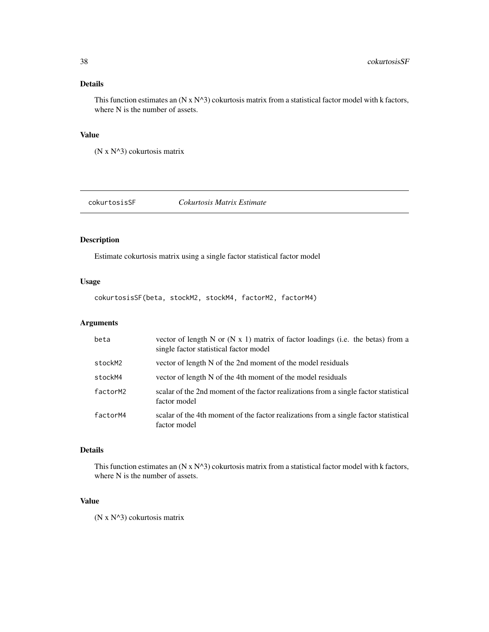# Details

This function estimates an  $(N \times N^3)$  cokurtosis matrix from a statistical factor model with k factors, where N is the number of assets.

# Value

(N x N^3) cokurtosis matrix

cokurtosisSF *Cokurtosis Matrix Estimate*

## Description

Estimate cokurtosis matrix using a single factor statistical factor model

# Usage

cokurtosisSF(beta, stockM2, stockM4, factorM2, factorM4)

# Arguments

| beta     | vector of length N or $(N x 1)$ matrix of factor loadings (i.e. the betas) from a<br>single factor statistical factor model |
|----------|-----------------------------------------------------------------------------------------------------------------------------|
| stockM2  | vector of length N of the 2nd moment of the model residuals                                                                 |
| stockM4  | vector of length N of the 4th moment of the model residuals                                                                 |
| factorM2 | scalar of the 2nd moment of the factor realizations from a single factor statistical<br>factor model                        |
| factorM4 | scalar of the 4th moment of the factor realizations from a single factor statistical<br>factor model                        |

# Details

This function estimates an  $(N x N^3)$  cokurtosis matrix from a statistical factor model with k factors, where N is the number of assets.

### Value

(N x N^3) cokurtosis matrix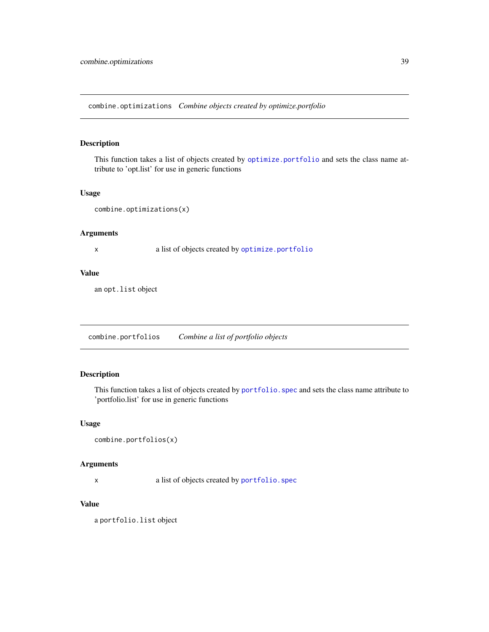combine.optimizations *Combine objects created by optimize.portfolio*

# Description

This function takes a list of objects created by [optimize.portfolio](#page-77-0) and sets the class name attribute to 'opt.list' for use in generic functions

## Usage

combine.optimizations(x)

# Arguments

x a list of objects created by [optimize.portfolio](#page-77-0)

# Value

an opt.list object

combine.portfolios *Combine a list of portfolio objects*

# Description

This function takes a list of objects created by portfolio. spec and sets the class name attribute to 'portfolio.list' for use in generic functions

#### Usage

```
combine.portfolios(x)
```
#### Arguments

x a list of objects created by [portfolio.spec](#page-88-0)

#### Value

a portfolio.list object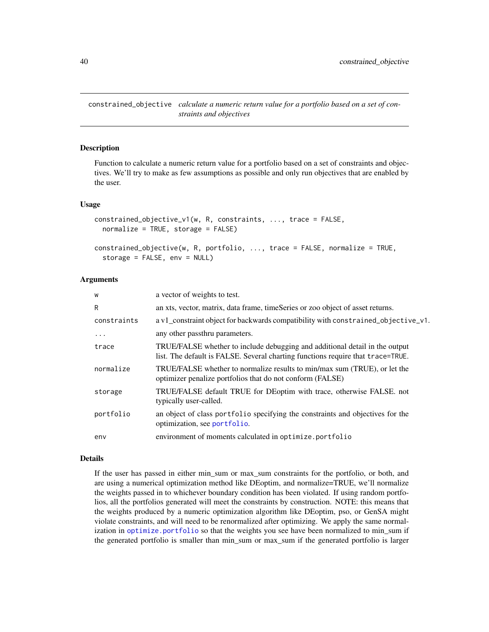<span id="page-39-0"></span>constrained\_objective *calculate a numeric return value for a portfolio based on a set of constraints and objectives*

# **Description**

Function to calculate a numeric return value for a portfolio based on a set of constraints and objectives. We'll try to make as few assumptions as possible and only run objectives that are enabled by the user.

#### Usage

```
constrained_objective_v1(w, R, constraints, ..., trace = FALSE,
  normalize = TRUE, storage = FALSE)
```

```
constrained_objective(w, R, portfolio, ..., trace = FALSE, normalize = TRUE,
  storage = FALSE, env = NULL)
```
#### Arguments

| W           | a vector of weights to test.                                                                                                                                   |
|-------------|----------------------------------------------------------------------------------------------------------------------------------------------------------------|
| R           | an xts, vector, matrix, data frame, timeSeries or zoo object of asset returns.                                                                                 |
| constraints | a v1_constraint object for backwards compatibility with constrained_objective_v1.                                                                              |
| .           | any other passthru parameters.                                                                                                                                 |
| trace       | TRUE/FALSE whether to include debugging and additional detail in the output<br>list. The default is FALSE. Several charting functions require that trace=TRUE. |
| normalize   | TRUE/FALSE whether to normalize results to min/max sum (TRUE), or let the<br>optimizer penalize portfolios that do not conform (FALSE)                         |
| storage     | TRUE/FALSE default TRUE for DEoptim with trace, otherwise FALSE. not<br>typically user-called.                                                                 |
| portfolio   | an object of class portfolio specifying the constraints and objectives for the<br>optimization, see portfolio.                                                 |
| env         | environment of moments calculated in optimize.portfolio                                                                                                        |

#### Details

If the user has passed in either min\_sum or max\_sum constraints for the portfolio, or both, and are using a numerical optimization method like DEoptim, and normalize=TRUE, we'll normalize the weights passed in to whichever boundary condition has been violated. If using random portfolios, all the portfolios generated will meet the constraints by construction. NOTE: this means that the weights produced by a numeric optimization algorithm like DEoptim, pso, or GenSA might violate constraints, and will need to be renormalized after optimizing. We apply the same normalization in [optimize.portfolio](#page-77-0) so that the weights you see have been normalized to min\_sum if the generated portfolio is smaller than min\_sum or max\_sum if the generated portfolio is larger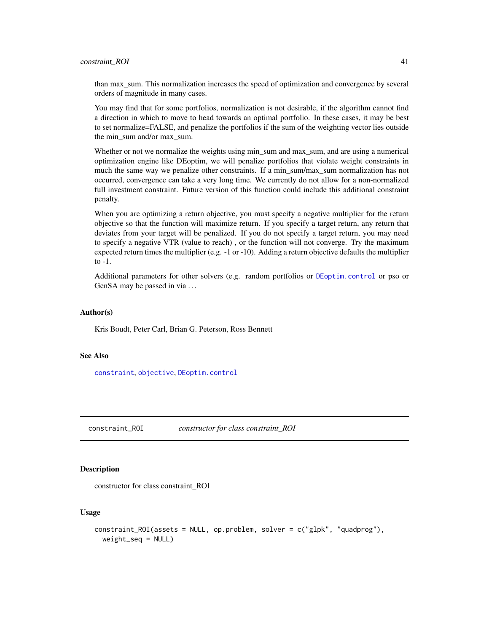than max\_sum. This normalization increases the speed of optimization and convergence by several orders of magnitude in many cases.

You may find that for some portfolios, normalization is not desirable, if the algorithm cannot find a direction in which to move to head towards an optimal portfolio. In these cases, it may be best to set normalize=FALSE, and penalize the portfolios if the sum of the weighting vector lies outside the min\_sum and/or max\_sum.

Whether or not we normalize the weights using min sum and max sum, and are using a numerical optimization engine like DEoptim, we will penalize portfolios that violate weight constraints in much the same way we penalize other constraints. If a min\_sum/max\_sum normalization has not occurred, convergence can take a very long time. We currently do not allow for a non-normalized full investment constraint. Future version of this function could include this additional constraint penalty.

When you are optimizing a return objective, you must specify a negative multiplier for the return objective so that the function will maximize return. If you specify a target return, any return that deviates from your target will be penalized. If you do not specify a target return, you may need to specify a negative VTR (value to reach) , or the function will not converge. Try the maximum expected return times the multiplier (e.g. -1 or -10). Adding a return objective defaults the multiplier to -1.

Additional parameters for other solvers (e.g. random portfolios or [DEoptim.control](#page-0-0) or pso or GenSA may be passed in via ...

#### Author(s)

Kris Boudt, Peter Carl, Brian G. Peterson, Ross Bennett

#### See Also

[constraint](#page-41-0), [objective](#page-76-0), [DEoptim.control](#page-0-0)

constraint\_ROI *constructor for class constraint\_ROI*

#### Description

constructor for class constraint\_ROI

## Usage

```
constraint_ROI(assets = NULL, op.problem, solver = c("glpk", "quadprog"),
 weight_seq = NULL)
```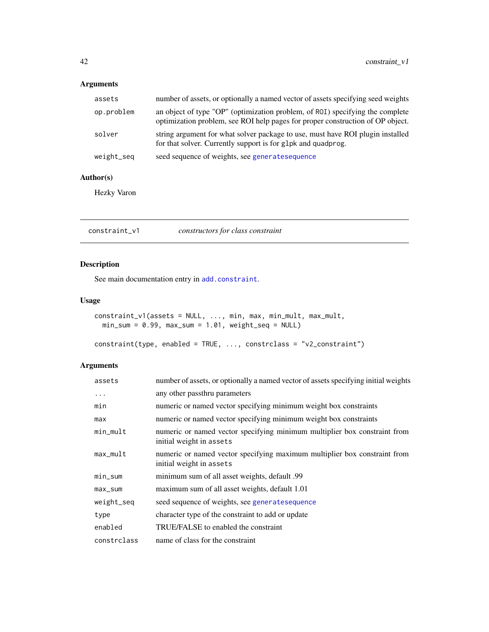# Arguments

| assets     | number of assets, or optionally a named vector of assets specifying seed weights                                                                                |
|------------|-----------------------------------------------------------------------------------------------------------------------------------------------------------------|
| op.problem | an object of type "OP" (optimization problem, of ROI) specifying the complete<br>optimization problem, see ROI help pages for proper construction of OP object. |
| solver     | string argument for what solver package to use, must have ROI plugin installed<br>for that solver. Currently support is for g1pk and quadprog.                  |
| weight_seq | seed sequence of weights, see generatesequence                                                                                                                  |

# Author(s)

Hezky Varon

constraint\_v1 *constructors for class constraint*

# <span id="page-41-0"></span>Description

See main documentation entry in [add.constraint](#page-10-0).

# Usage

```
constraint_v1(assets = NULL, ..., min, max, min_mult, max_mult,
 min\_sum = 0.99, max\_sum = 1.01, weight_seq = NULL)
```

```
constraint(type, enabled = TRUE, ..., constrclass = "v2_constraint")
```
# Arguments

| assets      | number of assets, or optionally a named vector of assets specifying initial weights                   |
|-------------|-------------------------------------------------------------------------------------------------------|
| $\ddots$ .  | any other passthru parameters                                                                         |
| min         | numeric or named vector specifying minimum weight box constraints                                     |
| max         | numeric or named vector specifying minimum weight box constraints                                     |
| min_mult    | numeric or named vector specifying minimum multiplier box constraint from<br>initial weight in assets |
| $max_mult$  | numeric or named vector specifying maximum multiplier box constraint from<br>initial weight in assets |
| min_sum     | minimum sum of all asset weights, default .99                                                         |
| $max\_sum$  | maximum sum of all asset weights, default 1.01                                                        |
| weight_seq  | seed sequence of weights, see generatesequence                                                        |
| type        | character type of the constraint to add or update                                                     |
| enabled     | TRUE/FALSE to enabled the constraint                                                                  |
| constrclass | name of class for the constraint                                                                      |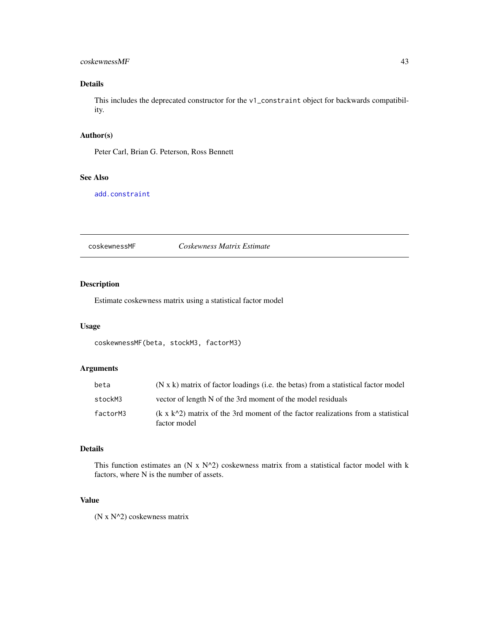#### coskewnessMF 43

# Details

This includes the deprecated constructor for the v1\_constraint object for backwards compatibility.

# Author(s)

Peter Carl, Brian G. Peterson, Ross Bennett

# See Also

[add.constraint](#page-10-0)

coskewnessMF *Coskewness Matrix Estimate*

# Description

Estimate coskewness matrix using a statistical factor model

## Usage

coskewnessMF(beta, stockM3, factorM3)

# Arguments

| beta     | (N x k) matrix of factor loadings (i.e. the betas) from a statistical factor model                      |
|----------|---------------------------------------------------------------------------------------------------------|
| stockM3  | vector of length N of the 3rd moment of the model residuals                                             |
| factorM3 | $(k \times k^2)$ matrix of the 3rd moment of the factor realizations from a statistical<br>factor model |

# Details

This function estimates an (N x  $N^2$ ) coskewness matrix from a statistical factor model with k factors, where N is the number of assets.

# Value

(N x N^2) coskewness matrix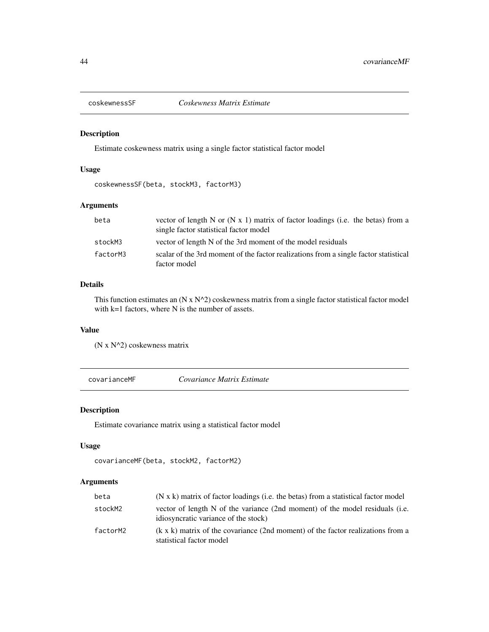## Description

Estimate coskewness matrix using a single factor statistical factor model

# Usage

coskewnessSF(beta, stockM3, factorM3)

# Arguments

| beta     | vector of length N or $(N x 1)$ matrix of factor loadings (i.e. the betas) from a<br>single factor statistical factor model |
|----------|-----------------------------------------------------------------------------------------------------------------------------|
| stockM3  | vector of length N of the 3rd moment of the model residuals                                                                 |
| factorM3 | scalar of the 3rd moment of the factor realizations from a single factor statistical<br>factor model                        |

# Details

This function estimates an (N x N^2) coskewness matrix from a single factor statistical factor model with k=1 factors, where N is the number of assets.

#### Value

(N x N^2) coskewness matrix

covarianceMF *Covariance Matrix Estimate*

# Description

Estimate covariance matrix using a statistical factor model

# Usage

```
covarianceMF(beta, stockM2, factorM2)
```
# Arguments

| beta     | $(N \times k)$ matrix of factor loadings (i.e. the betas) from a statistical factor model                            |
|----------|----------------------------------------------------------------------------------------------------------------------|
| stockM2  | vector of length N of the variance (2nd moment) of the model residuals (i.e.<br>idiosyncratic variance of the stock) |
| factorM2 | $(k \times k)$ matrix of the covariance (2nd moment) of the factor realizations from a<br>statistical factor model   |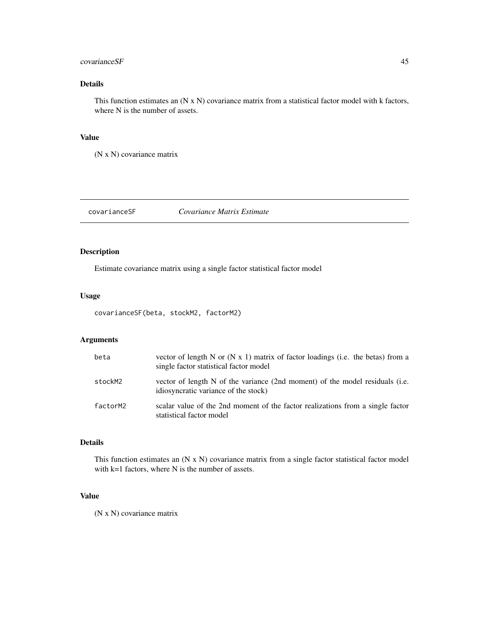### covarianceSF 45

# Details

This function estimates an (N x N) covariance matrix from a statistical factor model with k factors, where N is the number of assets.

## Value

(N x N) covariance matrix

# covarianceSF *Covariance Matrix Estimate*

# Description

Estimate covariance matrix using a single factor statistical factor model

#### Usage

covarianceSF(beta, stockM2, factorM2)

# Arguments

| beta     | vector of length N or $(N x 1)$ matrix of factor loadings (i.e. the betas) from a<br>single factor statistical factor model |
|----------|-----------------------------------------------------------------------------------------------------------------------------|
| stockM2  | vector of length N of the variance (2nd moment) of the model residuals (i.e.<br>idiosyncratic variance of the stock)        |
| factorM2 | scalar value of the 2nd moment of the factor realizations from a single factor<br>statistical factor model                  |

# Details

This function estimates an (N x N) covariance matrix from a single factor statistical factor model with k=1 factors, where N is the number of assets.

# Value

(N x N) covariance matrix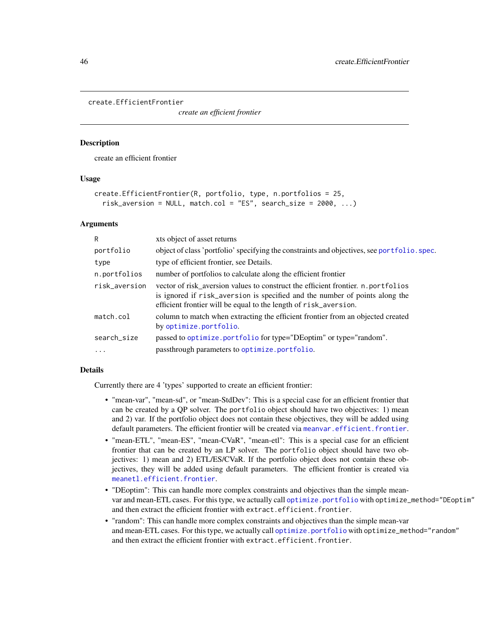#### create.EfficientFrontier

*create an efficient frontier*

#### Description

create an efficient frontier

#### Usage

```
create.EfficientFrontier(R, portfolio, type, n.portfolios = 25,
  risk_aversion = NULL, match.col = "ES", search_size = 2000, \ldots)
```
### Arguments

| R             | xts object of asset returns                                                                                                                                                                                                         |
|---------------|-------------------------------------------------------------------------------------------------------------------------------------------------------------------------------------------------------------------------------------|
| portfolio     | object of class 'portfolio' specifying the constraints and objectives, see portfolio. spec.                                                                                                                                         |
| type          | type of efficient frontier, see Details.                                                                                                                                                                                            |
| n.portfolios  | number of portfolios to calculate along the efficient frontier                                                                                                                                                                      |
| risk_aversion | vector of risk_aversion values to construct the efficient frontier. n.portfolios<br>is ignored if risk_aversion is specified and the number of points along the<br>efficient frontier will be equal to the length of risk_aversion. |
| match.col     | column to match when extracting the efficient frontier from an objected created<br>by optimize.portfolio.                                                                                                                           |
| search_size   | passed to optimize.portfolio for type="DEoptim" or type="random".                                                                                                                                                                   |
| $\cdot$       | passthrough parameters to optimize.portfolio.                                                                                                                                                                                       |

#### Details

Currently there are 4 'types' supported to create an efficient frontier:

- "mean-var", "mean-sd", or "mean-StdDev": This is a special case for an efficient frontier that can be created by a QP solver. The portfolio object should have two objectives: 1) mean and 2) var. If the portfolio object does not contain these objectives, they will be added using default parameters. The efficient frontier will be created via [meanvar.efficient.frontier](#page-72-0).
- "mean-ETL", "mean-ES", "mean-CVaR", "mean-etl": This is a special case for an efficient frontier that can be created by an LP solver. The portfolio object should have two objectives: 1) mean and 2) ETL/ES/CVaR. If the portfolio object does not contain these objectives, they will be added using default parameters. The efficient frontier is created via [meanetl.efficient.frontier](#page-71-0).
- "DEoptim": This can handle more complex constraints and objectives than the simple meanvar and mean-ETL cases. For this type, we actually call [optimize.portfolio](#page-77-0) with optimize\_method="DEoptim" and then extract the efficient frontier with extract.efficient.frontier.
- "random": This can handle more complex constraints and objectives than the simple mean-var and mean-ETL cases. For this type, we actually call [optimize.portfolio](#page-77-0) with optimize\_method="random" and then extract the efficient frontier with extract.efficient.frontier.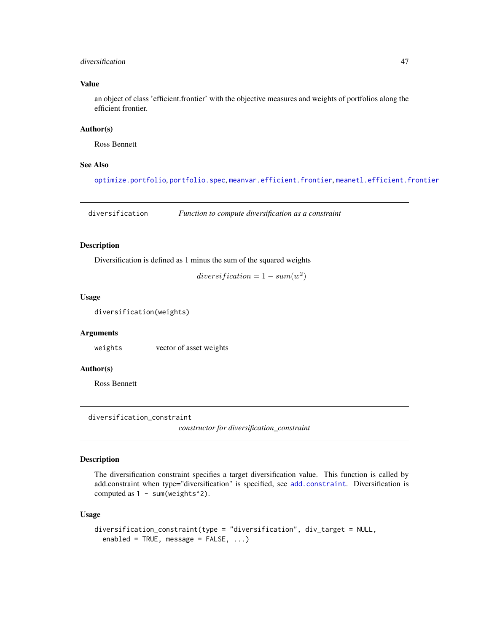## diversification and the state of the state of the state of the state of the state of the state of the state of the state of the state of the state of the state of the state of the state of the state of the state of the sta

## Value

an object of class 'efficient.frontier' with the objective measures and weights of portfolios along the efficient frontier.

# Author(s)

Ross Bennett

# See Also

[optimize.portfolio](#page-77-0), [portfolio.spec](#page-88-0), [meanvar.efficient.frontier](#page-72-0), [meanetl.efficient.frontier](#page-71-0)

diversification *Function to compute diversification as a constraint*

# Description

Diversification is defined as 1 minus the sum of the squared weights

 $diversification = 1 - sum(w^2)$ 

#### Usage

diversification(weights)

# Arguments

weights vector of asset weights

## Author(s)

Ross Bennett

diversification\_constraint

*constructor for diversification\_constraint*

#### Description

The diversification constraint specifies a target diversification value. This function is called by add.constraint when type="diversification" is specified, see [add.constraint](#page-10-0). Diversification is computed as  $1 - sum(weights^2)$ .

#### Usage

```
diversification_constraint(type = "diversification", div_target = NULL,
  enabled = TRUE, message = FALSE, ...)
```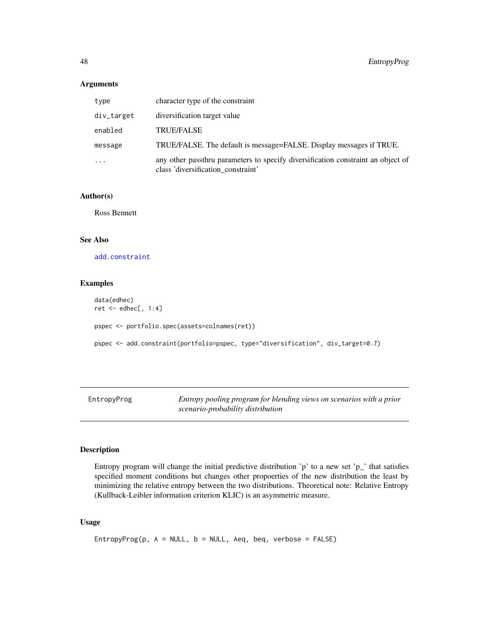### Arguments

| type       | character type of the constraint                                                                                       |
|------------|------------------------------------------------------------------------------------------------------------------------|
| div_target | diversification target value                                                                                           |
| enabled    | <b>TRUE/FALSE</b>                                                                                                      |
| message    | TRUE/FALSE. The default is message=FALSE. Display messages if TRUE.                                                    |
| .          | any other passthru parameters to specify diversification constraint an object of<br>class 'diversification_constraint' |

#### Author(s)

Ross Bennett

#### See Also

[add.constraint](#page-10-0)

# Examples

```
data(edhec)
ret <- edhec[, 1:4]
pspec <- portfolio.spec(assets=colnames(ret))
pspec <- add.constraint(portfolio=pspec, type="diversification", div_target=0.7)
```
EntropyProg *Entropy pooling program for blending views on scenarios with a prior scenario-probability distribution*

#### Description

Entropy program will change the initial predictive distribution 'p' to a new set ' $p_$ ' that satisfies specified moment conditions but changes other propoerties of the new distribution the least by minimizing the relative entropy between the two distributions. Theoretical note: Relative Entropy (Kullback-Leibler information criterion KLIC) is an asymmetric measure.

# Usage

```
EntropyProg(p, A = NULL, b = NULL, Aeq, beq, verbose = FALSE)
```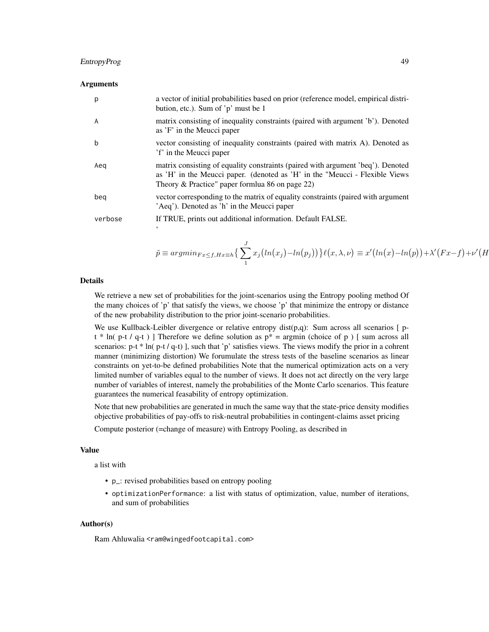# EntropyProg 49

#### Arguments

| p       | a vector of initial probabilities based on prior (reference model, empirical distri-<br>bution, etc.). Sum of 'p' must be 1                                                                                       |
|---------|-------------------------------------------------------------------------------------------------------------------------------------------------------------------------------------------------------------------|
| A       | matrix consisting of inequality constraints (paired with argument 'b'). Denoted<br>as 'F' in the Meucci paper                                                                                                     |
| b       | vector consisting of inequality constraints (paired with matrix A). Denoted as<br>'f' in the Meucci paper                                                                                                         |
| Aeq     | matrix consisting of equality constraints (paired with argument 'beq'). Denoted<br>as 'H' in the Meucci paper. (denoted as 'H' in the "Meucci - Flexible Views<br>Theory & Practice" paper formlua 86 on page 22) |
| beg     | vector corresponding to the matrix of equality constraints (paired with argument<br>'Aeq'). Denoted as 'h' in the Meucci paper                                                                                    |
| verbose | If TRUE, prints out additional information. Default FALSE.<br>,                                                                                                                                                   |

$$
\tilde{p} \equiv argmin_{Fx \leq f, Hx \equiv h} \left\{ \sum_{1}^{J} x_j \left( ln(x_j) - ln(p_j) \right) \right\} \ell(x, \lambda, \nu) \equiv x' \left( ln(x) - ln(p) \right) + \lambda' \left( Fx - f \right) + \nu' \left( Hx - f \right) \ell(x, \lambda, \nu) \equiv x' \left( ln(x) - ln(p) \right) + \lambda' \left( Fx - f \right) \ell(x, \lambda, \nu) \equiv x' \left( ln(x) - ln(p) \right) + \lambda' \left( Fx - f \right) \ell(x, \lambda, \nu) \equiv x' \left( ln(x) - ln(p) \right) + \lambda' \left( Fx - f \right) \ell(x, \lambda, \nu) \equiv x' \left( ln(x) - ln(p) \right) + \lambda' \left( Fx - f \right) \ell(x, \lambda, \nu) \equiv x' \left( ln(x) - ln(p) \right) + \lambda' \left( Fx - f \right) \ell(x, \lambda, \nu) \equiv x' \left( ln(x) - ln(p) \right) + \lambda' \left( Fx - f \right) \ell(x, \lambda, \nu) \equiv x' \left( ln(x) - ln(p) \right) + \lambda' \left( Fx - f \right) \ell(x, \lambda, \nu) \equiv x' \left( ln(x) - ln(p) \right) + \lambda' \left( Fx - f \right) \ell(x, \lambda, \nu) \equiv x' \left( ln(x) - ln(p) \right) + \lambda' \left( Fx - f \right) \ell(x, \lambda, \nu) \equiv x' \left( ln(x) - ln(p) \right) + \lambda' \left( Fx - f \right) \ell(x, \lambda, \nu) \equiv x' \left( ln(x) - ln(p) \right) + \lambda' \left( Fx - f \right) \ell(x, \lambda, \nu) \equiv x' \left( ln(x) - ln(p) \right) + \lambda' \left( Fx - f \right) \ell(x, \lambda, \nu) \equiv x' \left( ln(x) - ln(p) \right) + \lambda' \left( Fx - f \right) \ell(x, \lambda, \nu) \equiv x' \left( ln(x) - ln(p) \right) + \lambda' \left( Fx - f \right) \ell(x, \lambda, \nu) \equiv x' \left( ln(x) - ln(p) \right) \ell(x, \lambda, \nu) \equiv x' \left( ln(x) - ln(p) \right) \ell(x, \lambda, \nu) \equiv x' \left( ln(x) -
$$

# Details

We retrieve a new set of probabilities for the joint-scenarios using the Entropy pooling method Of the many choices of 'p' that satisfy the views, we choose 'p' that minimize the entropy or distance of the new probability distribution to the prior joint-scenario probabilities.

We use Kullback-Leibler divergence or relative entropy dist( $p,q$ ): Sum across all scenarios [  $p$  $t * ln(p-t / q-t)$ ] Therefore we define solution as  $p* = argmin$  (choice of p) [sum across all scenarios:  $p-t * ln(p-t / q-t)$ , such that 'p' satisfies views. The views modify the prior in a cohrent manner (minimizing distortion) We forumulate the stress tests of the baseline scenarios as linear constraints on yet-to-be defined probabilities Note that the numerical optimization acts on a very limited number of variables equal to the number of views. It does not act directly on the very large number of variables of interest, namely the probabilities of the Monte Carlo scenarios. This feature guarantees the numerical feasability of entropy optimization.

Note that new probabilities are generated in much the same way that the state-price density modifies objective probabilities of pay-offs to risk-neutral probabilities in contingent-claims asset pricing

Compute posterior (=change of measure) with Entropy Pooling, as described in

#### Value

a list with

- p\_: revised probabilities based on entropy pooling
- optimizationPerformance: a list with status of optimization, value, number of iterations, and sum of probabilities

#### Author(s)

Ram Ahluwalia <ram@wingedfootcapital.com>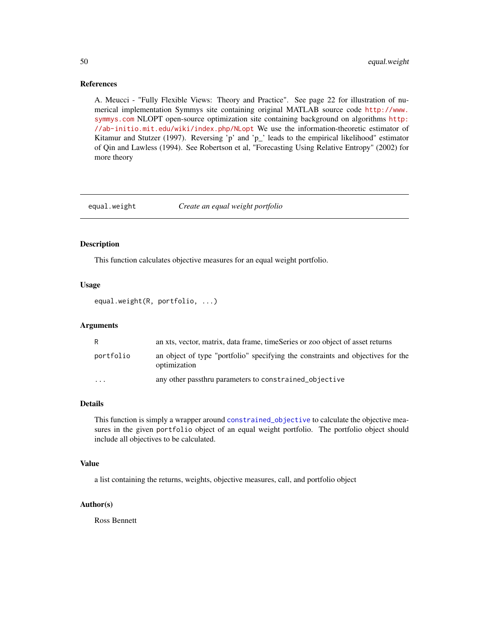#### References

A. Meucci - "Fully Flexible Views: Theory and Practice". See page 22 for illustration of numerical implementation Symmys site containing original MATLAB source code [http://www.](http://www.symmys.com) [symmys.com](http://www.symmys.com) NLOPT open-source optimization site containing background on algorithms [http:](http://ab-initio.mit.edu/wiki/index.php/NLopt) [//ab-initio.mit.edu/wiki/index.php/NLopt](http://ab-initio.mit.edu/wiki/index.php/NLopt) We use the information-theoretic estimator of Kitamur and Stutzer (1997). Reversing 'p' and 'p\_' leads to the empirical likelihood" estimator of Qin and Lawless (1994). See Robertson et al, "Forecasting Using Relative Entropy" (2002) for more theory

#### equal.weight *Create an equal weight portfolio*

## Description

This function calculates objective measures for an equal weight portfolio.

# Usage

equal.weight(R, portfolio, ...)

#### Arguments

| R         | an xts, vector, matrix, data frame, timeSeries or zoo object of asset returns                   |
|-----------|-------------------------------------------------------------------------------------------------|
| portfolio | an object of type "portfolio" specifying the constraints and objectives for the<br>optimization |
| $\cdots$  | any other passthru parameters to constrained objective                                          |

# Details

This function is simply a wrapper around [constrained\\_objective](#page-39-0) to calculate the objective measures in the given portfolio object of an equal weight portfolio. The portfolio object should include all objectives to be calculated.

## Value

a list containing the returns, weights, objective measures, call, and portfolio object

# Author(s)

Ross Bennett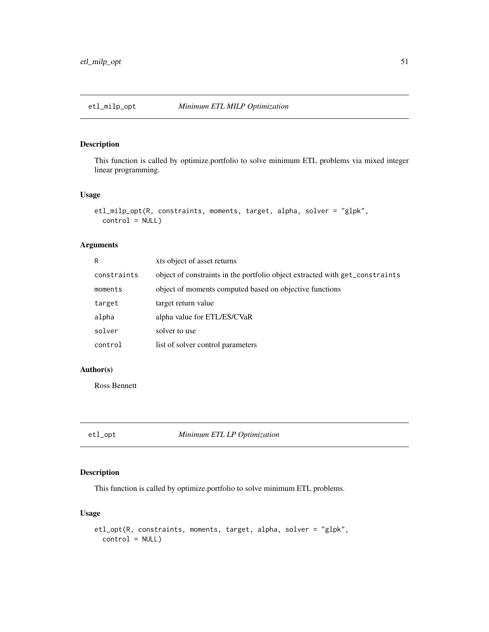# Description

This function is called by optimize.portfolio to solve minimum ETL problems via mixed integer linear programming.

## Usage

```
etl_milp_opt(R, constraints, moments, target, alpha, solver = "glpk",
 control = NULL)
```
# Arguments

| R           | xts object of asset returns                                                  |
|-------------|------------------------------------------------------------------------------|
| constraints | object of constraints in the portfolio object extracted with get_constraints |
| moments     | object of moments computed based on objective functions                      |
| target      | target return value                                                          |
| alpha       | alpha value for ETL/ES/CVaR                                                  |
| solver      | solver to use                                                                |
| control     | list of solver control parameters                                            |

# Author(s)

Ross Bennett

etl\_opt *Minimum ETL LP Optimization*

# Description

This function is called by optimize.portfolio to solve minimum ETL problems.

# Usage

```
etl_opt(R, constraints, moments, target, alpha, solver = "glpk",
  control = NULL)
```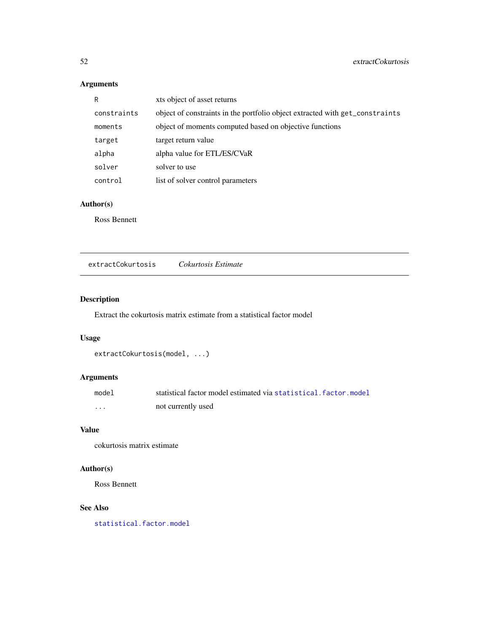# Arguments

| R           | xts object of asset returns                                                  |
|-------------|------------------------------------------------------------------------------|
| constraints | object of constraints in the portfolio object extracted with get_constraints |
| moments     | object of moments computed based on objective functions                      |
| target      | target return value                                                          |
| alpha       | alpha value for ETL/ES/CVaR                                                  |
| solver      | solver to use                                                                |
| control     | list of solver control parameters                                            |
|             |                                                                              |

# Author(s)

Ross Bennett

extractCokurtosis *Cokurtosis Estimate*

# Description

Extract the cokurtosis matrix estimate from a statistical factor model

# Usage

```
extractCokurtosis(model, ...)
```
# Arguments

| model | statistical factor model estimated via statistical, factor, model |
|-------|-------------------------------------------------------------------|
| .     | not currently used                                                |

# Value

cokurtosis matrix estimate

# Author(s)

Ross Bennett

# See Also

[statistical.factor.model](#page-109-0)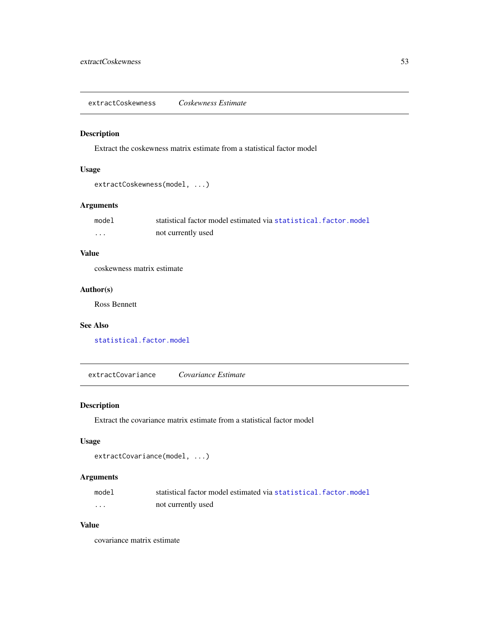extractCoskewness *Coskewness Estimate*

### Description

Extract the coskewness matrix estimate from a statistical factor model

# Usage

```
extractCoskewness(model, ...)
```
# Arguments

| model | statistical factor model estimated via statistical, factor, model |
|-------|-------------------------------------------------------------------|
| .     | not currently used                                                |

# Value

coskewness matrix estimate

# Author(s)

Ross Bennett

# See Also

[statistical.factor.model](#page-109-0)

extractCovariance *Covariance Estimate*

# Description

Extract the covariance matrix estimate from a statistical factor model

# Usage

```
extractCovariance(model, ...)
```
# Arguments

| model | statistical factor model estimated via statistical factor model |
|-------|-----------------------------------------------------------------|
| .     | not currently used                                              |

# Value

covariance matrix estimate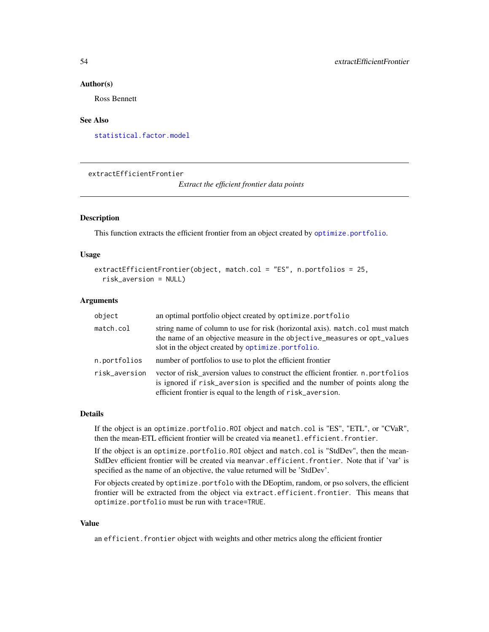#### Author(s)

Ross Bennett

#### See Also

[statistical.factor.model](#page-109-0)

extractEfficientFrontier

*Extract the efficient frontier data points*

#### Description

This function extracts the efficient frontier from an object created by [optimize.portfolio](#page-77-0).

#### Usage

```
extractEfficientFrontier(object, match.col = "ES", n.portfolios = 25,
  risk_aversion = NULL)
```
#### Arguments

| object        | an optimal portfolio object created by optimize.portfolio                                                                                                                                                                      |
|---------------|--------------------------------------------------------------------------------------------------------------------------------------------------------------------------------------------------------------------------------|
| match.col     | string name of column to use for risk (horizontal axis). match.col must match<br>the name of an objective measure in the objective_measures or opt_values<br>slot in the object created by optimize.portfolio.                 |
| n.portfolios  | number of portfolios to use to plot the efficient frontier                                                                                                                                                                     |
| risk_aversion | vector of risk_aversion values to construct the efficient frontier. n.portfolios<br>is ignored if risk_aversion is specified and the number of points along the<br>efficient frontier is equal to the length of risk_aversion. |

#### Details

If the object is an optimize.portfolio.ROI object and match.col is "ES", "ETL", or "CVaR", then the mean-ETL efficient frontier will be created via meanetl.efficient.frontier.

If the object is an optimize.portfolio.ROI object and match.col is "StdDev", then the mean-StdDev efficient frontier will be created via meanvar.efficient.frontier. Note that if 'var' is specified as the name of an objective, the value returned will be 'StdDev'.

For objects created by optimize.portfolo with the DEoptim, random, or pso solvers, the efficient frontier will be extracted from the object via extract.efficient.frontier. This means that optimize.portfolio must be run with trace=TRUE.

## Value

an efficient. frontier object with weights and other metrics along the efficient frontier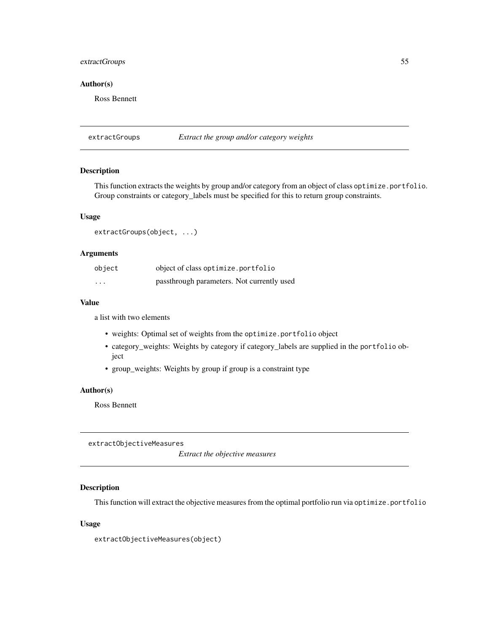# extractGroups 55

# Author(s)

Ross Bennett

extractGroups *Extract the group and/or category weights*

# Description

This function extracts the weights by group and/or category from an object of class optimize.portfolio. Group constraints or category\_labels must be specified for this to return group constraints.

#### Usage

extractGroups(object, ...)

#### Arguments

| object                  | object of class optimize.portfolio         |
|-------------------------|--------------------------------------------|
| $\cdot$ $\cdot$ $\cdot$ | passthrough parameters. Not currently used |

# Value

a list with two elements

- weights: Optimal set of weights from the optimize.portfolio object
- category\_weights: Weights by category if category\_labels are supplied in the portfolio object
- group\_weights: Weights by group if group is a constraint type

# Author(s)

Ross Bennett

extractObjectiveMeasures

*Extract the objective measures*

## Description

This function will extract the objective measures from the optimal portfolio run via optimize.portfolio

#### Usage

extractObjectiveMeasures(object)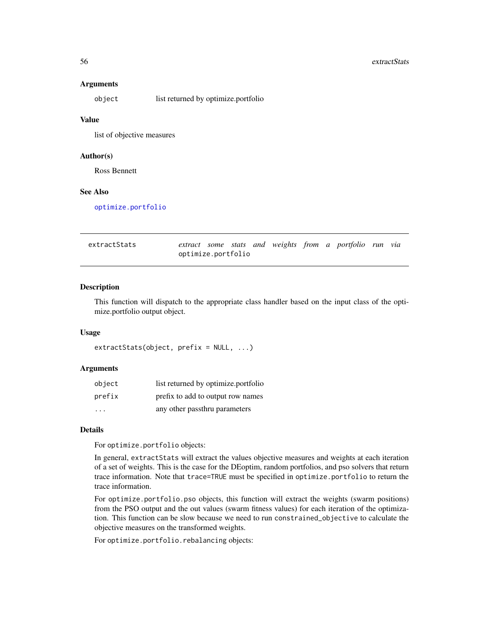#### 56 extractStats and the second second second second second second second second second second second second second second second second second second second second second second second second second second second second se

#### Arguments

object list returned by optimize.portfolio

#### Value

list of objective measures

### Author(s)

Ross Bennett

## See Also

[optimize.portfolio](#page-77-0)

| extractStats |                    |  |  |  | extract some stats and weights from a portfolio run via |  |
|--------------|--------------------|--|--|--|---------------------------------------------------------|--|
|              | optimize.portfolio |  |  |  |                                                         |  |

#### Description

This function will dispatch to the appropriate class handler based on the input class of the optimize.portfolio output object.

#### Usage

```
extractStats(object, prefix = NULL, ...)
```
# Arguments

| object                  | list returned by optimize portfolio |
|-------------------------|-------------------------------------|
| prefix                  | prefix to add to output row names   |
| $\cdot$ $\cdot$ $\cdot$ | any other passthru parameters       |

#### Details

For optimize.portfolio objects:

In general, extractStats will extract the values objective measures and weights at each iteration of a set of weights. This is the case for the DEoptim, random portfolios, and pso solvers that return trace information. Note that trace=TRUE must be specified in optimize.portfolio to return the trace information.

For optimize.portfolio.pso objects, this function will extract the weights (swarm positions) from the PSO output and the out values (swarm fitness values) for each iteration of the optimization. This function can be slow because we need to run constrained\_objective to calculate the objective measures on the transformed weights.

For optimize.portfolio.rebalancing objects: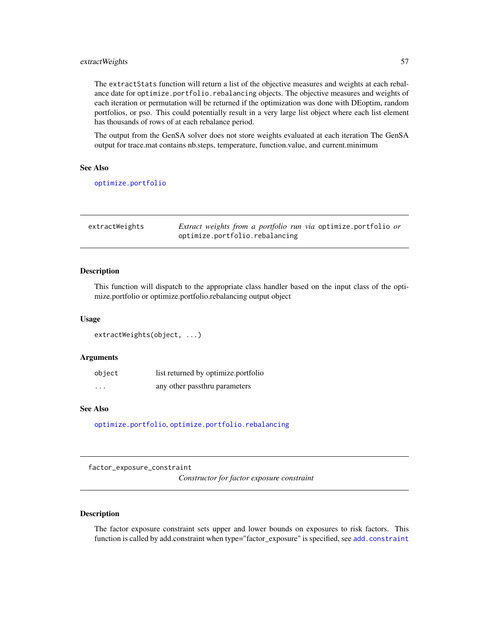# extractWeights 57

The extractStats function will return a list of the objective measures and weights at each rebalance date for optimize.portfolio.rebalancing objects. The objective measures and weights of each iteration or permutation will be returned if the optimization was done with DEoptim, random portfolios, or pso. This could potentially result in a very large list object where each list element has thousands of rows of at each rebalance period.

The output from the GenSA solver does not store weights evaluated at each iteration The GenSA output for trace.mat contains nb.steps, temperature, function.value, and current.minimum

#### See Also

[optimize.portfolio](#page-77-0)

| extractWeights | <i>Extract weights from a portfolio run via</i> optimize portfolio <i>or</i> |
|----------------|------------------------------------------------------------------------------|
|                | optimize.portfolio.rebalancing                                               |

#### Description

This function will dispatch to the appropriate class handler based on the input class of the optimize.portfolio or optimize.portfolio.rebalancing output object

#### Usage

```
extractWeights(object, ...)
```
#### Arguments

| object                  | list returned by optimize.portfolio |
|-------------------------|-------------------------------------|
| $\cdot$ $\cdot$ $\cdot$ | any other passthru parameters       |

# See Also

[optimize.portfolio](#page-77-0), [optimize.portfolio.rebalancing](#page-82-0)

factor\_exposure\_constraint

*Constructor for factor exposure constraint*

# Description

The factor exposure constraint sets upper and lower bounds on exposures to risk factors. This function is called by [add.constraint](#page-10-0) when type="factor\_exposure" is specified, see add.constraint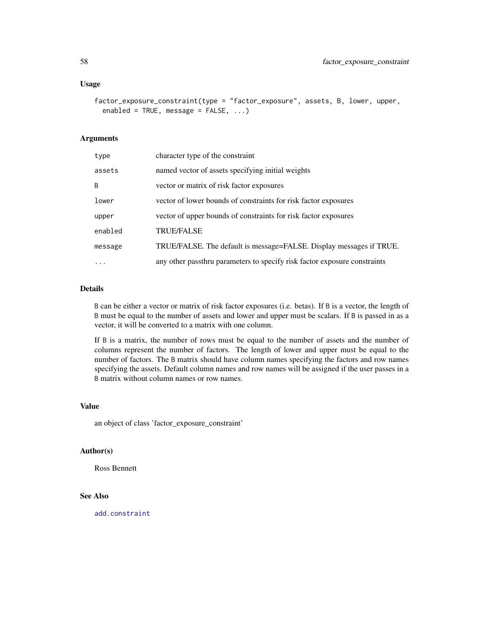#### Usage

```
factor_exposure_constraint(type = "factor_exposure", assets, B, lower, upper,
 enabled = TRUE, message = FALSE, ...)
```
## **Arguments**

| type    | character type of the constraint                                          |
|---------|---------------------------------------------------------------------------|
| assets  | named vector of assets specifying initial weights                         |
| B       | vector or matrix of risk factor exposures                                 |
| lower   | vector of lower bounds of constraints for risk factor exposures           |
| upper   | vector of upper bounds of constraints for risk factor exposures           |
| enabled | <b>TRUE/FALSE</b>                                                         |
| message | TRUE/FALSE. The default is message=FALSE. Display messages if TRUE.       |
|         | any other passthru parameters to specify risk factor exposure constraints |

# Details

B can be either a vector or matrix of risk factor exposures (i.e. betas). If B is a vector, the length of B must be equal to the number of assets and lower and upper must be scalars. If B is passed in as a vector, it will be converted to a matrix with one column.

If B is a matrix, the number of rows must be equal to the number of assets and the number of columns represent the number of factors. The length of lower and upper must be equal to the number of factors. The B matrix should have column names specifying the factors and row names specifying the assets. Default column names and row names will be assigned if the user passes in a B matrix without column names or row names.

#### Value

an object of class 'factor\_exposure\_constraint'

#### Author(s)

Ross Bennett

# See Also

[add.constraint](#page-10-0)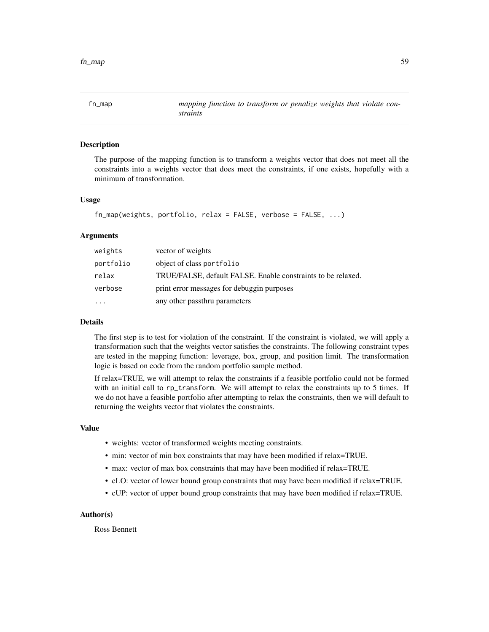fn\_map *mapping function to transform or penalize weights that violate constraints*

## Description

The purpose of the mapping function is to transform a weights vector that does not meet all the constraints into a weights vector that does meet the constraints, if one exists, hopefully with a minimum of transformation.

#### Usage

```
fn_map(weights, portfolio, relax = FALSE, verbose = FALSE, ...)
```
#### Arguments

| weights   | vector of weights                                            |
|-----------|--------------------------------------------------------------|
| portfolio | object of class portfolio                                    |
| relax     | TRUE/FALSE, default FALSE. Enable constraints to be relaxed. |
| verbose   | print error messages for debuggin purposes                   |
| $\ddotsc$ | any other passthru parameters                                |

#### Details

The first step is to test for violation of the constraint. If the constraint is violated, we will apply a transformation such that the weights vector satisfies the constraints. The following constraint types are tested in the mapping function: leverage, box, group, and position limit. The transformation logic is based on code from the random portfolio sample method.

If relax=TRUE, we will attempt to relax the constraints if a feasible portfolio could not be formed with an initial call to rp\_transform. We will attempt to relax the constraints up to 5 times. If we do not have a feasible portfolio after attempting to relax the constraints, then we will default to returning the weights vector that violates the constraints.

## Value

- weights: vector of transformed weights meeting constraints.
- min: vector of min box constraints that may have been modified if relax=TRUE.
- max: vector of max box constraints that may have been modified if relax=TRUE.
- cLO: vector of lower bound group constraints that may have been modified if relax=TRUE.
- cUP: vector of upper bound group constraints that may have been modified if relax=TRUE.

# Author(s)

Ross Bennett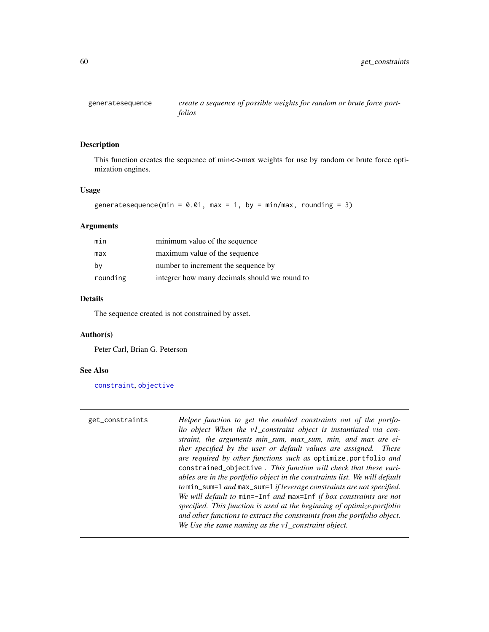<span id="page-59-0"></span>

# **Description**

This function creates the sequence of min<->max weights for use by random or brute force optimization engines.

#### Usage

```
generatesequence(min = 0.01, max = 1, by = min/max, rounding = 3)
```
#### Arguments

| min      | minimum value of the sequence                 |
|----------|-----------------------------------------------|
| max      | maximum value of the sequence                 |
| by       | number to increment the sequence by           |
| rounding | integrer how many decimals should we round to |

#### Details

The sequence created is not constrained by asset.

## Author(s)

Peter Carl, Brian G. Peterson

#### See Also

[constraint](#page-41-0), [objective](#page-76-0)

get\_constraints *Helper function to get the enabled constraints out of the portfolio object When the v1\_constraint object is instantiated via constraint, the arguments min\_sum, max\_sum, min, and max are either specified by the user or default values are assigned. These are required by other functions such as* optimize.portfolio *and* constrained\_objective *. This function will check that these variables are in the portfolio object in the constraints list. We will default to* min\_sum=1 *and* max\_sum=1 *if leverage constraints are not specified. We will default to* min=-Inf *and* max=Inf *if box constraints are not specified. This function is used at the beginning of optimize.portfolio and other functions to extract the constraints from the portfolio object. We Use the same naming as the v1\_constraint object.*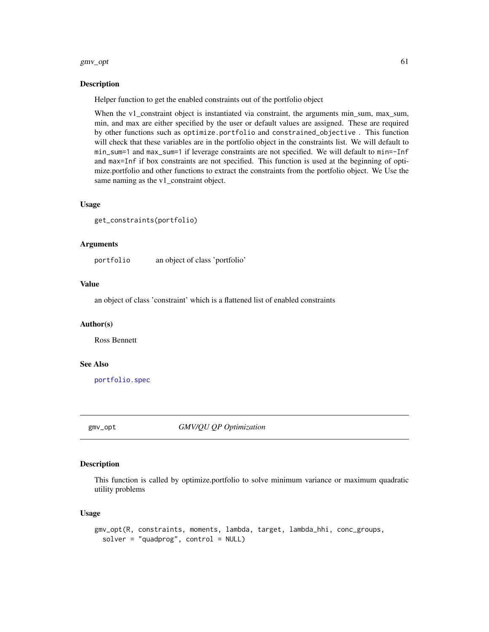#### $gmv\_opt$  61

#### Description

Helper function to get the enabled constraints out of the portfolio object

When the v1\_constraint object is instantiated via constraint, the arguments min\_sum, max\_sum, min, and max are either specified by the user or default values are assigned. These are required by other functions such as optimize.portfolio and constrained\_objective . This function will check that these variables are in the portfolio object in the constraints list. We will default to min\_sum=1 and max\_sum=1 if leverage constraints are not specified. We will default to min=-Inf and max=Inf if box constraints are not specified. This function is used at the beginning of optimize.portfolio and other functions to extract the constraints from the portfolio object. We Use the same naming as the v1\_constraint object.

#### Usage

```
get_constraints(portfolio)
```
## Arguments

portfolio an object of class 'portfolio'

#### Value

an object of class 'constraint' which is a flattened list of enabled constraints

#### Author(s)

Ross Bennett

#### See Also

[portfolio.spec](#page-88-0)

gmv\_opt *GMV/QU QP Optimization*

#### Description

This function is called by optimize.portfolio to solve minimum variance or maximum quadratic utility problems

#### Usage

```
gmv_opt(R, constraints, moments, lambda, target, lambda_hhi, conc_groups,
  solver = "quadprog", control = NULL)
```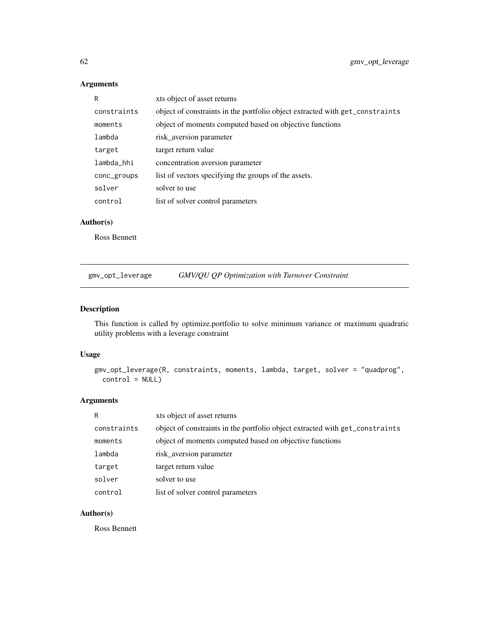# Arguments

| R           | xts object of asset returns                                                  |
|-------------|------------------------------------------------------------------------------|
| constraints | object of constraints in the portfolio object extracted with get_constraints |
| moments     | object of moments computed based on objective functions                      |
| lambda      | risk aversion parameter                                                      |
| target      | target return value                                                          |
| lambda_hhi  | concentration aversion parameter                                             |
| conc_groups | list of vectors specifying the groups of the assets.                         |
| solver      | solver to use                                                                |
| control     | list of solver control parameters                                            |

# Author(s)

Ross Bennett

gmv\_opt\_leverage *GMV/QU QP Optimization with Turnover Constraint*

# Description

This function is called by optimize.portfolio to solve minimum variance or maximum quadratic utility problems with a leverage constraint

# Usage

```
gmv_opt_leverage(R, constraints, moments, lambda, target, solver = "quadprog",
 control = NULL)
```
# Arguments

| R           | xts object of asset returns                                                  |
|-------------|------------------------------------------------------------------------------|
| constraints | object of constraints in the portfolio object extracted with get_constraints |
| moments     | object of moments computed based on objective functions                      |
| lambda      | risk aversion parameter                                                      |
| target      | target return value                                                          |
| solver      | solver to use                                                                |
| control     | list of solver control parameters                                            |

# Author(s)

Ross Bennett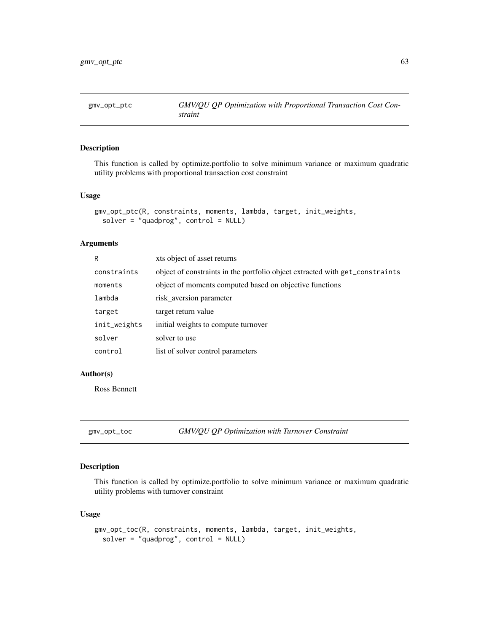# Description

This function is called by optimize.portfolio to solve minimum variance or maximum quadratic utility problems with proportional transaction cost constraint

#### Usage

```
gmv_opt_ptc(R, constraints, moments, lambda, target, init_weights,
 solver = "quadprog", control = NULL)
```
# Arguments

| R            | xts object of asset returns                                                  |
|--------------|------------------------------------------------------------------------------|
| constraints  | object of constraints in the portfolio object extracted with get_constraints |
| moments      | object of moments computed based on objective functions                      |
| lambda       | risk_aversion parameter                                                      |
| target       | target return value                                                          |
| init_weights | initial weights to compute turnover                                          |
| solver       | solver to use                                                                |
| control      | list of solver control parameters                                            |

# Author(s)

Ross Bennett

gmv\_opt\_toc *GMV/QU QP Optimization with Turnover Constraint*

## Description

This function is called by optimize.portfolio to solve minimum variance or maximum quadratic utility problems with turnover constraint

## Usage

```
gmv_opt_toc(R, constraints, moments, lambda, target, init_weights,
  solver = "quadprog", control = NULL)
```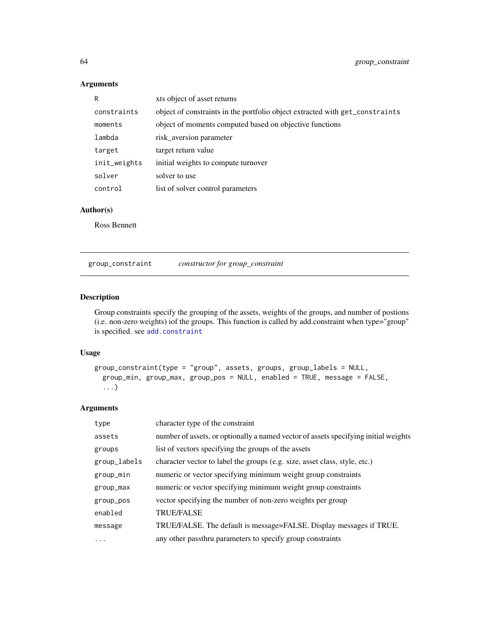# Arguments

| R            | xts object of asset returns                                                  |
|--------------|------------------------------------------------------------------------------|
| constraints  | object of constraints in the portfolio object extracted with get_constraints |
| moments      | object of moments computed based on objective functions                      |
| lambda       | risk_aversion parameter                                                      |
| target       | target return value                                                          |
| init_weights | initial weights to compute turnover                                          |
| solver       | solver to use                                                                |
| control      | list of solver control parameters                                            |

# Author(s)

Ross Bennett

group\_constraint *constructor for group\_constraint*

# Description

Group constraints specify the grouping of the assets, weights of the groups, and number of postions (i.e. non-zero weights) iof the groups. This function is called by add.constraint when type="group" is specified. see [add.constraint](#page-10-0)

# Usage

```
group_constraint(type = "group", assets, groups, group_labels = NULL,
 group_min, group_max, group_pos = NULL, enabled = TRUE, message = FALSE,
  ...)
```
# Arguments

| type         | character type of the constraint                                                    |
|--------------|-------------------------------------------------------------------------------------|
| assets       | number of assets, or optionally a named vector of assets specifying initial weights |
| groups       | list of vectors specifying the groups of the assets                                 |
| group_labels | character vector to label the groups (e.g. size, asset class, style, etc.)          |
| group_min    | numeric or vector specifying minimum weight group constraints                       |
| group_max    | numeric or vector specifying minimum weight group constraints                       |
| group_pos    | vector specifying the number of non-zero weights per group                          |
| enabled      | <b>TRUE/FALSE</b>                                                                   |
| message      | TRUE/FALSE. The default is message=FALSE. Display messages if TRUE.                 |
| $\cdots$     | any other passthru parameters to specify group constraints                          |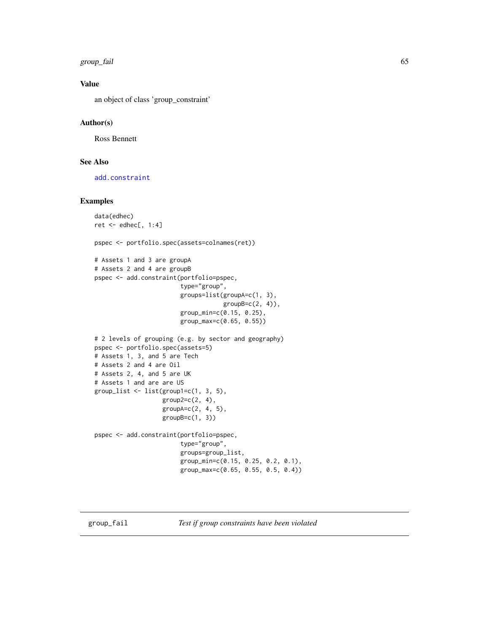group\_fail 65

# Value

an object of class 'group\_constraint'

# Author(s)

Ross Bennett

# See Also

[add.constraint](#page-10-0)

# Examples

```
data(edhec)
ret \leq edhec[, 1:4]
pspec <- portfolio.spec(assets=colnames(ret))
# Assets 1 and 3 are groupA
# Assets 2 and 4 are groupB
pspec <- add.constraint(portfolio=pspec,
                        type="group",
                        groups=list(groupA=c(1, 3),
                                    groupB=c(2, 4)),group_min=c(0.15, 0.25),
                        group_max=c(0.65, 0.55))
# 2 levels of grouping (e.g. by sector and geography)
pspec <- portfolio.spec(assets=5)
# Assets 1, 3, and 5 are Tech
# Assets 2 and 4 are Oil
# Assets 2, 4, and 5 are UK
# Assets 1 and are are US
group\_list \leftarrow list(group1=c(1, 3, 5),group2=c(2, 4),groupA=c(2, 4, 5),
                   groupB=c(1, 3))
pspec <- add.constraint(portfolio=pspec,
                        type="group",
                        groups=group_list,
                        group_min=c(0.15, 0.25, 0.2, 0.1),
                        group_max=c(0.65, 0.55, 0.5, 0.4))
```
group\_fail *Test if group constraints have been violated*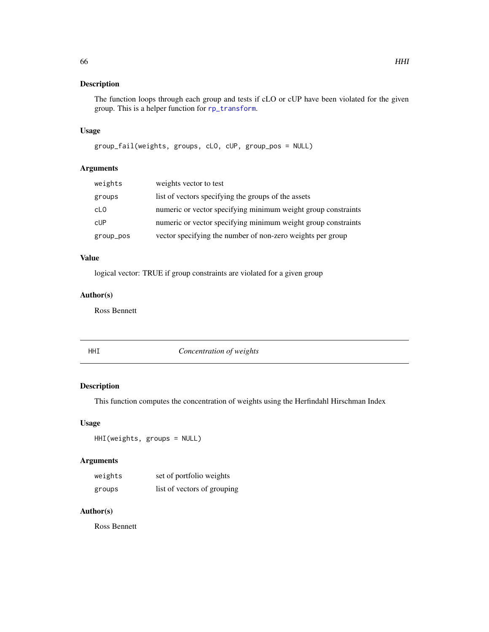# Description

The function loops through each group and tests if cLO or cUP have been violated for the given group. This is a helper function for [rp\\_transform](#page-107-0).

# Usage

```
group_fail(weights, groups, cLO, cUP, group_pos = NULL)
```
# Arguments

| weights   | weights vector to test                                        |
|-----------|---------------------------------------------------------------|
| groups    | list of vectors specifying the groups of the assets           |
| cL0       | numeric or vector specifying minimum weight group constraints |
| cUP       | numeric or vector specifying minimum weight group constraints |
| group_pos | vector specifying the number of non-zero weights per group    |

# Value

logical vector: TRUE if group constraints are violated for a given group

# Author(s)

Ross Bennett

# HHI *Concentration of weights*

# Description

This function computes the concentration of weights using the Herfindahl Hirschman Index

#### Usage

HHI(weights, groups = NULL)

# Arguments

| weights | set of portfolio weights    |
|---------|-----------------------------|
| groups  | list of vectors of grouping |

# Author(s)

Ross Bennett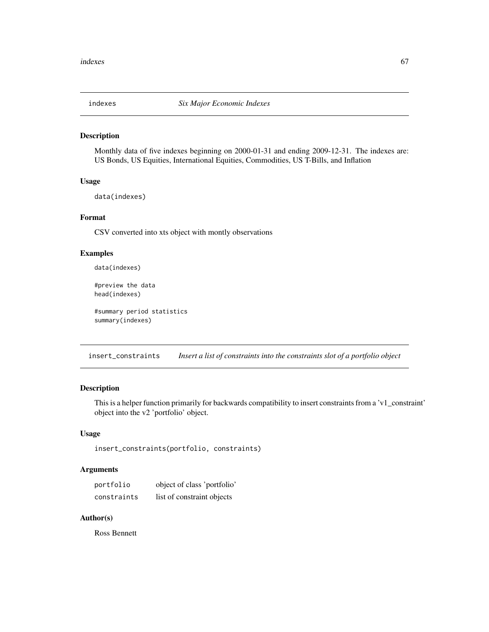#### Description

Monthly data of five indexes beginning on 2000-01-31 and ending 2009-12-31. The indexes are: US Bonds, US Equities, International Equities, Commodities, US T-Bills, and Inflation

#### Usage

data(indexes)

# Format

CSV converted into xts object with montly observations

#### Examples

data(indexes)

#preview the data head(indexes)

#summary period statistics summary(indexes)

insert\_constraints *Insert a list of constraints into the constraints slot of a portfolio object*

# Description

This is a helper function primarily for backwards compatibility to insert constraints from a 'v1\_constraint' object into the v2 'portfolio' object.

# Usage

```
insert_constraints(portfolio, constraints)
```
# Arguments

| portfolio   | object of class 'portfolio' |
|-------------|-----------------------------|
| constraints | list of constraint objects  |

# Author(s)

Ross Bennett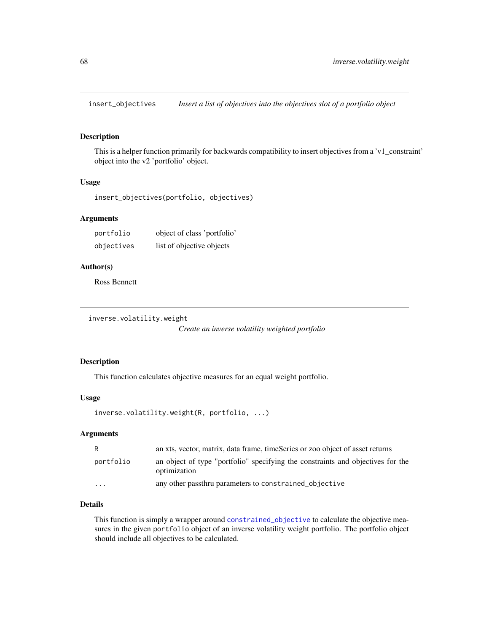insert\_objectives *Insert a list of objectives into the objectives slot of a portfolio object*

#### Description

This is a helper function primarily for backwards compatibility to insert objectives from a 'v1\_constraint' object into the v2 'portfolio' object.

#### Usage

```
insert_objectives(portfolio, objectives)
```
#### Arguments

| portfolio  | object of class 'portfolio' |
|------------|-----------------------------|
| objectives | list of objective objects   |

#### Author(s)

Ross Bennett

```
inverse.volatility.weight
```
*Create an inverse volatility weighted portfolio*

#### Description

This function calculates objective measures for an equal weight portfolio.

#### Usage

```
inverse.volatility.weight(R, portfolio, ...)
```
# Arguments

| R         | an xts, vector, matrix, data frame, timeSeries or zoo object of asset returns                   |
|-----------|-------------------------------------------------------------------------------------------------|
| portfolio | an object of type "portfolio" specifying the constraints and objectives for the<br>optimization |
| $\cdots$  | any other passthru parameters to constrained objective                                          |

# Details

This function is simply a wrapper around [constrained\\_objective](#page-39-0) to calculate the objective measures in the given portfolio object of an inverse volatility weight portfolio. The portfolio object should include all objectives to be calculated.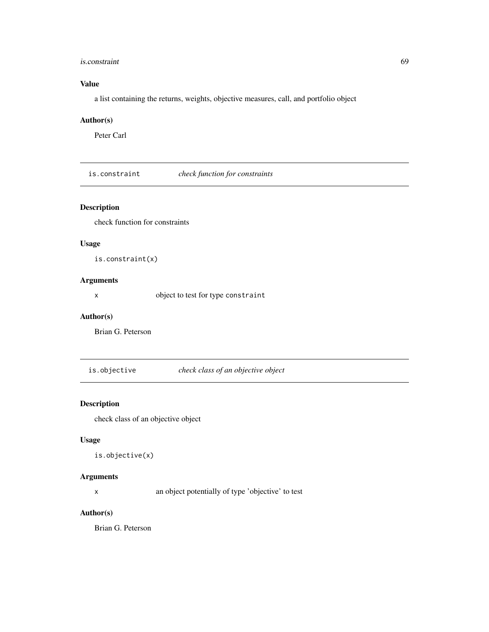## is.constraint 69

# Value

a list containing the returns, weights, objective measures, call, and portfolio object

# Author(s)

Peter Carl

is.constraint *check function for constraints*

# Description

check function for constraints

# Usage

is.constraint(x)

# Arguments

x object to test for type constraint

#### Author(s)

Brian G. Peterson

is.objective *check class of an objective object*

# Description

check class of an objective object

# Usage

```
is.objective(x)
```
# Arguments

x an object potentially of type 'objective' to test

# Author(s)

Brian G. Peterson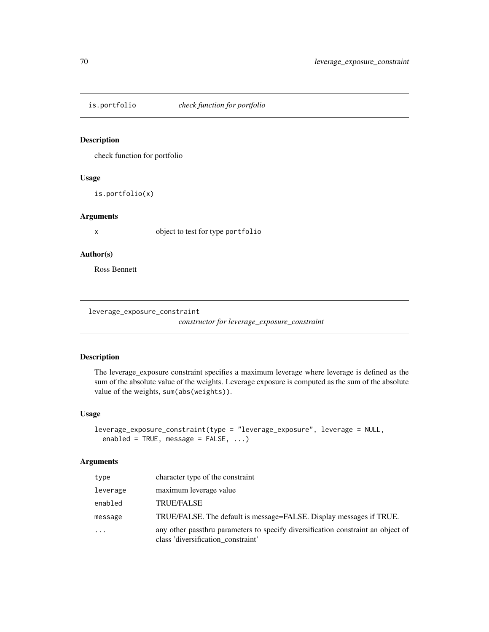# Description

check function for portfolio

# Usage

is.portfolio(x)

# Arguments

x object to test for type portfolio

# Author(s)

Ross Bennett

leverage\_exposure\_constraint

*constructor for leverage\_exposure\_constraint*

## Description

The leverage\_exposure constraint specifies a maximum leverage where leverage is defined as the sum of the absolute value of the weights. Leverage exposure is computed as the sum of the absolute value of the weights, sum(abs(weights)).

## Usage

```
leverage_exposure_constraint(type = "leverage_exposure", leverage = NULL,
 enabled = TRUE, message = FALSE, ...)
```
# Arguments

| type     | character type of the constraint                                                                                       |
|----------|------------------------------------------------------------------------------------------------------------------------|
| leverage | maximum leverage value                                                                                                 |
| enabled  | <b>TRUE/FALSE</b>                                                                                                      |
| message  | TRUE/FALSE. The default is message=FALSE. Display messages if TRUE.                                                    |
| $\cdots$ | any other passthru parameters to specify diversification constraint an object of<br>class 'diversification_constraint' |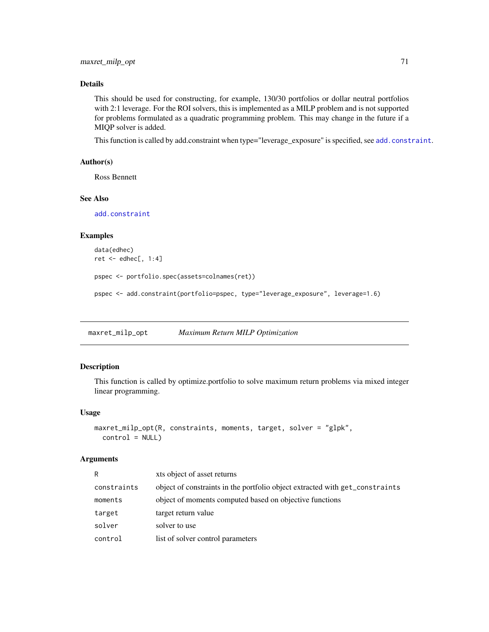# Details

This should be used for constructing, for example, 130/30 portfolios or dollar neutral portfolios with 2:1 leverage. For the ROI solvers, this is implemented as a MILP problem and is not supported for problems formulated as a quadratic programming problem. This may change in the future if a MIQP solver is added.

This function is called by [add.constraint](#page-10-0) when type="leverage\_exposure" is specified, see add.constraint.

# Author(s)

Ross Bennett

#### See Also

[add.constraint](#page-10-0)

#### Examples

```
data(edhec)
ret <- edhec[, 1:4]
pspec <- portfolio.spec(assets=colnames(ret))
pspec <- add.constraint(portfolio=pspec, type="leverage_exposure", leverage=1.6)
```
maxret\_milp\_opt *Maximum Return MILP Optimization*

#### Description

This function is called by optimize.portfolio to solve maximum return problems via mixed integer linear programming.

#### Usage

```
maxret_milp_opt(R, constraints, moments, target, solver = "glpk",
 control = NULL)
```
#### Arguments

| R           | xts object of asset returns                                                  |
|-------------|------------------------------------------------------------------------------|
| constraints | object of constraints in the portfolio object extracted with get_constraints |
| moments     | object of moments computed based on objective functions                      |
| target      | target return value                                                          |
| solver      | solver to use                                                                |
| control     | list of solver control parameters                                            |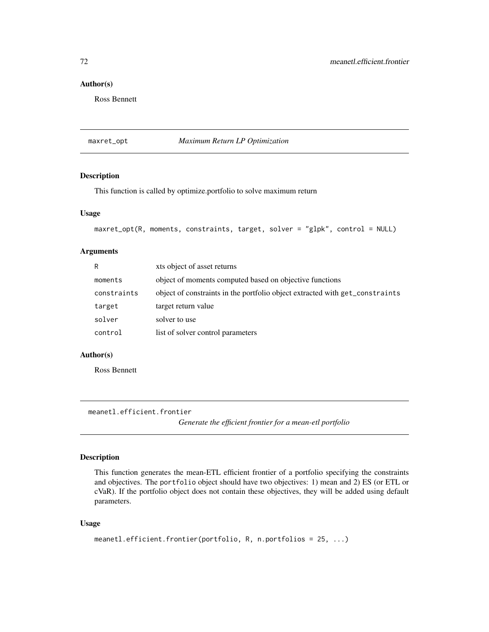# Author(s)

Ross Bennett

maxret\_opt *Maximum Return LP Optimization*

# Description

This function is called by optimize.portfolio to solve maximum return

#### Usage

```
maxret_opt(R, moments, constraints, target, solver = "glpk", control = NULL)
```
# Arguments

| R           | xts object of asset returns                                                  |
|-------------|------------------------------------------------------------------------------|
| moments     | object of moments computed based on objective functions                      |
| constraints | object of constraints in the portfolio object extracted with get_constraints |
| target      | target return value                                                          |
| solver      | solver to use                                                                |
| control     | list of solver control parameters                                            |

## Author(s)

Ross Bennett

<span id="page-71-0"></span>meanetl.efficient.frontier

*Generate the efficient frontier for a mean-etl portfolio*

## Description

This function generates the mean-ETL efficient frontier of a portfolio specifying the constraints and objectives. The portfolio object should have two objectives: 1) mean and 2) ES (or ETL or cVaR). If the portfolio object does not contain these objectives, they will be added using default parameters.

# Usage

```
meanetl.efficient.frontier(portfolio, R, n.portfolios = 25, ...)
```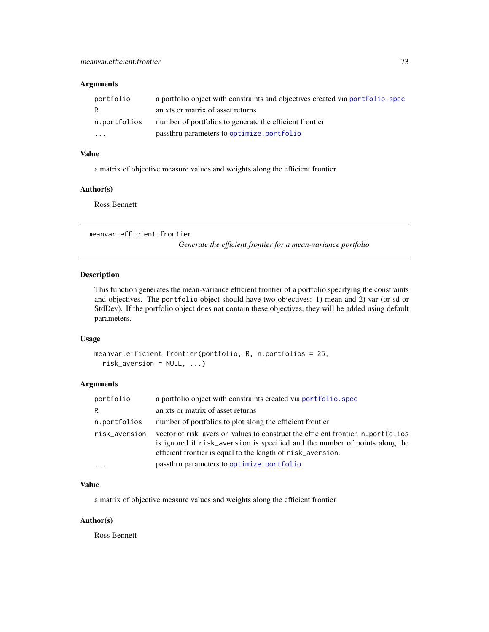| portfolio               | a portfolio object with constraints and objectives created via portfolio. spec |
|-------------------------|--------------------------------------------------------------------------------|
| R                       | an xts or matrix of asset returns                                              |
| n.portfolios            | number of portfolios to generate the efficient frontier                        |
| $\cdot$ $\cdot$ $\cdot$ | passthru parameters to optimize.portfolio                                      |

# Value

a matrix of objective measure values and weights along the efficient frontier

#### Author(s)

Ross Bennett

meanvar.efficient.frontier

*Generate the efficient frontier for a mean-variance portfolio*

## Description

This function generates the mean-variance efficient frontier of a portfolio specifying the constraints and objectives. The portfolio object should have two objectives: 1) mean and 2) var (or sd or StdDev). If the portfolio object does not contain these objectives, they will be added using default parameters.

#### Usage

```
meanvar.efficient.frontier(portfolio, R, n.portfolios = 25,
 risk_aversion = NULL, ...)
```
# Arguments

| portfolio     | a portfolio object with constraints created via portfolio. spec                                                                                                                                                                 |
|---------------|---------------------------------------------------------------------------------------------------------------------------------------------------------------------------------------------------------------------------------|
| R             | an xts or matrix of asset returns                                                                                                                                                                                               |
| n.portfolios  | number of portfolios to plot along the efficient frontier                                                                                                                                                                       |
| risk_aversion | vector of risk aversion values to construct the efficient frontier. n. portfolios<br>is ignored if risk_aversion is specified and the number of points along the<br>efficient frontier is equal to the length of risk_aversion. |
| $\cdot$       | passthru parameters to optimize.portfolio                                                                                                                                                                                       |

#### Value

a matrix of objective measure values and weights along the efficient frontier

#### Author(s)

Ross Bennett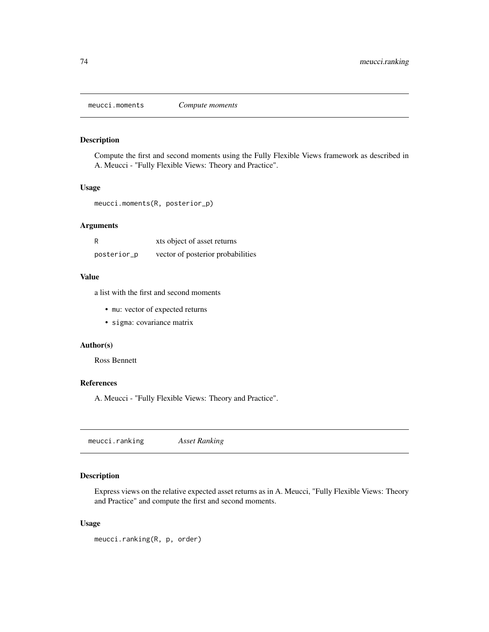<span id="page-73-0"></span>meucci.moments *Compute moments*

# Description

Compute the first and second moments using the Fully Flexible Views framework as described in A. Meucci - "Fully Flexible Views: Theory and Practice".

#### Usage

meucci.moments(R, posterior\_p)

# Arguments

| R           | xts object of asset returns       |
|-------------|-----------------------------------|
| posterior_p | vector of posterior probabilities |

## Value

a list with the first and second moments

- mu: vector of expected returns
- sigma: covariance matrix

## Author(s)

Ross Bennett

## References

A. Meucci - "Fully Flexible Views: Theory and Practice".

meucci.ranking *Asset Ranking*

# Description

Express views on the relative expected asset returns as in A. Meucci, "Fully Flexible Views: Theory and Practice" and compute the first and second moments.

```
meucci.ranking(R, p, order)
```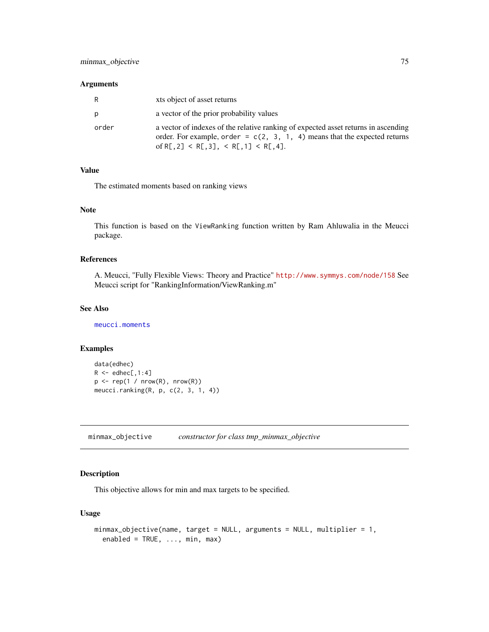| R     | xts object of asset returns                                                                                                                                                                             |
|-------|---------------------------------------------------------------------------------------------------------------------------------------------------------------------------------------------------------|
| p     | a vector of the prior probability values                                                                                                                                                                |
| order | a vector of indexes of the relative ranking of expected asset returns in ascending<br>order. For example, order = $c(2, 3, 1, 4)$ means that the expected returns<br>of R[.2] < R[.3], < R[.1] < R[.4]. |

## Value

The estimated moments based on ranking views

## Note

This function is based on the ViewRanking function written by Ram Ahluwalia in the Meucci package.

## References

A. Meucci, "Fully Flexible Views: Theory and Practice" <http://www.symmys.com/node/158> See Meucci script for "RankingInformation/ViewRanking.m"

## See Also

[meucci.moments](#page-73-0)

#### Examples

```
data(edhec)
R \leq - edhec[,1:4]
p \leftarrow rep(1 / nrow(R), nrow(R))meucci.ranking(R, p, c(2, 3, 1, 4))
```
minmax\_objective *constructor for class tmp\_minmax\_objective*

# Description

This objective allows for min and max targets to be specified.

```
minmax_objective(name, target = NULL, arguments = NULL, multiplier = 1,
  enabled = TRUE, ..., min, max)
```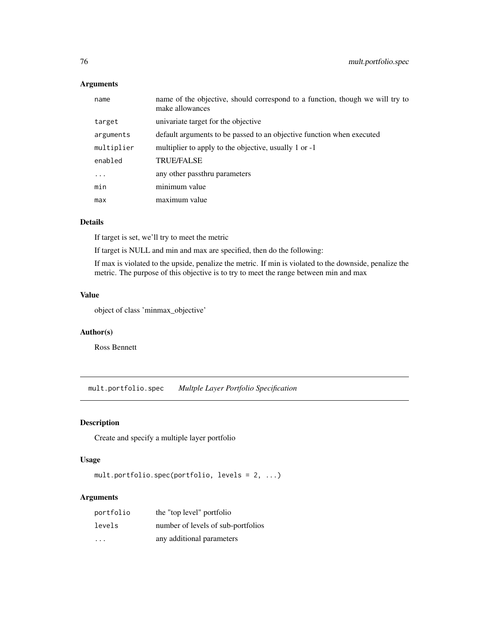| name       | name of the objective, should correspond to a function, though we will try to<br>make allowances |
|------------|--------------------------------------------------------------------------------------------------|
| target     | univariate target for the objective                                                              |
| arguments  | default arguments to be passed to an objective function when executed                            |
| multiplier | multiplier to apply to the objective, usually 1 or -1                                            |
| enabled    | <b>TRUE/FALSE</b>                                                                                |
| $\ddotsc$  | any other passthru parameters                                                                    |
| min        | minimum value                                                                                    |
| max        | maximum value                                                                                    |

## Details

If target is set, we'll try to meet the metric

If target is NULL and min and max are specified, then do the following:

If max is violated to the upside, penalize the metric. If min is violated to the downside, penalize the metric. The purpose of this objective is to try to meet the range between min and max

## Value

object of class 'minmax\_objective'

#### Author(s)

Ross Bennett

mult.portfolio.spec *Multple Layer Portfolio Specification*

# Description

Create and specify a multiple layer portfolio

# Usage

```
mult.portfolio.spec(portfolio, levels = 2, ...)
```
## Arguments

| portfolio | the "top level" portfolio          |
|-----------|------------------------------------|
| levels    | number of levels of sub-portfolios |
| .         | any additional parameters          |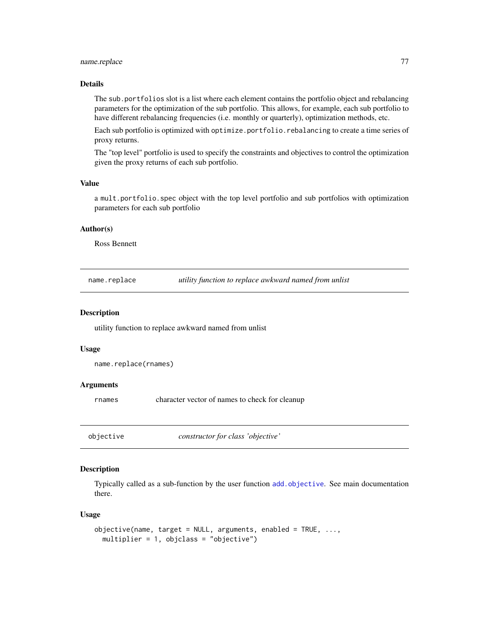## name.replace 77

## Details

The sub.portfolios slot is a list where each element contains the portfolio object and rebalancing parameters for the optimization of the sub portfolio. This allows, for example, each sub portfolio to have different rebalancing frequencies (i.e. monthly or quarterly), optimization methods, etc.

Each sub portfolio is optimized with optimize.portfolio.rebalancing to create a time series of proxy returns.

The "top level" portfolio is used to specify the constraints and objectives to control the optimization given the proxy returns of each sub portfolio.

#### Value

a mult.portfolio.spec object with the top level portfolio and sub portfolios with optimization parameters for each sub portfolio

## Author(s)

Ross Bennett

name.replace *utility function to replace awkward named from unlist*

#### Description

utility function to replace awkward named from unlist

#### Usage

```
name.replace(rnames)
```
#### Arguments

rnames character vector of names to check for cleanup

<span id="page-76-0"></span>objective *constructor for class 'objective'*

## Description

Typically called as a sub-function by the user function [add.objective](#page-12-0). See main documentation there.

```
objective(name, target = NULL, arguments, enabled = TRUE, \ldots,
 multiplier = 1, objclass = "objective")
```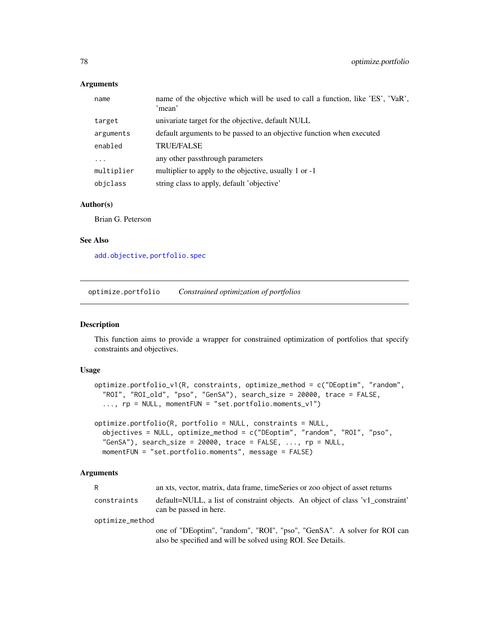| name       | name of the objective which will be used to call a function, like 'ES', 'VaR',<br>'mean' |
|------------|------------------------------------------------------------------------------------------|
| target     | univariate target for the objective, default NULL                                        |
| arguments  | default arguments to be passed to an objective function when executed                    |
| enabled    | <b>TRUE/FALSE</b>                                                                        |
|            | any other passthrough parameters                                                         |
| multiplier | multiplier to apply to the objective, usually 1 or -1                                    |
| objclass   | string class to apply, default 'objective'                                               |

#### Author(s)

Brian G. Peterson

#### See Also

[add.objective](#page-12-0), [portfolio.spec](#page-88-0)

<span id="page-77-0"></span>optimize.portfolio *Constrained optimization of portfolios*

#### Description

This function aims to provide a wrapper for constrained optimization of portfolios that specify constraints and objectives.

## Usage

```
optimize.portfolio_v1(R, constraints, optimize_method = c("DEoptim", "random",
  "ROI", "ROI_old", "pso", "GenSA"), search_size = 20000, trace = FALSE,
  ..., rp = NULL, momentFUN = "set.portfolio.moments_v1")
```

```
optimize.portfolio(R, portfolio = NULL, constraints = NULL,
 objectives = NULL, optimize_method = c("DEoptim", "random", "ROI", "pso",
  "GenSA"), search_size = 20000, trace = FALSE, ..., rp = NULL,
 momentFUN = "set.portfolio.moments", message = FALSE)
```
#### Arguments

| R               | an xts, vector, matrix, data frame, timeSeries or zoo object of asset returns                                                           |  |
|-----------------|-----------------------------------------------------------------------------------------------------------------------------------------|--|
| constraints     | default=NULL, a list of constraint objects. An object of class 'v1_constraint'<br>can be passed in here.                                |  |
| optimize_method |                                                                                                                                         |  |
|                 | one of "DEoptim", "random", "ROI", "pso", "GenSA". A solver for ROI can<br>also be specified and will be solved using ROI. See Details. |  |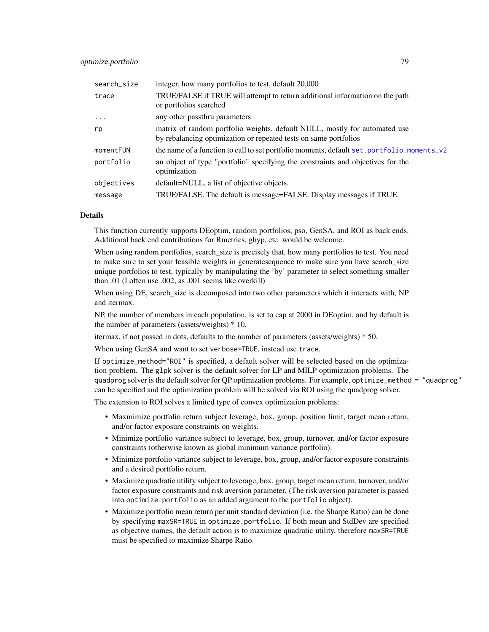| search_size | integer, how many portfolios to test, default 20,000                                                                                           |
|-------------|------------------------------------------------------------------------------------------------------------------------------------------------|
| trace       | TRUE/FALSE if TRUE will attempt to return additional information on the path<br>or portfolios searched                                         |
| $\cdots$    | any other passthru parameters                                                                                                                  |
| rp          | matrix of random portfolio weights, default NULL, mostly for automated use<br>by rebalancing optimization or repeated tests on same portfolios |
| momentFUN   | the name of a function to call to set portfolio moments, default set . portfolio moments_v2                                                    |
| portfolio   | an object of type "portfolio" specifying the constraints and objectives for the<br>optimization                                                |
| objectives  | default=NULL, a list of objective objects.                                                                                                     |
| message     | TRUE/FALSE. The default is message=FALSE. Display messages if TRUE.                                                                            |

## Details

This function currently supports DEoptim, random portfolios, pso, GenSA, and ROI as back ends. Additional back end contributions for Rmetrics, ghyp, etc. would be welcome.

When using random portfolios, search size is precisely that, how many portfolios to test. You need to make sure to set your feasible weights in generatesequence to make sure you have search\_size unique portfolios to test, typically by manipulating the 'by' parameter to select something smaller than .01 (I often use .002, as .001 seems like overkill)

When using DE, search\_size is decomposed into two other parameters which it interacts with, NP and itermax.

NP, the number of members in each population, is set to cap at 2000 in DEoptim, and by default is the number of parameters (assets/weights) \* 10.

itermax, if not passed in dots, defaults to the number of parameters (assets/weights) \* 50.

When using GenSA and want to set verbose=TRUE, instead use trace.

If optimize\_method="ROI" is specified, a default solver will be selected based on the optimization problem. The glpk solver is the default solver for LP and MILP optimization problems. The quadprog solver is the default solver for QP optimization problems. For example, optimize\_method = "quadprog" can be specified and the optimization problem will be solved via ROI using the quadprog solver.

The extension to ROI solves a limited type of convex optimization problems:

- Maxmimize portfolio return subject leverage, box, group, position limit, target mean return, and/or factor exposure constraints on weights.
- Minimize portfolio variance subject to leverage, box, group, turnover, and/or factor exposure constraints (otherwise known as global minimum variance portfolio).
- Minimize portfolio variance subject to leverage, box, group, and/or factor exposure constraints and a desired portfolio return.
- Maximize quadratic utility subject to leverage, box, group, target mean return, turnover, and/or factor exposure constraints and risk aversion parameter. (The risk aversion parameter is passed into optimize.portfolio as an added argument to the portfolio object).
- Maximize portfolio mean return per unit standard deviation (i.e. the Sharpe Ratio) can be done by specifying maxSR=TRUE in optimize.portfolio. If both mean and StdDev are specified as objective names, the default action is to maximize quadratic utility, therefore maxSR=TRUE must be specified to maximize Sharpe Ratio.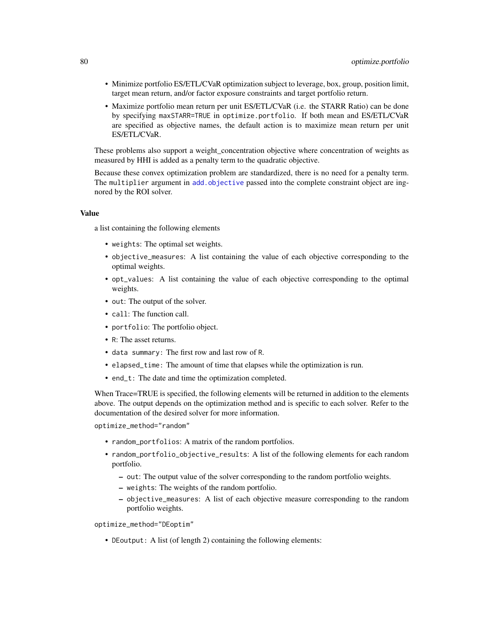- Minimize portfolio ES/ETL/CVaR optimization subject to leverage, box, group, position limit, target mean return, and/or factor exposure constraints and target portfolio return.
- Maximize portfolio mean return per unit ES/ETL/CVaR (i.e. the STARR Ratio) can be done by specifying maxSTARR=TRUE in optimize.portfolio. If both mean and ES/ETL/CVaR are specified as objective names, the default action is to maximize mean return per unit ES/ETL/CVaR.

These problems also support a weight\_concentration objective where concentration of weights as measured by HHI is added as a penalty term to the quadratic objective.

Because these convex optimization problem are standardized, there is no need for a penalty term. The multiplier argument in [add.objective](#page-12-0) passed into the complete constraint object are ingnored by the ROI solver.

#### Value

a list containing the following elements

- weights: The optimal set weights.
- objective\_measures: A list containing the value of each objective corresponding to the optimal weights.
- opt\_values: A list containing the value of each objective corresponding to the optimal weights.
- out: The output of the solver.
- call: The function call.
- portfolio: The portfolio object.
- R: The asset returns.
- data summary: The first row and last row of R.
- elapsed\_time: The amount of time that elapses while the optimization is run.
- end\_t: The date and time the optimization completed.

When Trace=TRUE is specified, the following elements will be returned in addition to the elements above. The output depends on the optimization method and is specific to each solver. Refer to the documentation of the desired solver for more information.

optimize\_method="random"

- random\_portfolios: A matrix of the random portfolios.
- random\_portfolio\_objective\_results: A list of the following elements for each random portfolio.
	- out: The output value of the solver corresponding to the random portfolio weights.
	- weights: The weights of the random portfolio.
	- objective\_measures: A list of each objective measure corresponding to the random portfolio weights.

optimize\_method="DEoptim"

• DEoutput: A list (of length 2) containing the following elements: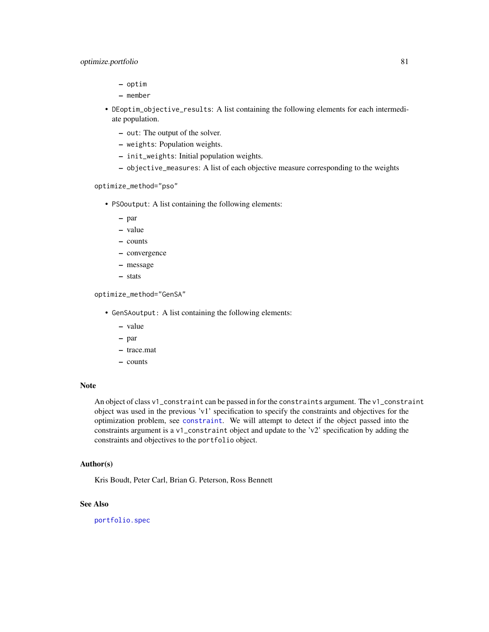- optim
- member
- DEoptim\_objective\_results: A list containing the following elements for each intermediate population.
	- out: The output of the solver.
	- weights: Population weights.
	- init\_weights: Initial population weights.
	- objective\_measures: A list of each objective measure corresponding to the weights

optimize\_method="pso"

- PSOoutput: A list containing the following elements:
	- par
	- value
	- counts
	- convergence
	- message
	- stats

optimize\_method="GenSA"

- GenSAoutput: A list containing the following elements:
	- value
	- par
	- trace.mat
	- counts

## Note

An object of class v1\_constraint can be passed in for the constraints argument. The v1\_constraint object was used in the previous 'v1' specification to specify the constraints and objectives for the optimization problem, see [constraint](#page-41-0). We will attempt to detect if the object passed into the constraints argument is a v1\_constraint object and update to the 'v2' specification by adding the constraints and objectives to the portfolio object.

#### Author(s)

Kris Boudt, Peter Carl, Brian G. Peterson, Ross Bennett

## See Also

[portfolio.spec](#page-88-0)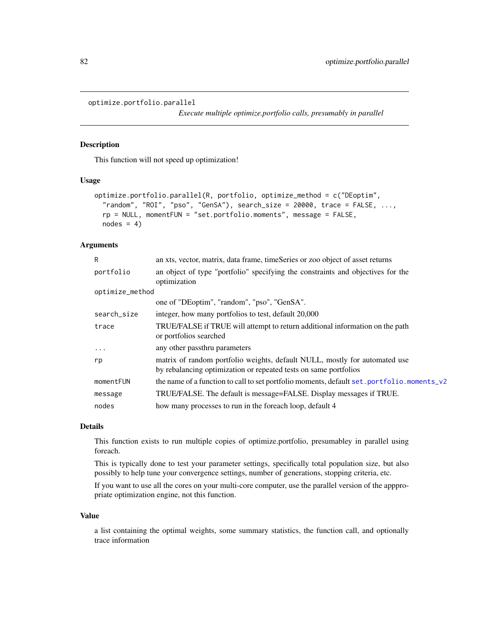```
optimize.portfolio.parallel
```
*Execute multiple optimize.portfolio calls, presumably in parallel*

# Description

This function will not speed up optimization!

#### Usage

```
optimize.portfolio.parallel(R, portfolio, optimize_method = c("DEoptim",
  "random", "ROI", "pso", "GenSA"), search_size = 20000, trace = FALSE, \dots,
  rp = NULL, momentFUN = "set.portfolio.moments", message = FALSE,
 nodes = 4)
```
# Arguments

| R               | an xts, vector, matrix, data frame, timeSeries or zoo object of asset returns                                                                  |
|-----------------|------------------------------------------------------------------------------------------------------------------------------------------------|
| portfolio       | an object of type "portfolio" specifying the constraints and objectives for the<br>optimization                                                |
| optimize_method |                                                                                                                                                |
|                 | one of "DEoptim", "random", "pso", "GenSA".                                                                                                    |
| search_size     | integer, how many portfolios to test, default 20,000                                                                                           |
| trace           | TRUE/FALSE if TRUE will attempt to return additional information on the path<br>or portfolios searched                                         |
| $\ddotsc$       | any other passthru parameters                                                                                                                  |
| rp              | matrix of random portfolio weights, default NULL, mostly for automated use<br>by rebalancing optimization or repeated tests on same portfolios |
| momentFUN       | the name of a function to call to set portfolio moments, default set . portfolio moments_v2                                                    |
| message         | TRUE/FALSE. The default is message=FALSE. Display messages if TRUE.                                                                            |
| nodes           | how many processes to run in the foreach loop, default 4                                                                                       |
|                 |                                                                                                                                                |

## Details

This function exists to run multiple copies of optimize.portfolio, presumabley in parallel using foreach.

This is typically done to test your parameter settings, specifically total population size, but also possibly to help tune your convergence settings, number of generations, stopping criteria, etc.

If you want to use all the cores on your multi-core computer, use the parallel version of the apppropriate optimization engine, not this function.

#### Value

a list containing the optimal weights, some summary statistics, the function call, and optionally trace information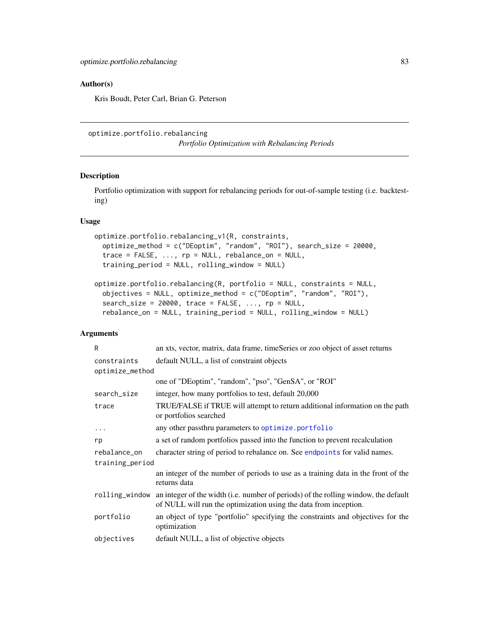#### Author(s)

Kris Boudt, Peter Carl, Brian G. Peterson

```
optimize.portfolio.rebalancing
```
*Portfolio Optimization with Rebalancing Periods*

# Description

Portfolio optimization with support for rebalancing periods for out-of-sample testing (i.e. backtesting)

#### Usage

```
optimize.portfolio.rebalancing_v1(R, constraints,
  optimize_method = c("DEoptim", "random", "ROI"), search_size = 20000,
  trace = FALSE, ..., rp = NULL, rebalance\_on = NULL,training_period = NULL, rolling_window = NULL)
```

```
optimize.portfolio.rebalancing(R, portfolio = NULL, constraints = NULL,
 objectives = NULL, optimize_method = c("DEoptim", "random", "ROI"),
 search\_size = 20000, trace = FALSE, ..., rp = NULL,
 rebalance_on = NULL, training_period = NULL, rolling_window = NULL)
```
# Arguments

| R               | an xts, vector, matrix, data frame, timeSeries or zoo object of asset returns                                                                           |
|-----------------|---------------------------------------------------------------------------------------------------------------------------------------------------------|
| constraints     | default NULL, a list of constraint objects                                                                                                              |
| optimize_method |                                                                                                                                                         |
|                 | one of "DEoptim", "random", "pso", "GenSA", or "ROI"                                                                                                    |
| search_size     | integer, how many portfolios to test, default 20,000                                                                                                    |
| trace           | TRUE/FALSE if TRUE will attempt to return additional information on the path<br>or portfolios searched                                                  |
| $\cdots$        | any other passthru parameters to optimize.portfolio                                                                                                     |
| rp              | a set of random portfolios passed into the function to prevent recalculation                                                                            |
| rebalance_on    | character string of period to rebalance on. See endpoints for valid names.                                                                              |
| training_period |                                                                                                                                                         |
|                 | an integer of the number of periods to use as a training data in the front of the<br>returns data                                                       |
| rolling_window  | an integer of the width (i.e. number of periods) of the rolling window, the default<br>of NULL will run the optimization using the data from inception. |
| portfolio       | an object of type "portfolio" specifying the constraints and objectives for the<br>optimization                                                         |
| objectives      | default NULL, a list of objective objects                                                                                                               |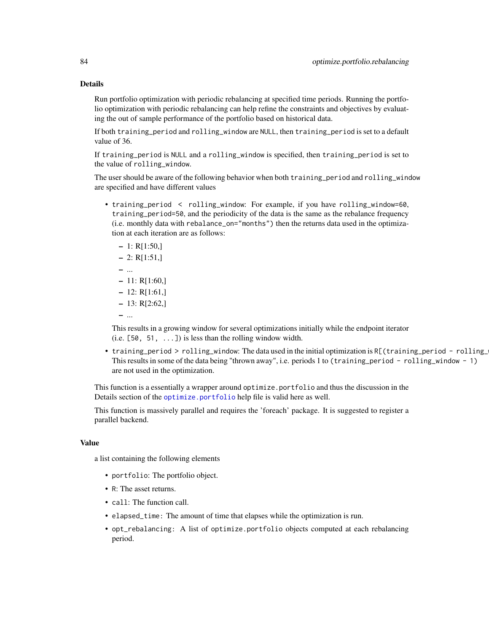#### Details

Run portfolio optimization with periodic rebalancing at specified time periods. Running the portfolio optimization with periodic rebalancing can help refine the constraints and objectives by evaluating the out of sample performance of the portfolio based on historical data.

If both training\_period and rolling\_window are NULL, then training\_period is set to a default value of 36.

If training\_period is NULL and a rolling\_window is specified, then training\_period is set to the value of rolling\_window.

The user should be aware of the following behavior when both training\_period and rolling\_window are specified and have different values

• training\_period < rolling\_window: For example, if you have rolling\_window=60, training\_period=50, and the periodicity of the data is the same as the rebalance frequency (i.e. monthly data with rebalance\_on="months") then the returns data used in the optimization at each iteration are as follows:

```
-1: R[1:50]-2: R[1:51]– ...
-11: R[1:60]-12: R[1:61]-13: R[2:62]– ...
```
This results in a growing window for several optimizations initially while the endpoint iterator  $(i.e. [50, 51, ...])$  is less than the rolling window width.

• training\_period > rolling\_window: The data used in the initial optimization is R[(training\_period - rolling\_ This results in some of the data being "thrown away", i.e. periods 1 to (training\_period - rolling\_window - 1) are not used in the optimization.

This function is a essentially a wrapper around optimize.portfolio and thus the discussion in the Details section of the [optimize.portfolio](#page-77-0) help file is valid here as well.

This function is massively parallel and requires the 'foreach' package. It is suggested to register a parallel backend.

#### Value

a list containing the following elements

- portfolio: The portfolio object.
- R: The asset returns.
- call: The function call.
- elapsed\_time: The amount of time that elapses while the optimization is run.
- opt\_rebalancing: A list of optimize.portfolio objects computed at each rebalancing period.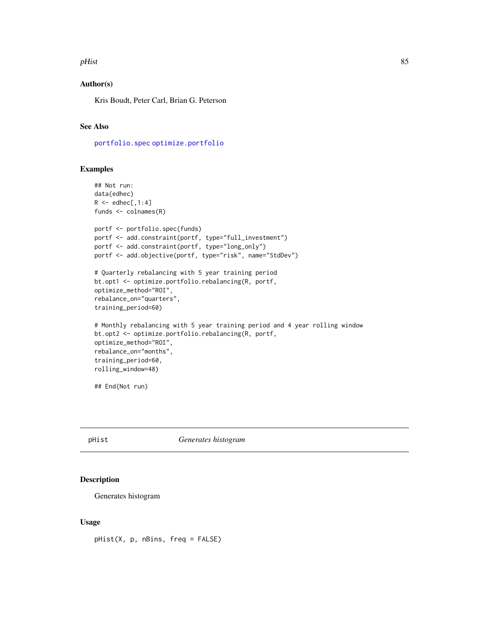#### pHist 85

## Author(s)

Kris Boudt, Peter Carl, Brian G. Peterson

# See Also

[portfolio.spec](#page-88-0) [optimize.portfolio](#page-77-0)

#### Examples

```
## Not run:
data(edhec)
R \leftarrow edhec[, 1:4]funds <- colnames(R)
portf <- portfolio.spec(funds)
portf <- add.constraint(portf, type="full_investment")
portf <- add.constraint(portf, type="long_only")
portf <- add.objective(portf, type="risk", name="StdDev")
# Quarterly rebalancing with 5 year training period
bt.opt1 <- optimize.portfolio.rebalancing(R, portf,
optimize_method="ROI",
rebalance_on="quarters",
training_period=60)
# Monthly rebalancing with 5 year training period and 4 year rolling window
bt.opt2 <- optimize.portfolio.rebalancing(R, portf,
optimize_method="ROI",
rebalance_on="months",
training_period=60,
rolling_window=48)
## End(Not run)
```
pHist *Generates histogram*

## Description

Generates histogram

#### Usage

pHist(X, p, nBins, freq = FALSE)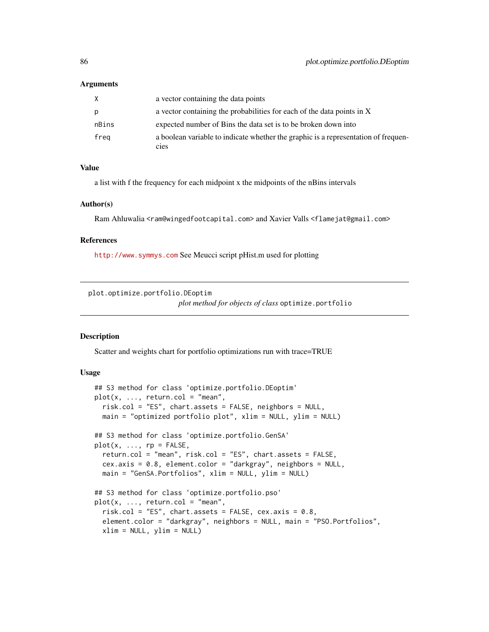| X     | a vector containing the data points                                                        |
|-------|--------------------------------------------------------------------------------------------|
| p     | a vector containing the probabilities for each of the data points in X                     |
| nBins | expected number of Bins the data set is to be broken down into                             |
| freg  | a boolean variable to indicate whether the graphic is a representation of frequen-<br>cies |

#### Value

a list with f the frequency for each midpoint x the midpoints of the nBins intervals

#### Author(s)

Ram Ahluwalia <ram@wingedfootcapital.com> and Xavier Valls <flamejat@gmail.com>

#### References

<http://www.symmys.com> See Meucci script pHist.m used for plotting

plot.optimize.portfolio.DEoptim

*plot method for objects of class* optimize.portfolio

## Description

Scatter and weights chart for portfolio optimizations run with trace=TRUE

```
## S3 method for class 'optimize.portfolio.DEoptim'
plot(x, ..., return.col = "mean",risk.col = "ES", chart.assets = FALSE, neighbors = NULL,
 main = "optimized portfolio plot", xlim = NULL, ylim = NULL)
## S3 method for class 'optimize.portfolio.GenSA'
plot(x, ..., rp = FALSE,return.col = "mean", risk.col = "ES", chart.assets = FALSE,
 cex.axis = 0.8, element.color = "darkgray", neighbors = NULL,
 main = "GenSA.Portfolios", xlim = NULL, ylim = NULL)
## S3 method for class 'optimize.portfolio.pso'
plot(x, ..., return.col = "mean",risk.col = "ES", chart.assets = FALSE, cex.axis = 0.8,
 element.color = "darkgray", neighbors = NULL, main = "PSO.Portfolios",
 xlim = NULL, ylim = NULL)
```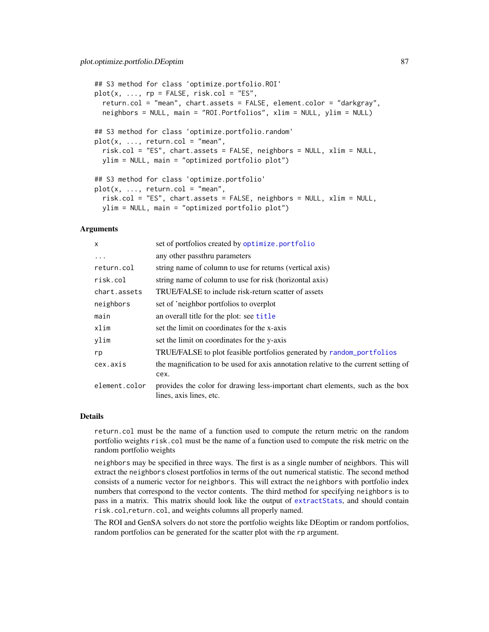```
## S3 method for class 'optimize.portfolio.ROI'
plot(x, ..., rp = FALSE, risk,col = "ES",return.col = "mean", chart.assets = FALSE, element.color = "darkgray",
 neighbors = NULL, main = "ROI.Portfolios", xlim = NULL, ylim = NULL)
## S3 method for class 'optimize.portfolio.random'
plot(x, ..., return.col = "mean",risk.col = "ES", chart.assets = FALSE, neighbors = NULL, xlim = NULL,
 ylim = NULL, main = "optimized portfolio plot")
## S3 method for class 'optimize.portfolio'
plot(x, ..., return.col = "mean",risk.col = "ES", chart.assets = FALSE, neighbors = NULL, xlim = NULL,
 ylim = NULL, main = "optimized portfolio plot")
```

| X             | set of portfolios created by optimize.portfolio                                                          |
|---------------|----------------------------------------------------------------------------------------------------------|
| .             | any other passthru parameters                                                                            |
| return.col    | string name of column to use for returns (vertical axis)                                                 |
| risk.col      | string name of column to use for risk (horizontal axis)                                                  |
| chart.assets  | TRUE/FALSE to include risk-return scatter of assets                                                      |
| neighbors     | set of 'neighbor portfolios to overplot                                                                  |
| main          | an overall title for the plot: see title                                                                 |
| xlim          | set the limit on coordinates for the x-axis                                                              |
| ylim          | set the limit on coordinates for the y-axis                                                              |
| rp            | TRUE/FALSE to plot feasible portfolios generated by random_portfolios                                    |
| cex.axis      | the magnification to be used for axis annotation relative to the current setting of                      |
|               | cex.                                                                                                     |
| element.color | provides the color for drawing less-important chart elements, such as the box<br>lines, axis lines, etc. |

#### Details

return.col must be the name of a function used to compute the return metric on the random portfolio weights risk.col must be the name of a function used to compute the risk metric on the random portfolio weights

neighbors may be specified in three ways. The first is as a single number of neighbors. This will extract the neighbors closest portfolios in terms of the out numerical statistic. The second method consists of a numeric vector for neighbors. This will extract the neighbors with portfolio index numbers that correspond to the vector contents. The third method for specifying neighbors is to pass in a matrix. This matrix should look like the output of [extractStats](#page-55-0), and should contain risk.col,return.col, and weights columns all properly named.

The ROI and GenSA solvers do not store the portfolio weights like DEoptim or random portfolios, random portfolios can be generated for the scatter plot with the rp argument.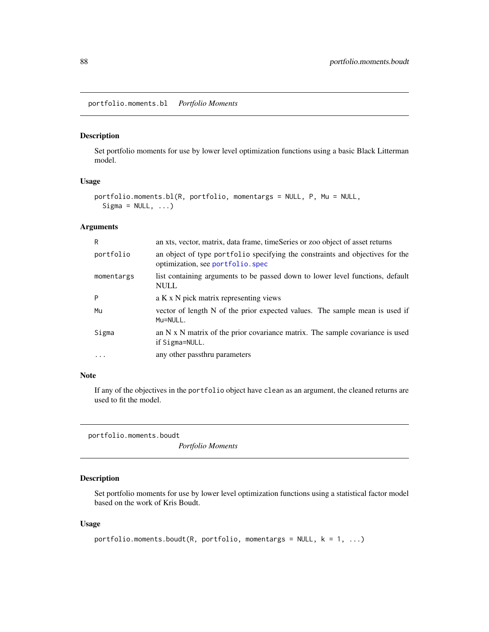portfolio.moments.bl *Portfolio Moments*

# Description

Set portfolio moments for use by lower level optimization functions using a basic Black Litterman model.

#### Usage

```
portfolio.moments.bl(R, portfolio, momentargs = NULL, P, Mu = NULL,
  Sigma = NULL, ...
```
## Arguments

| R          | an xts, vector, matrix, data frame, timeSeries or zoo object of asset returns                                      |
|------------|--------------------------------------------------------------------------------------------------------------------|
| portfolio  | an object of type portfolio specifying the constraints and objectives for the<br>optimization, see portfolio. spec |
| momentargs | list containing arguments to be passed down to lower level functions, default<br><b>NULL</b>                       |
| P          | a K x N pick matrix representing views                                                                             |
| Mu         | vector of length N of the prior expected values. The sample mean is used if<br>Mu=NULL.                            |
| Sigma      | an $N \times N$ matrix of the prior covariance matrix. The sample covariance is used<br>if Sigma=NULL.             |
| $\ddots$   | any other passthru parameters                                                                                      |

#### Note

If any of the objectives in the portfolio object have clean as an argument, the cleaned returns are used to fit the model.

portfolio.moments.boudt

*Portfolio Moments*

## Description

Set portfolio moments for use by lower level optimization functions using a statistical factor model based on the work of Kris Boudt.

```
portfolio.moments.boudt(R, portfolio, momentargs = NULL, k = 1, ...)
```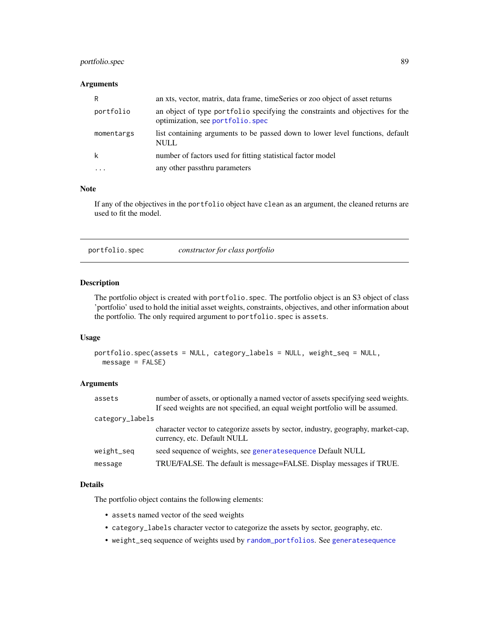# portfolio.spec 89

## Arguments

| R          | an xts, vector, matrix, data frame, timeSeries or zoo object of asset returns                                     |
|------------|-------------------------------------------------------------------------------------------------------------------|
| portfolio  | an object of type portfolio specifying the constraints and objectives for the<br>optimization, see portfolio.spec |
| momentargs | list containing arguments to be passed down to lower level functions, default<br><b>NULL</b>                      |
| k          | number of factors used for fitting statistical factor model                                                       |
|            | any other passthru parameters                                                                                     |

## Note

If any of the objectives in the portfolio object have clean as an argument, the cleaned returns are used to fit the model.

<span id="page-88-0"></span>portfolio.spec *constructor for class portfolio*

## Description

The portfolio object is created with portfolio.spec. The portfolio object is an S3 object of class 'portfolio' used to hold the initial asset weights, constraints, objectives, and other information about the portfolio. The only required argument to portfolio. spec is assets.

## Usage

```
portfolio.spec(assets = NULL, category_labels = NULL, weight_seq = NULL,
 message = FALSE)
```
#### Arguments

| assets          | number of assets, or optionally a named vector of assets specifying seed weights.<br>If seed weights are not specified, an equal weight portfolio will be assumed. |
|-----------------|--------------------------------------------------------------------------------------------------------------------------------------------------------------------|
| category_labels |                                                                                                                                                                    |
|                 | character vector to categorize assets by sector, industry, geography, market-cap,<br>currency, etc. Default NULL                                                   |
| weight_seq      | seed sequence of weights, see generatesequence Default NULL                                                                                                        |
| message         | TRUE/FALSE. The default is message=FALSE. Display messages if TRUE.                                                                                                |
|                 |                                                                                                                                                                    |

#### Details

The portfolio object contains the following elements:

- assets named vector of the seed weights
- category\_labels character vector to categorize the assets by sector, geography, etc.
- weight\_seq sequence of weights used by [random\\_portfolios](#page-98-0). See [generatesequence](#page-59-0)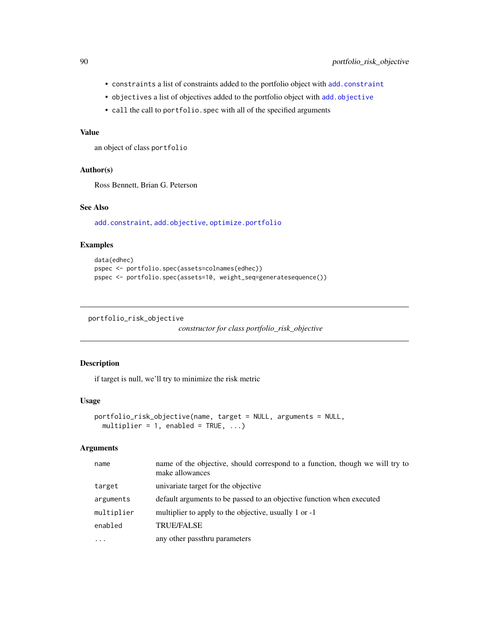- constraints a list of constraints added to the portfolio object with [add.constraint](#page-10-0)
- objectives a list of objectives added to the portfolio object with [add.objective](#page-12-0)
- call the call to portfolio.spec with all of the specified arguments

# Value

an object of class portfolio

#### Author(s)

Ross Bennett, Brian G. Peterson

# See Also

[add.constraint](#page-10-0), [add.objective](#page-12-0), [optimize.portfolio](#page-77-0)

# Examples

```
data(edhec)
pspec <- portfolio.spec(assets=colnames(edhec))
pspec <- portfolio.spec(assets=10, weight_seq=generatesequence())
```

```
portfolio_risk_objective
```
*constructor for class portfolio\_risk\_objective*

# Description

if target is null, we'll try to minimize the risk metric

#### Usage

```
portfolio_risk_objective(name, target = NULL, arguments = NULL,
 multiplier = 1, enabled = TRUE, ...)
```
# Arguments

| name       | name of the objective, should correspond to a function, though we will try to<br>make allowances |
|------------|--------------------------------------------------------------------------------------------------|
| target     | univariate target for the objective                                                              |
| arguments  | default arguments to be passed to an objective function when executed                            |
| multiplier | multiplier to apply to the objective, usually 1 or -1                                            |
| enabled    | <b>TRUE/FALSE</b>                                                                                |
| .          | any other passthru parameters                                                                    |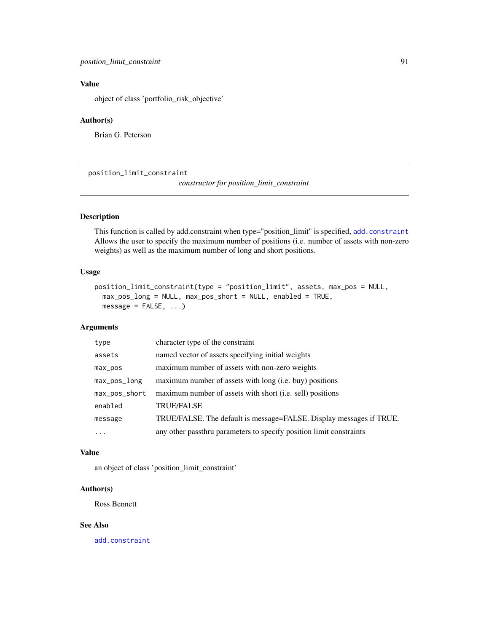# Value

object of class 'portfolio\_risk\_objective'

#### Author(s)

Brian G. Peterson

position\_limit\_constraint

*constructor for position\_limit\_constraint*

# Description

This function is called by add.constraint when type="position\_limit" is specified, [add.constraint](#page-10-0) Allows the user to specify the maximum number of positions (i.e. number of assets with non-zero weights) as well as the maximum number of long and short positions.

# Usage

```
position_limit_constraint(type = "position_limit", assets, max_pos = NULL,
 max_pos_long = NULL, max_pos_short = NULL, enabled = TRUE,
 message = FALSE, ...)
```
# Arguments

| type          | character type of the constraint                                    |
|---------------|---------------------------------------------------------------------|
| assets        | named vector of assets specifying initial weights                   |
| $max_p$       | maximum number of assets with non-zero weights                      |
| max_pos_long  | maximum number of assets with long (i.e. buy) positions             |
| max_pos_short | maximum number of assets with short (i.e. sell) positions           |
| enabled       | <b>TRUE/FALSE</b>                                                   |
| message       | TRUE/FALSE. The default is message=FALSE. Display messages if TRUE. |
| $\ddots$ .    | any other passthru parameters to specify position limit constraints |

#### Value

an object of class 'position\_limit\_constraint'

#### Author(s)

Ross Bennett

## See Also

[add.constraint](#page-10-0)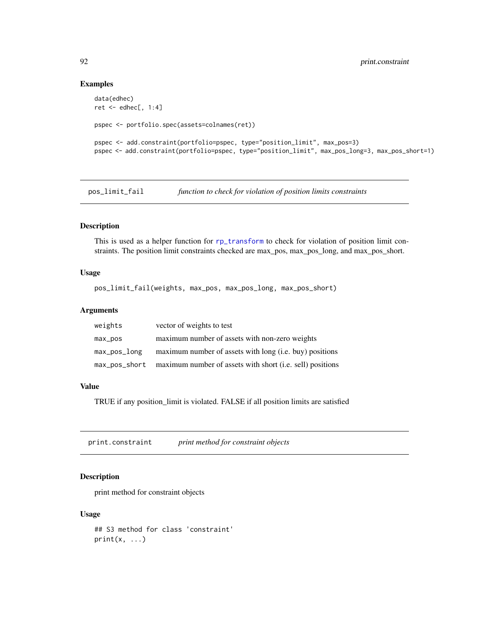#### Examples

```
data(edhec)
ret <- edhec[, 1:4]
pspec <- portfolio.spec(assets=colnames(ret))
pspec <- add.constraint(portfolio=pspec, type="position_limit", max_pos=3)
pspec <- add.constraint(portfolio=pspec, type="position_limit", max_pos_long=3, max_pos_short=1)
```
pos\_limit\_fail *function to check for violation of position limits constraints*

# Description

This is used as a helper function for [rp\\_transform](#page-107-0) to check for violation of position limit constraints. The position limit constraints checked are max\_pos, max\_pos\_long, and max\_pos\_short.

# Usage

pos\_limit\_fail(weights, max\_pos, max\_pos\_long, max\_pos\_short)

#### Arguments

| weights      | vector of weights to test                                               |
|--------------|-------------------------------------------------------------------------|
| max_pos      | maximum number of assets with non-zero weights                          |
| max_pos_long | maximum number of assets with long (i.e. buy) positions                 |
|              | max_pos_short maximum number of assets with short (i.e. sell) positions |

## Value

TRUE if any position\_limit is violated. FALSE if all position limits are satisfied

print.constraint *print method for constraint objects*

# Description

print method for constraint objects

## Usage

## S3 method for class 'constraint'  $print(x, \ldots)$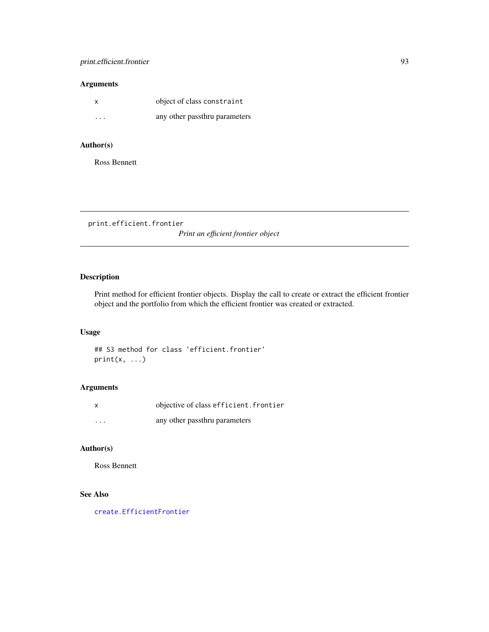|         | object of class constraint    |
|---------|-------------------------------|
| $\cdot$ | any other passthru parameters |

# Author(s)

Ross Bennett

print.efficient.frontier *Print an efficient frontier object*

# Description

Print method for efficient frontier objects. Display the call to create or extract the efficient frontier object and the portfolio from which the efficient frontier was created or extracted.

#### Usage

## S3 method for class 'efficient.frontier'  $print(x, \ldots)$ 

# Arguments

|          | objective of class efficient. frontier |
|----------|----------------------------------------|
| $\cdots$ | any other passthru parameters          |

## Author(s)

Ross Bennett

# See Also

[create.EfficientFrontier](#page-45-0)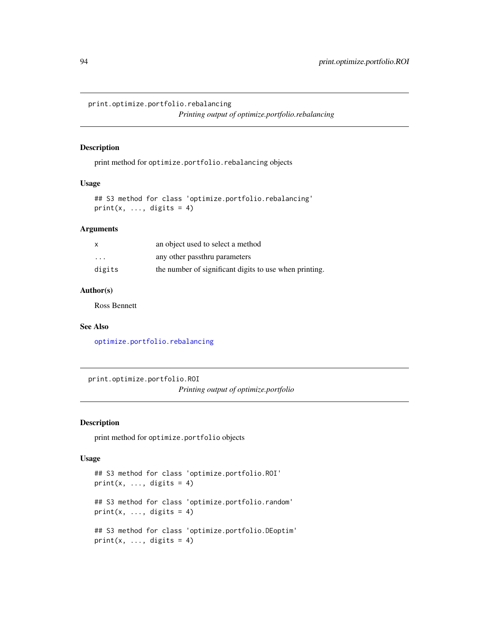print.optimize.portfolio.rebalancing

*Printing output of optimize.portfolio.rebalancing*

#### Description

print method for optimize.portfolio.rebalancing objects

# Usage

## S3 method for class 'optimize.portfolio.rebalancing'  $print(x, ..., digits = 4)$ 

## Arguments

| $\mathsf{x}$         | an object used to select a method                      |
|----------------------|--------------------------------------------------------|
| $\ddot{\phantom{0}}$ | any other passthru parameters                          |
| digits               | the number of significant digits to use when printing. |

#### Author(s)

Ross Bennett

#### See Also

[optimize.portfolio.rebalancing](#page-82-0)

print.optimize.portfolio.ROI

*Printing output of optimize.portfolio*

## Description

print method for optimize.portfolio objects

```
## S3 method for class 'optimize.portfolio.ROI'
print(x, ..., digits = 4)## S3 method for class 'optimize.portfolio.random'
print(x, ..., digits = 4)## S3 method for class 'optimize.portfolio.DEoptim'
print(x, ..., digits = 4)
```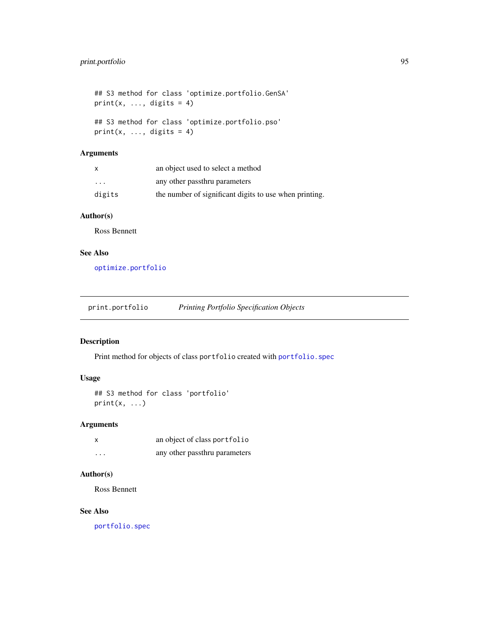## S3 method for class 'optimize.portfolio.GenSA'  $print(x, ..., digits = 4)$ ## S3 method for class 'optimize.portfolio.pso'  $print(x, ..., digits = 4)$ 

# Arguments

|         | an object used to select a method                      |
|---------|--------------------------------------------------------|
| $\cdot$ | any other passthru parameters                          |
| digits  | the number of significant digits to use when printing. |

# Author(s)

Ross Bennett

# See Also

[optimize.portfolio](#page-77-0)

# Description

Print method for objects of class portfolio created with [portfolio.spec](#page-88-0)

# Usage

```
## S3 method for class 'portfolio'
print(x, \ldots)
```
# Arguments

|   | an object of class portfolio  |
|---|-------------------------------|
| . | any other passthru parameters |

## Author(s)

Ross Bennett

# See Also

[portfolio.spec](#page-88-0)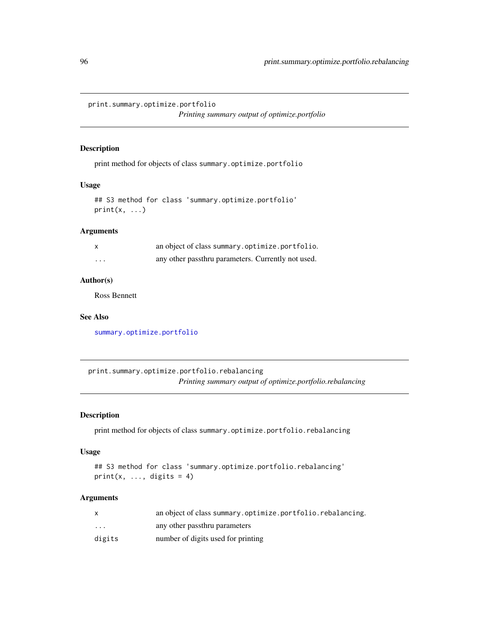print.summary.optimize.portfolio

*Printing summary output of optimize.portfolio*

## Description

print method for objects of class summary.optimize.portfolio

## Usage

## S3 method for class 'summary.optimize.portfolio'  $print(x, \ldots)$ 

# Arguments

|          | an object of class summary optimize portfolio.     |
|----------|----------------------------------------------------|
| $\cdots$ | any other passthru parameters. Currently not used. |

# Author(s)

Ross Bennett

#### See Also

[summary.optimize.portfolio](#page-111-0)

print.summary.optimize.portfolio.rebalancing *Printing summary output of optimize.portfolio.rebalancing*

#### Description

print method for objects of class summary.optimize.portfolio.rebalancing

## Usage

```
## S3 method for class 'summary.optimize.portfolio.rebalancing'
print(x, ..., digits = 4)
```
## Arguments

|          | an object of class summary.optimize.portfolio.rebalancing. |
|----------|------------------------------------------------------------|
| $\cdots$ | any other passthru parameters                              |
| digits   | number of digits used for printing                         |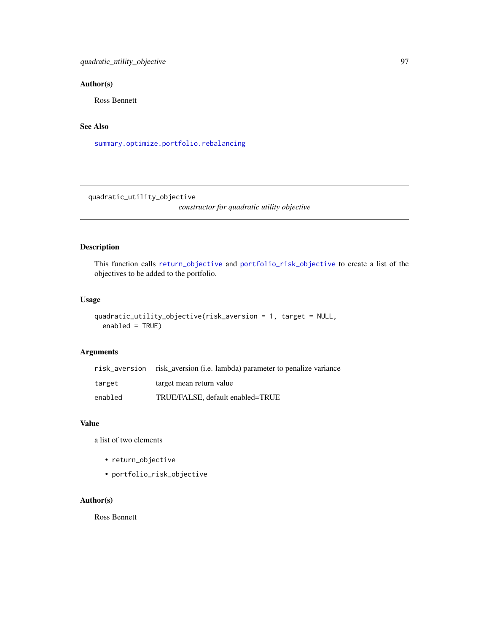## Author(s)

Ross Bennett

## See Also

[summary.optimize.portfolio.rebalancing](#page-111-1)

quadratic\_utility\_objective

*constructor for quadratic utility objective*

# Description

This function calls [return\\_objective](#page-103-0) and [portfolio\\_risk\\_objective](#page-89-0) to create a list of the objectives to be added to the portfolio.

## Usage

```
quadratic_utility_objective(risk_aversion = 1, target = NULL,
  enabeled = TRUE)
```
#### Arguments

|         | risk_aversion risk aversion (i.e. lambda) parameter to penalize variance |
|---------|--------------------------------------------------------------------------|
| target  | target mean return value                                                 |
| enabled | TRUE/FALSE, default enabled=TRUE                                         |

## Value

a list of two elements

- return\_objective
- portfolio\_risk\_objective

# Author(s)

Ross Bennett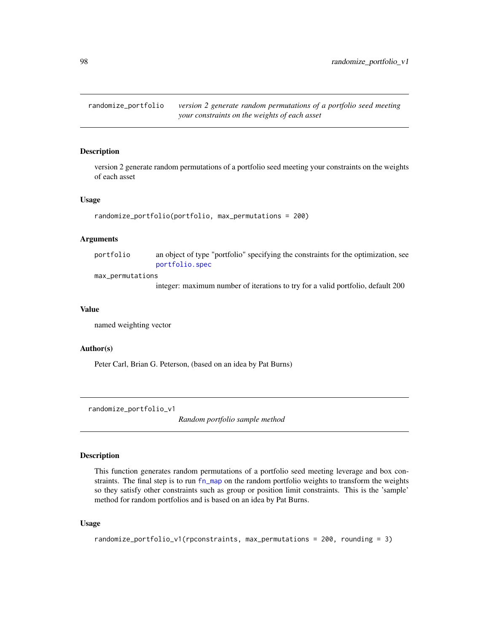<span id="page-97-0"></span>randomize\_portfolio *version 2 generate random permutations of a portfolio seed meeting your constraints on the weights of each asset*

#### **Description**

version 2 generate random permutations of a portfolio seed meeting your constraints on the weights of each asset

#### Usage

```
randomize_portfolio(portfolio, max_permutations = 200)
```
#### Arguments

portfolio an object of type "portfolio" specifying the constraints for the optimization, see [portfolio.spec](#page-88-0)

max\_permutations

integer: maximum number of iterations to try for a valid portfolio, default 200

#### Value

named weighting vector

#### Author(s)

Peter Carl, Brian G. Peterson, (based on an idea by Pat Burns)

randomize\_portfolio\_v1

*Random portfolio sample method*

# Description

This function generates random permutations of a portfolio seed meeting leverage and box constraints. The final step is to run [fn\\_map](#page-58-0) on the random portfolio weights to transform the weights so they satisfy other constraints such as group or position limit constraints. This is the 'sample' method for random portfolios and is based on an idea by Pat Burns.

```
randomize_portfolio_v1(rpconstraints, max_permutations = 200, rounding = 3)
```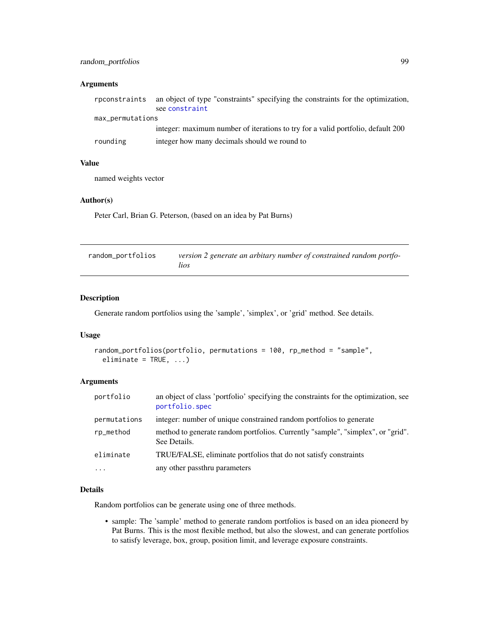# random\_portfolios 99

## Arguments

|                  | rpconstraints an object of type "constraints" specifying the constraints for the optimization,<br>see constraint |
|------------------|------------------------------------------------------------------------------------------------------------------|
| max_permutations |                                                                                                                  |
|                  | integer: maximum number of iterations to try for a valid portfolio, default 200                                  |
| rounding         | integer how many decimals should we round to                                                                     |

## Value

named weights vector

#### Author(s)

Peter Carl, Brian G. Peterson, (based on an idea by Pat Burns)

<span id="page-98-0"></span>

| random_portfolios | version 2 generate an arbitary number of constrained random portfo- |
|-------------------|---------------------------------------------------------------------|
|                   | <i>lios</i>                                                         |

# Description

Generate random portfolios using the 'sample', 'simplex', or 'grid' method. See details.

#### Usage

```
random_portfolios(portfolio, permutations = 100, rp_method = "sample",
 eliminate = TRUE, ...)
```
# Arguments

| portfolio    | an object of class 'portfolio' specifying the constraints for the optimization, see<br>portfolio.spec |
|--------------|-------------------------------------------------------------------------------------------------------|
| permutations | integer: number of unique constrained random portfolios to generate                                   |
| rp_method    | method to generate random portfolios. Currently "sample", "simplex", or "grid".<br>See Details.       |
| eliminate    | TRUE/FALSE, eliminate portfolios that do not satisfy constraints                                      |
| $\cdots$     | any other passthru parameters                                                                         |

## Details

Random portfolios can be generate using one of three methods.

• sample: The 'sample' method to generate random portfolios is based on an idea pioneerd by Pat Burns. This is the most flexible method, but also the slowest, and can generate portfolios to satisfy leverage, box, group, position limit, and leverage exposure constraints.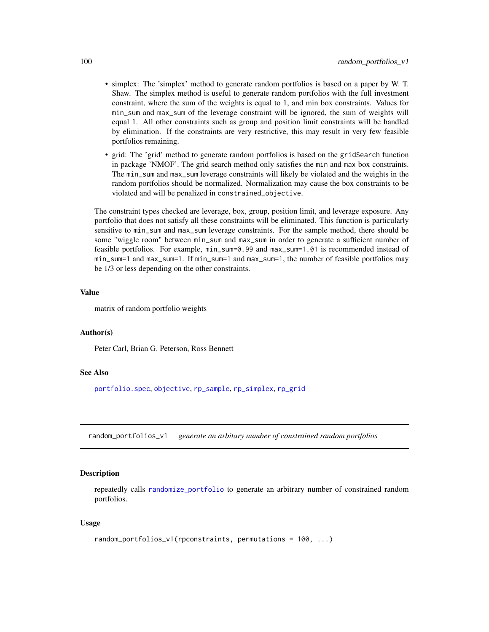- simplex: The 'simplex' method to generate random portfolios is based on a paper by W. T. Shaw. The simplex method is useful to generate random portfolios with the full investment constraint, where the sum of the weights is equal to 1, and min box constraints. Values for min\_sum and max\_sum of the leverage constraint will be ignored, the sum of weights will equal 1. All other constraints such as group and position limit constraints will be handled by elimination. If the constraints are very restrictive, this may result in very few feasible portfolios remaining.
- grid: The 'grid' method to generate random portfolios is based on the gridSearch function in package 'NMOF'. The grid search method only satisfies the min and max box constraints. The min\_sum and max\_sum leverage constraints will likely be violated and the weights in the random portfolios should be normalized. Normalization may cause the box constraints to be violated and will be penalized in constrained\_objective.

The constraint types checked are leverage, box, group, position limit, and leverage exposure. Any portfolio that does not satisfy all these constraints will be eliminated. This function is particularly sensitive to min\_sum and max\_sum leverage constraints. For the sample method, there should be some "wiggle room" between min\_sum and max\_sum in order to generate a sufficient number of feasible portfolios. For example, min\_sum=0.99 and max\_sum=1.01 is recommended instead of min\_sum=1 and max\_sum=1. If min\_sum=1 and max\_sum=1, the number of feasible portfolios may be 1/3 or less depending on the other constraints.

#### Value

matrix of random portfolio weights

#### Author(s)

Peter Carl, Brian G. Peterson, Ross Bennett

#### See Also

[portfolio.spec](#page-88-0), [objective](#page-76-0), [rp\\_sample](#page-105-0), [rp\\_simplex](#page-106-0), [rp\\_grid](#page-104-0)

random\_portfolios\_v1 *generate an arbitary number of constrained random portfolios*

#### **Description**

repeatedly calls [randomize\\_portfolio](#page-97-0) to generate an arbitrary number of constrained random portfolios.

```
random_portfolios_v1(rpconstraints, permutations = 100, ...)
```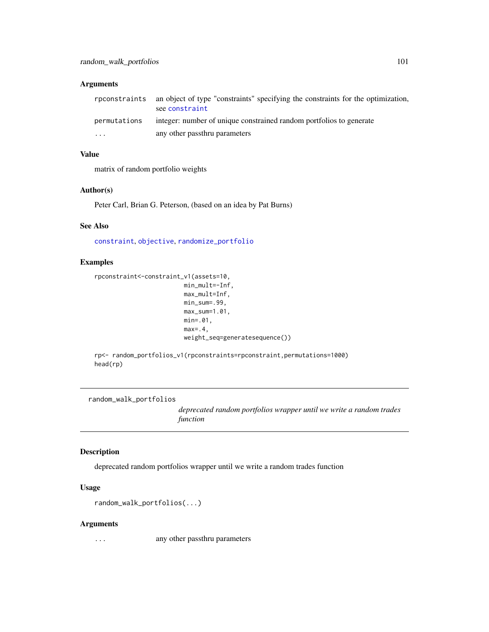| rpconstraints | an object of type "constraints" specifying the constraints for the optimization,<br>see constraint |
|---------------|----------------------------------------------------------------------------------------------------|
| permutations  | integer: number of unique constrained random portfolios to generate                                |
| $\cdots$      | any other passthru parameters                                                                      |

## Value

matrix of random portfolio weights

## Author(s)

Peter Carl, Brian G. Peterson, (based on an idea by Pat Burns)

## See Also

[constraint](#page-41-0), [objective](#page-76-0), [randomize\\_portfolio](#page-97-0)

# Examples

```
rpconstraint<-constraint_v1(assets=10,
                         min_mult=-Inf,
                         max_mult=Inf,
                         min_sum=.99,
                         max_sum=1.01,
                         min=.01,
                         max=.4,
                         weight_seq=generatesequence())
```
rp<- random\_portfolios\_v1(rpconstraints=rpconstraint,permutations=1000) head(rp)

random\_walk\_portfolios

*deprecated random portfolios wrapper until we write a random trades function*

#### Description

deprecated random portfolios wrapper until we write a random trades function

# Usage

```
random_walk_portfolios(...)
```
#### Arguments

... any other passthru parameters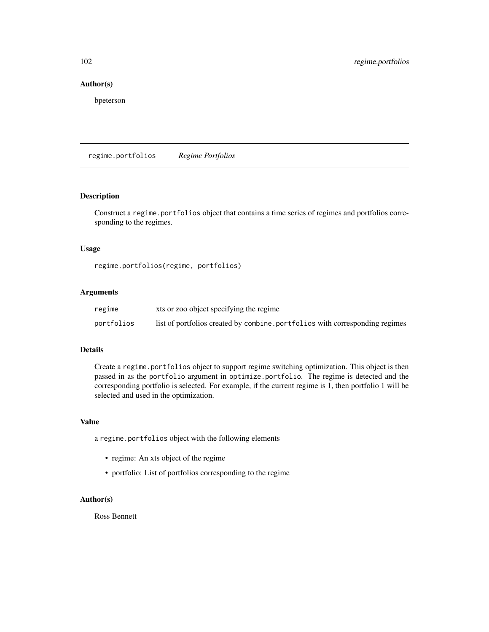## Author(s)

bpeterson

regime.portfolios *Regime Portfolios*

#### Description

Construct a regime.portfolios object that contains a time series of regimes and portfolios corresponding to the regimes.

#### Usage

regime.portfolios(regime, portfolios)

#### Arguments

| regime     | xts or zoo object specifying the regime                                      |
|------------|------------------------------------------------------------------------------|
| portfolios | list of portfolios created by combine, portfolios with corresponding regimes |

#### Details

Create a regime.portfolios object to support regime switching optimization. This object is then passed in as the portfolio argument in optimize.portfolio. The regime is detected and the corresponding portfolio is selected. For example, if the current regime is 1, then portfolio 1 will be selected and used in the optimization.

#### Value

a regime.portfolios object with the following elements

- regime: An xts object of the regime
- portfolio: List of portfolios corresponding to the regime

## Author(s)

Ross Bennett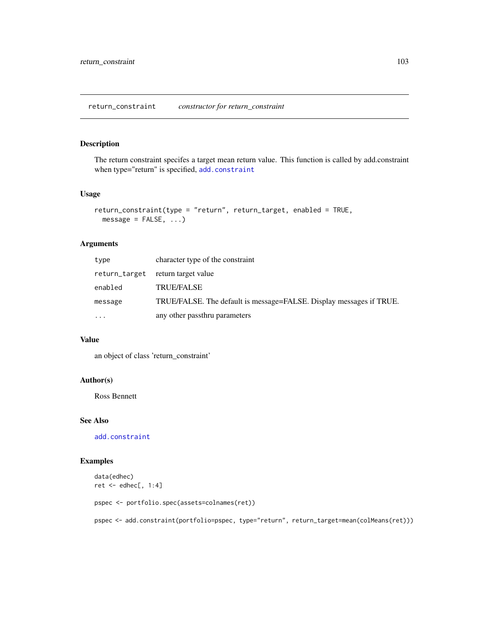# Description

The return constraint specifes a target mean return value. This function is called by add.constraint when type="return" is specified, [add.constraint](#page-10-0)

## Usage

```
return_constraint(type = "return", return_target, enabled = TRUE,
 message = FALSE, ...)
```
#### Arguments

| type          | character type of the constraint                                    |
|---------------|---------------------------------------------------------------------|
| return_target | return target value                                                 |
| enabled       | <b>TRUE/FALSE</b>                                                   |
| message       | TRUE/FALSE. The default is message=FALSE. Display messages if TRUE. |
| $\ddotsc$     | any other passthru parameters                                       |

## Value

an object of class 'return\_constraint'

## Author(s)

Ross Bennett

#### See Also

[add.constraint](#page-10-0)

#### Examples

```
data(edhec)
ret <- edhec[, 1:4]
pspec <- portfolio.spec(assets=colnames(ret))
pspec <- add.constraint(portfolio=pspec, type="return", return_target=mean(colMeans(ret)))
```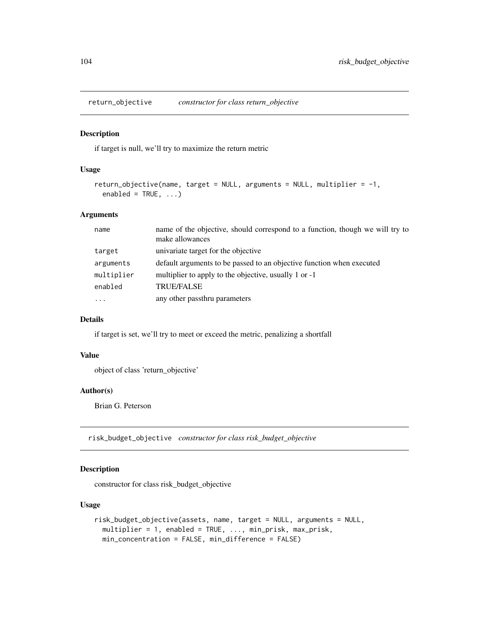<span id="page-103-0"></span>return\_objective *constructor for class return\_objective*

#### Description

if target is null, we'll try to maximize the return metric

## Usage

```
return_objective(name, target = NULL, arguments = NULL, multiplier = -1,
 enabled = TRUE, ...)
```
## Arguments

| name       | name of the objective, should correspond to a function, though we will try to<br>make allowances |
|------------|--------------------------------------------------------------------------------------------------|
| target     | univariate target for the objective                                                              |
| arguments  | default arguments to be passed to an objective function when executed                            |
| multiplier | multiplier to apply to the objective, usually 1 or -1                                            |
| enabled    | <b>TRUE/FALSE</b>                                                                                |
| $\cdots$   | any other passthru parameters                                                                    |

## Details

if target is set, we'll try to meet or exceed the metric, penalizing a shortfall

## Value

object of class 'return\_objective'

## Author(s)

Brian G. Peterson

risk\_budget\_objective *constructor for class risk\_budget\_objective*

## Description

constructor for class risk\_budget\_objective

```
risk_budget_objective(assets, name, target = NULL, arguments = NULL,
 multiplier = 1, enabled = TRUE, ..., min_prisk, max_prisk,
 min_concentration = FALSE, min_difference = FALSE)
```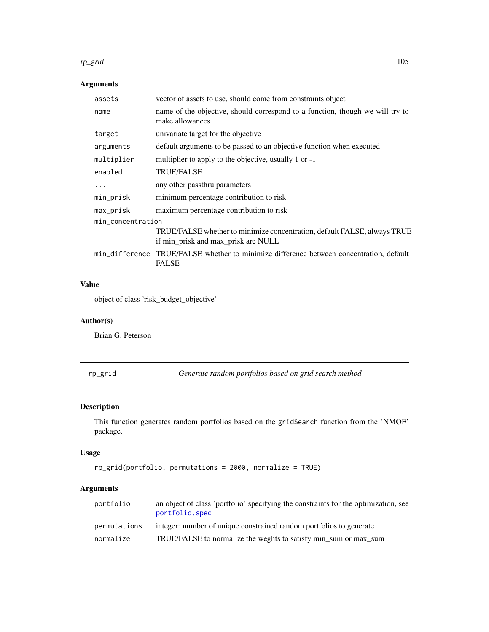#### rp\_grid 105

# Arguments

| assets            | vector of assets to use, should come from constraints object                                                    |  |
|-------------------|-----------------------------------------------------------------------------------------------------------------|--|
| name              | name of the objective, should correspond to a function, though we will try to<br>make allowances                |  |
| target            | univariate target for the objective                                                                             |  |
| arguments         | default arguments to be passed to an objective function when executed                                           |  |
| multiplier        | multiplier to apply to the objective, usually 1 or -1                                                           |  |
| enabled           | <b>TRUE/FALSE</b>                                                                                               |  |
| .                 | any other passthru parameters                                                                                   |  |
| min_prisk         | minimum percentage contribution to risk                                                                         |  |
| max_prisk         | maximum percentage contribution to risk                                                                         |  |
| min concentration |                                                                                                                 |  |
|                   | TRUE/FALSE whether to minimize concentration, default FALSE, always TRUE<br>if min_prisk and max_prisk are NULL |  |
|                   | min_difference TRUE/FALSE whether to minimize difference between concentration, default<br><b>FALSE</b>         |  |
|                   |                                                                                                                 |  |

# Value

object of class 'risk\_budget\_objective'

# Author(s)

Brian G. Peterson

<span id="page-104-0"></span>rp\_grid *Generate random portfolios based on grid search method*

# Description

This function generates random portfolios based on the gridSearch function from the 'NMOF' package.

# Usage

```
rp_grid(portfolio, permutations = 2000, normalize = TRUE)
```
# Arguments

| portfolio    | an object of class 'portfolio' specifying the constraints for the optimization, see<br>portfolio.spec |
|--------------|-------------------------------------------------------------------------------------------------------|
| permutations | integer: number of unique constrained random portfolios to generate                                   |
| normalize    | TRUE/FALSE to normalize the weghts to satisfy min_sum or max_sum                                      |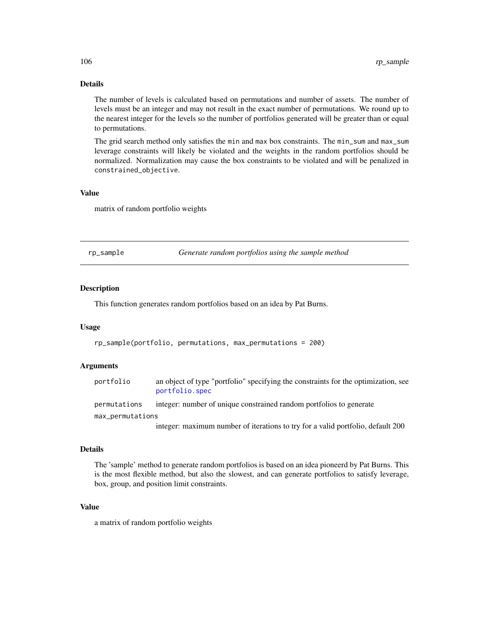## Details

The number of levels is calculated based on permutations and number of assets. The number of levels must be an integer and may not result in the exact number of permutations. We round up to the nearest integer for the levels so the number of portfolios generated will be greater than or equal to permutations.

The grid search method only satisfies the min and max box constraints. The min\_sum and max\_sum leverage constraints will likely be violated and the weights in the random portfolios should be normalized. Normalization may cause the box constraints to be violated and will be penalized in constrained\_objective.

## Value

matrix of random portfolio weights

<span id="page-105-0"></span>

|           | Generate random portfolios using the sample method |  |
|-----------|----------------------------------------------------|--|
| rp_sample |                                                    |  |
|           |                                                    |  |

#### Description

This function generates random portfolios based on an idea by Pat Burns.

#### Usage

rp\_sample(portfolio, permutations, max\_permutations = 200)

#### Arguments

| portfolio        | an object of type "portfolio" specifying the constraints for the optimization, see<br>portfolio.spec |
|------------------|------------------------------------------------------------------------------------------------------|
| permutations     | integer: number of unique constrained random portfolios to generate                                  |
| max_permutations |                                                                                                      |
|                  | integer: maximum number of iterations to try for a valid portfolio, default 200                      |

## Details

The 'sample' method to generate random portfolios is based on an idea pioneerd by Pat Burns. This is the most flexible method, but also the slowest, and can generate portfolios to satisfy leverage, box, group, and position limit constraints.

## Value

a matrix of random portfolio weights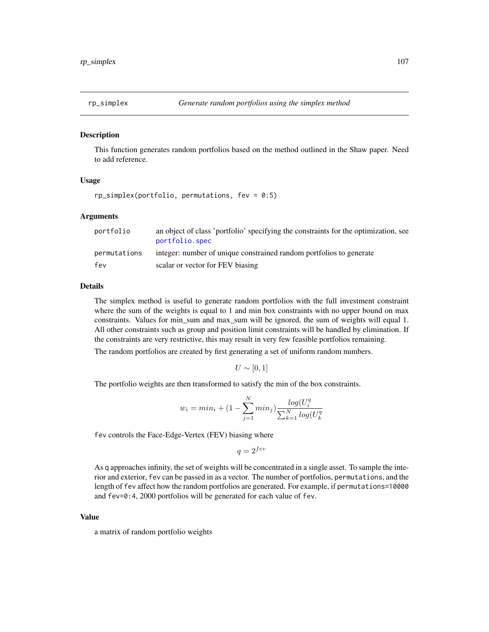<span id="page-106-0"></span>

#### Description

This function generates random portfolios based on the method outlined in the Shaw paper. Need to add reference.

#### Usage

```
rp_simplex(portfolio, permutations, fev = 0:5)
```
#### Arguments

| portfolio    | an object of class 'portfolio' specifying the constraints for the optimization, see<br>portfolio.spec |
|--------------|-------------------------------------------------------------------------------------------------------|
| permutations | integer: number of unique constrained random portfolios to generate                                   |
| fev          | scalar or vector for FEV biasing                                                                      |

## Details

The simplex method is useful to generate random portfolios with the full investment constraint where the sum of the weights is equal to 1 and min box constraints with no upper bound on max constraints. Values for min\_sum and max\_sum will be ignored, the sum of weights will equal 1. All other constraints such as group and position limit constraints will be handled by elimination. If the constraints are very restrictive, this may result in very few feasible portfolios remaining.

The random portfolios are created by first generating a set of uniform random numbers.

 $U \sim [0, 1]$ 

The portfolio weights are then transformed to satisfy the min of the box constraints.

$$
w_i = min_i + (1 - \sum_{j=1}^{N} min_j) \frac{log(U_i^q)}{\sum_{k=1}^{N} log(U_k^q)}
$$

fev controls the Face-Edge-Vertex (FEV) biasing where

 $q = 2^{few}$ 

As q approaches infinity, the set of weights will be concentrated in a single asset. To sample the interior and exterior, fev can be passed in as a vector. The number of portfolios, permutations, and the length of fev affect how the random portfolios are generated. For example, if permutations=10000 and fev=0:4, 2000 portfolios will be generated for each value of fev.

#### Value

a matrix of random portfolio weights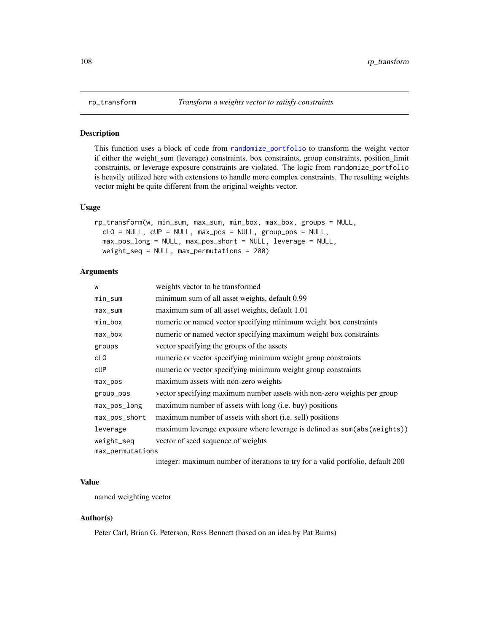<span id="page-107-0"></span>

#### Description

This function uses a block of code from [randomize\\_portfolio](#page-97-0) to transform the weight vector if either the weight\_sum (leverage) constraints, box constraints, group constraints, position\_limit constraints, or leverage exposure constraints are violated. The logic from randomize\_portfolio is heavily utilized here with extensions to handle more complex constraints. The resulting weights vector might be quite different from the original weights vector.

## Usage

```
rp_transform(w, min_sum, max_sum, min_box, max_box, groups = NULL,
  cLO = NULL, cUP = NULL, max_pos = NULL, group_pos = NULL,
 max_pos_long = NULL, max_pos_short = NULL, leverage = NULL,
 weight_seq = NULL, max_permutations = 200)
```
#### Arguments

| W                | weights vector to be transformed                                                                                                                                                                                                   |
|------------------|------------------------------------------------------------------------------------------------------------------------------------------------------------------------------------------------------------------------------------|
| min_sum          | minimum sum of all asset weights, default 0.99                                                                                                                                                                                     |
| max_sum          | maximum sum of all asset weights, default 1.01                                                                                                                                                                                     |
| min_box          | numeric or named vector specifying minimum weight box constraints                                                                                                                                                                  |
| max_box          | numeric or named vector specifying maximum weight box constraints                                                                                                                                                                  |
| groups           | vector specifying the groups of the assets                                                                                                                                                                                         |
| cL <sub>0</sub>  | numeric or vector specifying minimum weight group constraints                                                                                                                                                                      |
| <b>CUP</b>       | numeric or vector specifying minimum weight group constraints                                                                                                                                                                      |
| max_pos          | maximum assets with non-zero weights                                                                                                                                                                                               |
| group_pos        | vector specifying maximum number assets with non-zero weights per group                                                                                                                                                            |
| max_pos_long     | maximum number of assets with long (i.e. buy) positions                                                                                                                                                                            |
| max_pos_short    | maximum number of assets with short (i.e. sell) positions                                                                                                                                                                          |
| leverage         | maximum leverage exposure where leverage is defined as sum(abs(weights))                                                                                                                                                           |
| weight_seq       | vector of seed sequence of weights                                                                                                                                                                                                 |
| max_permutations |                                                                                                                                                                                                                                    |
|                  | $\mathcal{L}$ , and the contract of the contract of the contract of the contract of the contract of the contract of the contract of the contract of the contract of the contract of the contract of the contract of the contract o |

integer: maximum number of iterations to try for a valid portfolio, default 200

#### Value

named weighting vector

#### Author(s)

Peter Carl, Brian G. Peterson, Ross Bennett (based on an idea by Pat Burns)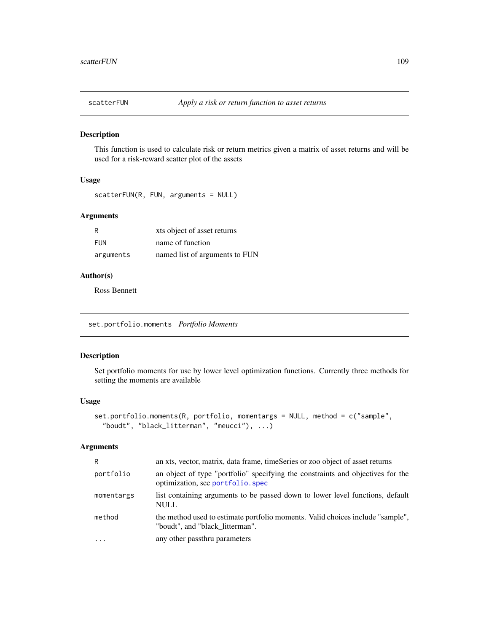<span id="page-108-0"></span>

#### Description

This function is used to calculate risk or return metrics given a matrix of asset returns and will be used for a risk-reward scatter plot of the assets

## Usage

```
scatterFUN(R, FUN, arguments = NULL)
```
## Arguments

| R         | xts object of asset returns    |
|-----------|--------------------------------|
| FUN       | name of function               |
| arguments | named list of arguments to FUN |

## Author(s)

Ross Bennett

set.portfolio.moments *Portfolio Moments*

## Description

Set portfolio moments for use by lower level optimization functions. Currently three methods for setting the moments are available

#### Usage

```
set.portfolio.moments(R, portfolio, momentargs = NULL, method = c("sample",
  "boudt", "black_litterman", "meucci"), ...)
```
# Arguments

| R          | an xts, vector, matrix, data frame, timeSeries or zoo object of asset returns                                        |
|------------|----------------------------------------------------------------------------------------------------------------------|
| portfolio  | an object of type "portfolio" specifying the constraints and objectives for the<br>optimization, see portfolio. spec |
| momentargs | list containing arguments to be passed down to lower level functions, default<br><b>NULL</b>                         |
| method     | the method used to estimate portfolio moments. Valid choices include "sample",<br>"boudt", and "black litterman".    |
| $\cdot$    | any other passthru parameters                                                                                        |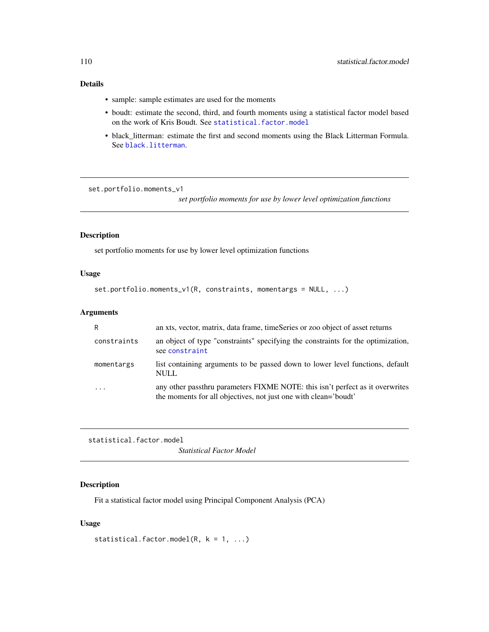# Details

- sample: sample estimates are used for the moments
- boudt: estimate the second, third, and fourth moments using a statistical factor model based on the work of Kris Boudt. See [statistical.factor.model](#page-109-0)
- black\_litterman: estimate the first and second moments using the Black Litterman Formula. See [black.litterman](#page-17-0).

set.portfolio.moments\_v1

*set portfolio moments for use by lower level optimization functions*

# Description

set portfolio moments for use by lower level optimization functions

#### Usage

```
set.portfolio.moments_v1(R, constraints, momentargs = NULL, ...)
```
## Arguments

| R           | an xts, vector, matrix, data frame, timeSeries or zoo object of asset returns                                                                    |
|-------------|--------------------------------------------------------------------------------------------------------------------------------------------------|
| constraints | an object of type "constraints" specifying the constraints for the optimization,<br>see constraint                                               |
| momentargs  | list containing arguments to be passed down to lower level functions, default<br><b>NULL</b>                                                     |
| .           | any other passthru parameters FIXME NOTE: this isn't perfect as it overwrites<br>the moments for all objectives, not just one with clean='boudt' |

<span id="page-109-0"></span>statistical.factor.model

*Statistical Factor Model*

## Description

Fit a statistical factor model using Principal Component Analysis (PCA)

## Usage

statistical.factor.model(R,  $k = 1, ...$ )

<span id="page-109-1"></span>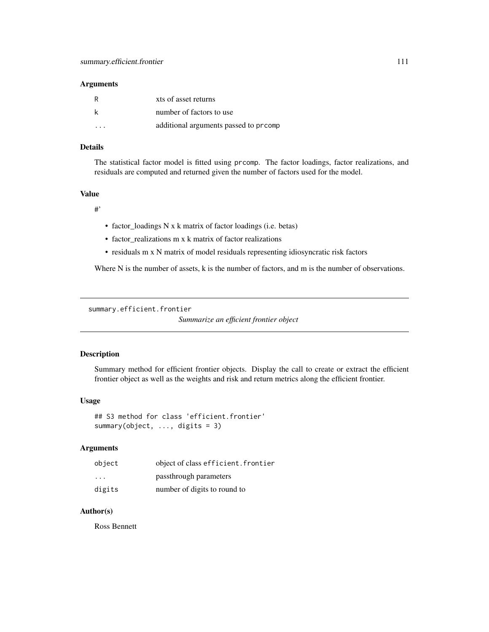## <span id="page-110-0"></span>Arguments

| R         | xts of asset returns                 |
|-----------|--------------------------------------|
| k         | number of factors to use             |
| $\ddotsc$ | additional arguments passed to promp |

#### Details

The statistical factor model is fitted using prcomp. The factor loadings, factor realizations, and residuals are computed and returned given the number of factors used for the model.

# Value

#'

- factor\_loadings N x k matrix of factor loadings (i.e. betas)
- factor\_realizations m x k matrix of factor realizations
- residuals m x N matrix of model residuals representing idiosyncratic risk factors

Where N is the number of assets, k is the number of factors, and m is the number of observations.

```
summary.efficient.frontier
```
*Summarize an efficient frontier object*

## Description

Summary method for efficient frontier objects. Display the call to create or extract the efficient frontier object as well as the weights and risk and return metrics along the efficient frontier.

#### Usage

```
## S3 method for class 'efficient.frontier'
summary(object, ..., digits = 3)
```
## Arguments

| object | object of class efficient. frontier |
|--------|-------------------------------------|
| .      | passthrough parameters              |
| digits | number of digits to round to        |

## Author(s)

Ross Bennett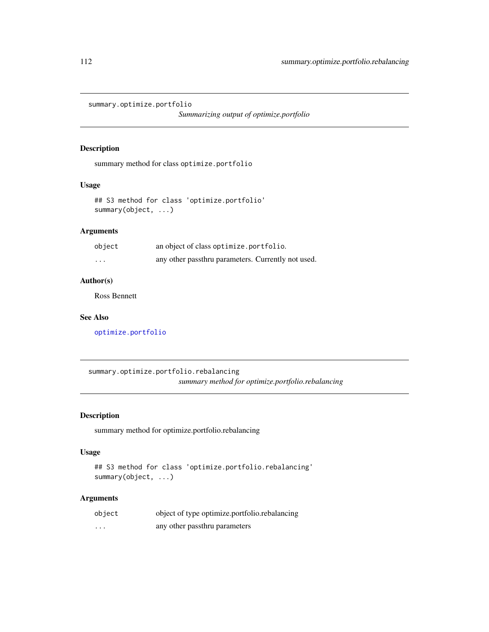<span id="page-111-0"></span>summary.optimize.portfolio

*Summarizing output of optimize.portfolio*

## Description

summary method for class optimize.portfolio

## Usage

```
## S3 method for class 'optimize.portfolio'
summary(object, ...)
```
## Arguments

| object   | an object of class optimize.portfolio.             |
|----------|----------------------------------------------------|
| $\cdots$ | any other passthru parameters. Currently not used. |

# Author(s)

Ross Bennett

## See Also

[optimize.portfolio](#page-77-0)

summary.optimize.portfolio.rebalancing *summary method for optimize.portfolio.rebalancing*

# Description

summary method for optimize.portfolio.rebalancing

## Usage

```
## S3 method for class 'optimize.portfolio.rebalancing'
summary(object, ...)
```
## Arguments

| object   | object of type optimize.portfolio.rebalancing |
|----------|-----------------------------------------------|
| $\cdots$ | any other passthru parameters                 |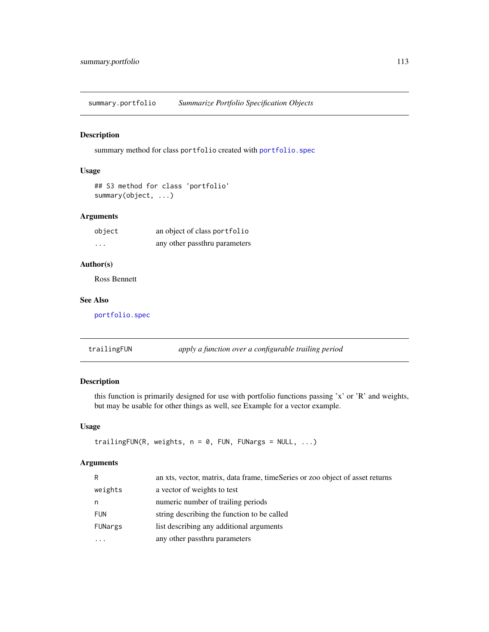<span id="page-112-0"></span>summary.portfolio *Summarize Portfolio Specification Objects*

#### Description

summary method for class portfolio created with [portfolio.spec](#page-88-0)

# Usage

```
## S3 method for class 'portfolio'
summary(object, ...)
```
## Arguments

| object   | an object of class portfolio  |
|----------|-------------------------------|
| $\cdots$ | any other passthru parameters |

## Author(s)

Ross Bennett

## See Also

[portfolio.spec](#page-88-0)

trailingFUN *apply a function over a configurable trailing period*

# Description

this function is primarily designed for use with portfolio functions passing 'x' or 'R' and weights, but may be usable for other things as well, see Example for a vector example.

## Usage

```
trailingFUN(R, weights, n = 0, FUN, FUNargs = NULL, ...)
```
## Arguments

| R          | an xts, vector, matrix, data frame, timeSeries or zoo object of asset returns |
|------------|-------------------------------------------------------------------------------|
| weights    | a vector of weights to test                                                   |
| n          | numeric number of trailing periods                                            |
| <b>FUN</b> | string describing the function to be called                                   |
| FUNargs    | list describing any additional arguments                                      |
| $\ddotsc$  | any other passthru parameters                                                 |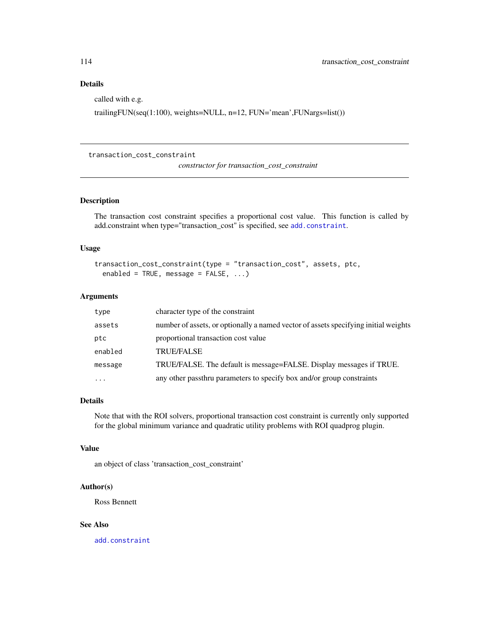# <span id="page-113-0"></span>Details

called with e.g.

trailingFUN(seq(1:100), weights=NULL, n=12, FUN='mean',FUNargs=list())

## transaction\_cost\_constraint

*constructor for transaction\_cost\_constraint*

#### Description

The transaction cost constraint specifies a proportional cost value. This function is called by add.constraint when type="transaction\_cost" is specified, see [add.constraint](#page-10-0).

#### Usage

```
transaction_cost_constraint(type = "transaction_cost", assets, ptc,
 enabled = TRUE, message = FALSE, ...)
```
# Arguments

| type      | character type of the constraint                                                    |
|-----------|-------------------------------------------------------------------------------------|
| assets    | number of assets, or optionally a named vector of assets specifying initial weights |
| ptc       | proportional transaction cost value                                                 |
| enabled   | <b>TRUE/FALSE</b>                                                                   |
| message   | TRUE/FALSE. The default is message=FALSE. Display messages if TRUE.                 |
| $\ddotsc$ | any other passthru parameters to specify box and/or group constraints               |

#### Details

Note that with the ROI solvers, proportional transaction cost constraint is currently only supported for the global minimum variance and quadratic utility problems with ROI quadprog plugin.

#### Value

an object of class 'transaction\_cost\_constraint'

## Author(s)

Ross Bennett

#### See Also

[add.constraint](#page-10-0)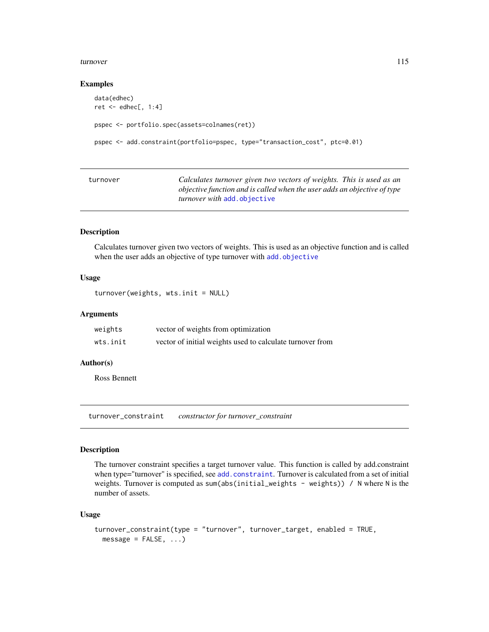#### <span id="page-114-0"></span>turnover and the state of the state of the state of the state of the state of the state of the state of the state of the state of the state of the state of the state of the state of the state of the state of the state of t

#### Examples

```
data(edhec)
ret <- edhec[, 1:4]
pspec <- portfolio.spec(assets=colnames(ret))
pspec <- add.constraint(portfolio=pspec, type="transaction_cost", ptc=0.01)
```

| turnover | Calculates turnover given two vectors of weights. This is used as an     |
|----------|--------------------------------------------------------------------------|
|          | objective function and is called when the user adds an objective of type |
|          | <i>turnover with</i> add.objective                                       |

# Description

Calculates turnover given two vectors of weights. This is used as an objective function and is called when the user adds an objective of type turnover with [add.objective](#page-12-0)

## Usage

```
turnover(weights, wts.init = NULL)
```
#### Arguments

| weights  | vector of weights from optimization                       |
|----------|-----------------------------------------------------------|
| wts.init | vector of initial weights used to calculate turnover from |

# Author(s)

Ross Bennett

turnover\_constraint *constructor for turnover\_constraint*

#### Description

The turnover constraint specifies a target turnover value. This function is called by add.constraint when type="turnover" is specified, see [add.constraint](#page-10-0). Turnover is calculated from a set of initial weights. Turnover is computed as sum(abs(initial\_weights - weights)) / N where N is the number of assets.

## Usage

```
turnover_constraint(type = "turnover", turnover_target, enabled = TRUE,
 message = FALSE, ...)
```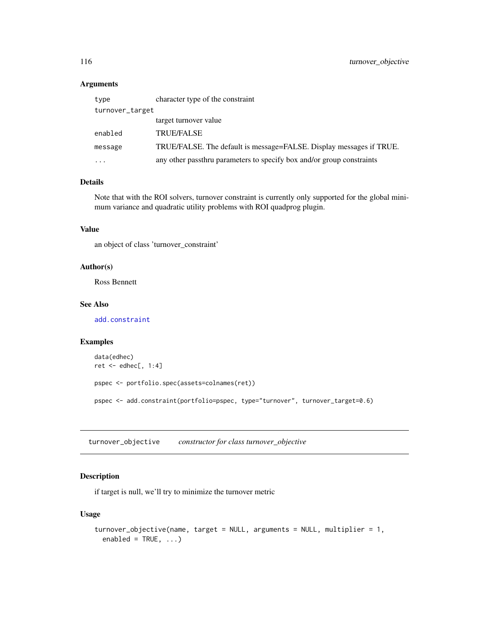# <span id="page-115-0"></span>Arguments

| type            | character type of the constraint                                      |  |
|-----------------|-----------------------------------------------------------------------|--|
| turnover_target |                                                                       |  |
|                 | target turnover value                                                 |  |
| enabled         | <b>TRUE/FALSE</b>                                                     |  |
| message         | TRUE/FALSE. The default is message=FALSE. Display messages if TRUE.   |  |
| .               | any other passthru parameters to specify box and/or group constraints |  |

# Details

Note that with the ROI solvers, turnover constraint is currently only supported for the global minimum variance and quadratic utility problems with ROI quadprog plugin.

## Value

an object of class 'turnover\_constraint'

#### Author(s)

Ross Bennett

## See Also

[add.constraint](#page-10-0)

# Examples

```
data(edhec)
ret <- edhec[, 1:4]
pspec <- portfolio.spec(assets=colnames(ret))
pspec <- add.constraint(portfolio=pspec, type="turnover", turnover_target=0.6)
```
turnover\_objective *constructor for class turnover\_objective*

# Description

if target is null, we'll try to minimize the turnover metric

# Usage

```
turnover_objective(name, target = NULL, arguments = NULL, multiplier = 1,
 enabled = TRUE, ...)
```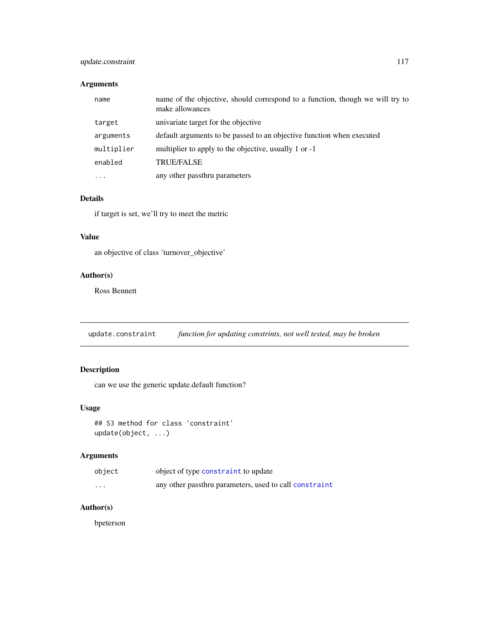# <span id="page-116-0"></span>update.constraint 117

# Arguments

| name       | name of the objective, should correspond to a function, though we will try to<br>make allowances |
|------------|--------------------------------------------------------------------------------------------------|
| target     | univariate target for the objective                                                              |
| arguments  | default arguments to be passed to an objective function when executed                            |
| multiplier | multiplier to apply to the objective, usually 1 or -1                                            |
| enabled    | <b>TRUE/FALSE</b>                                                                                |
| $\cdots$   | any other passthru parameters                                                                    |

# Details

if target is set, we'll try to meet the metric

# Value

an objective of class 'turnover\_objective'

## Author(s)

Ross Bennett

update.constraint *function for updating constrints, not well tested, may be broken*

# Description

can we use the generic update.default function?

# Usage

```
## S3 method for class 'constraint'
update(object, ...)
```
# Arguments

| object  | object of type constraint to update                    |
|---------|--------------------------------------------------------|
| $\cdot$ | any other passthru parameters, used to call constraint |

# Author(s)

bpeterson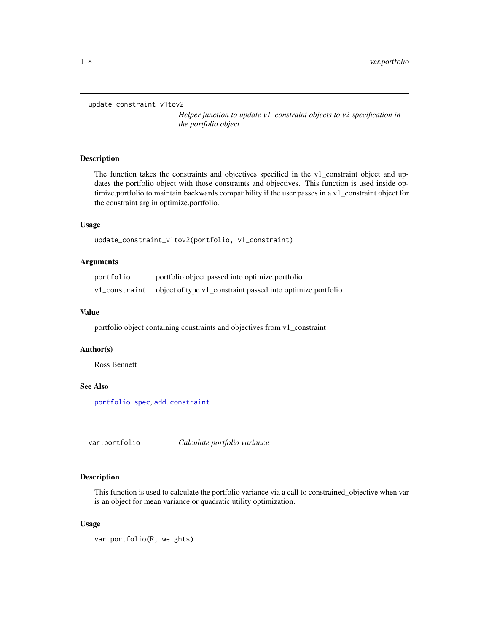```
update_constraint_v1tov2
```
*Helper function to update v1\_constraint objects to v2 specification in the portfolio object*

# Description

The function takes the constraints and objectives specified in the v1\_constraint object and updates the portfolio object with those constraints and objectives. This function is used inside optimize.portfolio to maintain backwards compatibility if the user passes in a v1\_constraint object for the constraint arg in optimize.portfolio.

## Usage

```
update_constraint_v1tov2(portfolio, v1_constraint)
```
#### Arguments

| portfolio | portfolio object passed into optimize portfolio                           |
|-----------|---------------------------------------------------------------------------|
|           | v1_constraint object of type v1_constraint passed into optimize.portfolio |

## Value

portfolio object containing constraints and objectives from v1\_constraint

#### Author(s)

Ross Bennett

# See Also

[portfolio.spec](#page-88-0), [add.constraint](#page-10-0)

var.portfolio *Calculate portfolio variance*

# Description

This function is used to calculate the portfolio variance via a call to constrained\_objective when var is an object for mean variance or quadratic utility optimization.

#### Usage

```
var.portfolio(R, weights)
```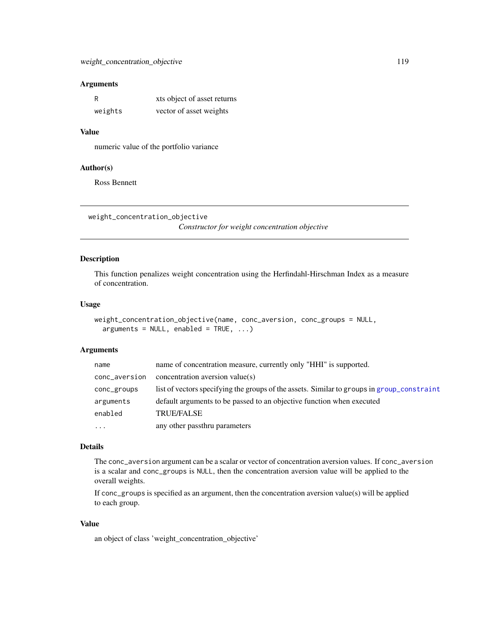## <span id="page-118-0"></span>Arguments

| R       | xts object of asset returns |
|---------|-----------------------------|
| weights | vector of asset weights     |

## Value

numeric value of the portfolio variance

#### Author(s)

Ross Bennett

```
weight_concentration_objective
```
*Constructor for weight concentration objective*

# Description

This function penalizes weight concentration using the Herfindahl-Hirschman Index as a measure of concentration.

#### Usage

```
weight_concentration_objective(name, conc_aversion, conc_groups = NULL,
  arguments = NULL, enabled = TRUE, ...)
```
#### Arguments

| name          | name of concentration measure, currently only "HHI" is supported.                          |
|---------------|--------------------------------------------------------------------------------------------|
| conc_aversion | concentration aversion value(s)                                                            |
| conc_groups   | list of vectors specifying the groups of the assets. Similar to groups in group_constraint |
| arguments     | default arguments to be passed to an objective function when executed                      |
| enabled       | <b>TRUE/FALSE</b>                                                                          |
| $\ddots$ .    | any other passthru parameters                                                              |

#### Details

The conc\_aversion argument can be a scalar or vector of concentration aversion values. If conc\_aversion is a scalar and conc\_groups is NULL, then the concentration aversion value will be applied to the overall weights.

If conc\_groups is specified as an argument, then the concentration aversion value(s) will be applied to each group.

## Value

an object of class 'weight\_concentration\_objective'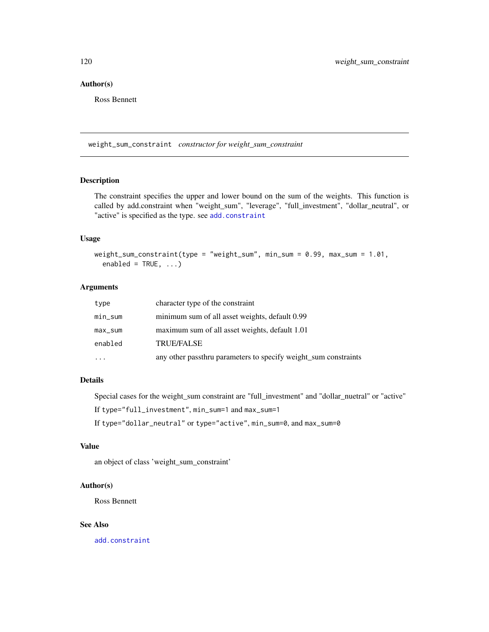# <span id="page-119-0"></span>Author(s)

Ross Bennett

weight\_sum\_constraint *constructor for weight\_sum\_constraint*

# Description

The constraint specifies the upper and lower bound on the sum of the weights. This function is called by add.constraint when "weight\_sum", "leverage", "full\_investment", "dollar\_neutral", or "active" is specified as the type. see [add.constraint](#page-10-0)

# Usage

```
weight_sum_constraint(type = "weight_sum", min_sum = 0.99, max_sum = 1.01,
  enabled = TRUE, ...)
```
## Arguments

| type      | character type of the constraint                                |
|-----------|-----------------------------------------------------------------|
| min_sum   | minimum sum of all asset weights, default 0.99                  |
| max_sum   | maximum sum of all asset weights, default 1.01                  |
| enabled   | <b>TRUE/FALSE</b>                                               |
| $\ddotsc$ | any other passthru parameters to specify weight_sum constraints |

#### Details

Special cases for the weight\_sum constraint are "full\_investment" and "dollar\_nuetral" or "active"

If type="full\_investment", min\_sum=1 and max\_sum=1

If type="dollar\_neutral" or type="active", min\_sum=0, and max\_sum=0

#### Value

an object of class 'weight\_sum\_constraint'

#### Author(s)

Ross Bennett

#### See Also

[add.constraint](#page-10-0)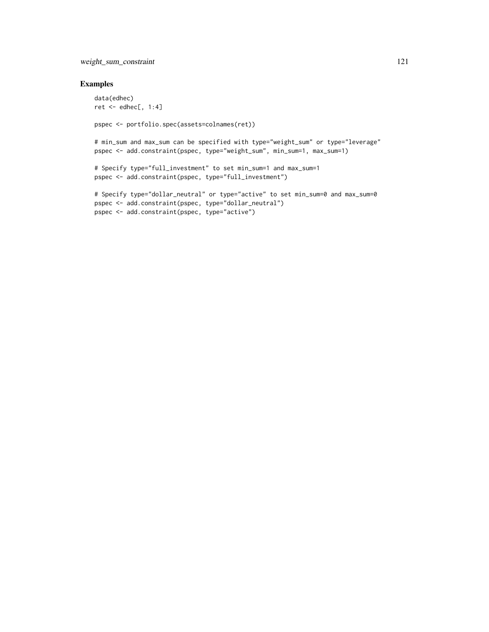# weight\_sum\_constraint 121

## Examples

```
data(edhec)
ret <- edhec[, 1:4]
pspec <- portfolio.spec(assets=colnames(ret))
```
# min\_sum and max\_sum can be specified with type="weight\_sum" or type="leverage" pspec <- add.constraint(pspec, type="weight\_sum", min\_sum=1, max\_sum=1)

```
# Specify type="full_investment" to set min_sum=1 and max_sum=1
pspec <- add.constraint(pspec, type="full_investment")
```

```
# Specify type="dollar_neutral" or type="active" to set min_sum=0 and max_sum=0
pspec <- add.constraint(pspec, type="dollar_neutral")
pspec <- add.constraint(pspec, type="active")
```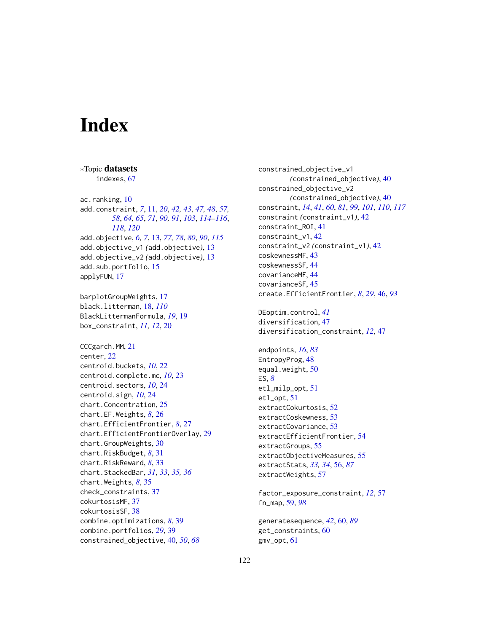# **Index**

∗Topic datasets

indexes, [67](#page-66-0) ac.ranking, [10](#page-9-0) add.constraint, *[7](#page-6-0)*, [11,](#page-10-1) *[20](#page-19-0)*, *[42,](#page-41-1) [43](#page-42-0)*, *[47,](#page-46-0) [48](#page-47-0)*, *[57,](#page-56-0) [58](#page-57-0)*, *[64,](#page-63-1) [65](#page-64-0)*, *[71](#page-70-0)*, *[90,](#page-89-0) [91](#page-90-0)*, *[103](#page-102-0)*, *[114–](#page-113-0)[116](#page-115-0)*, *[118](#page-117-0)*, *[120](#page-119-0)* add.objective, *[6,](#page-5-0) [7](#page-6-0)*, [13,](#page-12-1) *[77,](#page-76-0) [78](#page-77-1)*, *[80](#page-79-0)*, *[90](#page-89-0)*, *[115](#page-114-0)* add.objective\_v1 *(*add.objective*)*, [13](#page-12-1) add.objective\_v2 *(*add.objective*)*, [13](#page-12-1) add.sub.portfolio, [15](#page-14-0) applyFUN, [17](#page-16-0) barplotGroupWeights, [17](#page-16-0) black.litterman, [18,](#page-17-1) *[110](#page-109-1)* BlackLittermanFormula, *[19](#page-18-0)*, [19](#page-18-0) box\_constraint, *[11,](#page-10-1) [12](#page-11-0)*, [20](#page-19-0) CCCgarch.MM, [21](#page-20-0) center, [22](#page-21-0) centroid.buckets, *[10](#page-9-0)*, [22](#page-21-0) centroid.complete.mc, *[10](#page-9-0)*, [23](#page-22-0) centroid.sectors, *[10](#page-9-0)*, [24](#page-23-0) centroid.sign, *[10](#page-9-0)*, [24](#page-23-0) chart.Concentration, [25](#page-24-0) chart.EF.Weights, *[8](#page-7-0)*, [26](#page-25-0) chart.EfficientFrontier, *[8](#page-7-0)*, [27](#page-26-0) chart.EfficientFrontierOverlay, [29](#page-28-0) chart.GroupWeights, [30](#page-29-0) chart.RiskBudget, *[8](#page-7-0)*, [31](#page-30-0) chart.RiskReward, *[8](#page-7-0)*, [33](#page-32-0) chart.StackedBar, *[31](#page-30-0)*, *[33](#page-32-0)*, *[35,](#page-34-0) [36](#page-35-0)* chart.Weights, *[8](#page-7-0)*, [35](#page-34-0) check\_constraints, [37](#page-36-0) cokurtosisMF, [37](#page-36-0) cokurtosisSF, [38](#page-37-0) combine.optimizations, *[8](#page-7-0)*, [39](#page-38-0) combine.portfolios, *[29](#page-28-0)*, [39](#page-38-0) constrained\_objective, [40,](#page-39-0) *[50](#page-49-0)*, *[68](#page-67-0)*

constrained\_objective\_v1 *(*constrained\_objective*)*, [40](#page-39-0) constrained\_objective\_v2 *(*constrained\_objective*)*, [40](#page-39-0) constraint, *[14](#page-13-0)*, *[41](#page-40-0)*, *[60](#page-59-0)*, *[81](#page-80-0)*, *[99](#page-98-0)*, *[101](#page-100-0)*, *[110](#page-109-1)*, *[117](#page-116-0)* constraint *(*constraint\_v1*)*, [42](#page-41-1) constraint\_ROI, [41](#page-40-0) constraint\_v1, [42](#page-41-1) constraint\_v2 *(*constraint\_v1*)*, [42](#page-41-1) coskewnessMF, [43](#page-42-0) coskewnessSF, [44](#page-43-0) covarianceMF, [44](#page-43-0) covarianceSF, [45](#page-44-0) create.EfficientFrontier, *[8](#page-7-0)*, *[29](#page-28-0)*, [46,](#page-45-0) *[93](#page-92-0)* DEoptim.control, *[41](#page-40-0)* diversification, [47](#page-46-0) diversification\_constraint, *[12](#page-11-0)*, [47](#page-46-0) endpoints, *[16](#page-15-0)*, *[83](#page-82-0)* EntropyProg, [48](#page-47-0) equal.weight, [50](#page-49-0) ES, *[8](#page-7-0)* etl\_milp\_opt, [51](#page-50-0) etl\_opt, [51](#page-50-0) extractCokurtosis, [52](#page-51-0) extractCoskewness, [53](#page-52-0) extractCovariance, [53](#page-52-0) extractEfficientFrontier, [54](#page-53-0) extractGroups, [55](#page-54-0) extractObjectiveMeasures, [55](#page-54-0) extractStats, *[33,](#page-32-0) [34](#page-33-0)*, [56,](#page-55-0) *[87](#page-86-0)* extractWeights, [57](#page-56-0) factor\_exposure\_constraint, *[12](#page-11-0)*, [57](#page-56-0)

fn\_map, [59,](#page-58-0) *[98](#page-97-0)*

generatesequence, *[42](#page-41-1)*, [60,](#page-59-0) *[89](#page-88-1)* get\_constraints, [60](#page-59-0) gmv\_opt, [61](#page-60-0)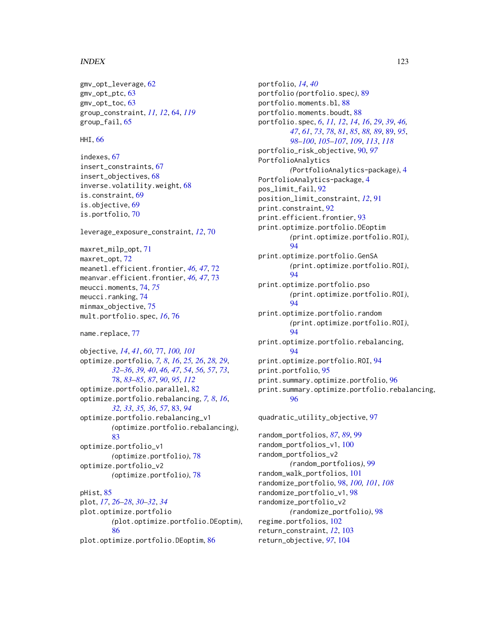#### INDEX 123

```
gmv_opt_leverage, 62
gmv_opt_ptc, 63
gmv_opt_toc, 63
group_constraint, 11, 12, 64, 119
group_fail, 65
```
HHI, [66](#page-65-0)

```
indexes, 67
insert_constraints, 67
insert_objectives, 68
inverse.volatility.weight, 68
is.constraint, 69
is.objective, 69
is.portfolio, 70
```
leverage\_exposure\_constraint, *[12](#page-11-0)*, [70](#page-69-0)

maxret\_milp\_opt, [71](#page-70-0) maxret\_opt, [72](#page-71-0) meanetl.efficient.frontier, *[46,](#page-45-0) [47](#page-46-0)*, [72](#page-71-0) meanvar.efficient.frontier, *[46,](#page-45-0) [47](#page-46-0)*, [73](#page-72-0) meucci.moments, [74,](#page-73-0) *[75](#page-74-0)* meucci.ranking, [74](#page-73-0) minmax\_objective, [75](#page-74-0) mult.portfolio.spec, *[16](#page-15-0)*, [76](#page-75-0)

```
77
```
objective, *[14](#page-13-0)*, *[41](#page-40-0)*, *[60](#page-59-0)*, [77,](#page-76-0) *[100,](#page-99-0) [101](#page-100-0)* optimize.portfolio, *[7,](#page-6-0) [8](#page-7-0)*, *[16](#page-15-0)*, *[25,](#page-24-0) [26](#page-25-0)*, *[28,](#page-27-0) [29](#page-28-0)*, *[32](#page-31-0)[–36](#page-35-0)*, *[39,](#page-38-0) [40](#page-39-0)*, *[46,](#page-45-0) [47](#page-46-0)*, *[54](#page-53-0)*, *[56,](#page-55-0) [57](#page-56-0)*, *[73](#page-72-0)*, [78,](#page-77-1) *[83](#page-82-0)[–85](#page-84-0)*, *[87](#page-86-0)*, *[90](#page-89-0)*, *[95](#page-94-0)*, *[112](#page-111-0)* optimize.portfolio.parallel, [82](#page-81-0) optimize.portfolio.rebalancing, *[7,](#page-6-0) [8](#page-7-0)*, *[16](#page-15-0)*, *[32,](#page-31-0) [33](#page-32-0)*, *[35,](#page-34-0) [36](#page-35-0)*, *[57](#page-56-0)*, [83,](#page-82-0) *[94](#page-93-0)* optimize.portfolio.rebalancing\_v1 *(*optimize.portfolio.rebalancing*)*, [83](#page-82-0) optimize.portfolio\_v1 *(*optimize.portfolio*)*, [78](#page-77-1) optimize.portfolio\_v2 *(*optimize.portfolio*)*, [78](#page-77-1) pHist, [85](#page-84-0) plot, *[17](#page-16-0)*, *[26](#page-25-0)[–28](#page-27-0)*, *[30](#page-29-0)[–32](#page-31-0)*, *[34](#page-33-0)*

plot.optimize.portfolio *(*plot.optimize.portfolio.DEoptim*)*, [86](#page-85-0) plot.optimize.portfolio.DEoptim, [86](#page-85-0)

portfolio, *[14](#page-13-0)*, *[40](#page-39-0)* portfolio *(*portfolio.spec*)*, [89](#page-88-1) portfolio.moments.bl, [88](#page-87-0) portfolio.moments.boudt, [88](#page-87-0) portfolio.spec, *[6](#page-5-0)*, *[11,](#page-10-1) [12](#page-11-0)*, *[14](#page-13-0)*, *[16](#page-15-0)*, *[29](#page-28-0)*, *[39](#page-38-0)*, *[46,](#page-45-0) [47](#page-46-0)*, *[61](#page-60-0)*, *[73](#page-72-0)*, *[78](#page-77-1)*, *[81](#page-80-0)*, *[85](#page-84-0)*, *[88,](#page-87-0) [89](#page-88-1)*, [89,](#page-88-1) *[95](#page-94-0)*, *[98](#page-97-0)[–100](#page-99-0)*, *[105](#page-104-0)[–107](#page-106-0)*, *[109](#page-108-0)*, *[113](#page-112-0)*, *[118](#page-117-0)* portfolio\_risk\_objective, [90,](#page-89-0) *[97](#page-96-0)* PortfolioAnalytics *(*PortfolioAnalytics-package*)*, [4](#page-3-0) PortfolioAnalytics-package, [4](#page-3-0) pos\_limit\_fail, [92](#page-91-0) position\_limit\_constraint, *[12](#page-11-0)*, [91](#page-90-0) print.constraint, [92](#page-91-0) print.efficient.frontier, [93](#page-92-0) print.optimize.portfolio.DEoptim *(*print.optimize.portfolio.ROI*)*, [94](#page-93-0) print.optimize.portfolio.GenSA *(*print.optimize.portfolio.ROI*)*, [94](#page-93-0) print.optimize.portfolio.pso *(*print.optimize.portfolio.ROI*)*, [94](#page-93-0) print.optimize.portfolio.random *(*print.optimize.portfolio.ROI*)*, [94](#page-93-0) print.optimize.portfolio.rebalancing,  $Q_{\mathcal{A}}$ print.optimize.portfolio.ROI, [94](#page-93-0) print.portfolio, [95](#page-94-0) print.summary.optimize.portfolio, [96](#page-95-0) print.summary.optimize.portfolio.rebalancing, [96](#page-95-0)

quadratic\_utility\_objective, [97](#page-96-0)

```
random_portfolios, 87, 89, 99
random_portfolios_v1, 100
random_portfolios_v2
        (random_portfolios), 99
random_walk_portfolios, 101
randomize_portfolio, 98, 100, 101, 108
randomize_portfolio_v1, 98
randomize_portfolio_v2
        (randomize_portfolio), 98
regime.portfolios, 102
return_constraint, 12, 103
return_objective, 97, 104
```